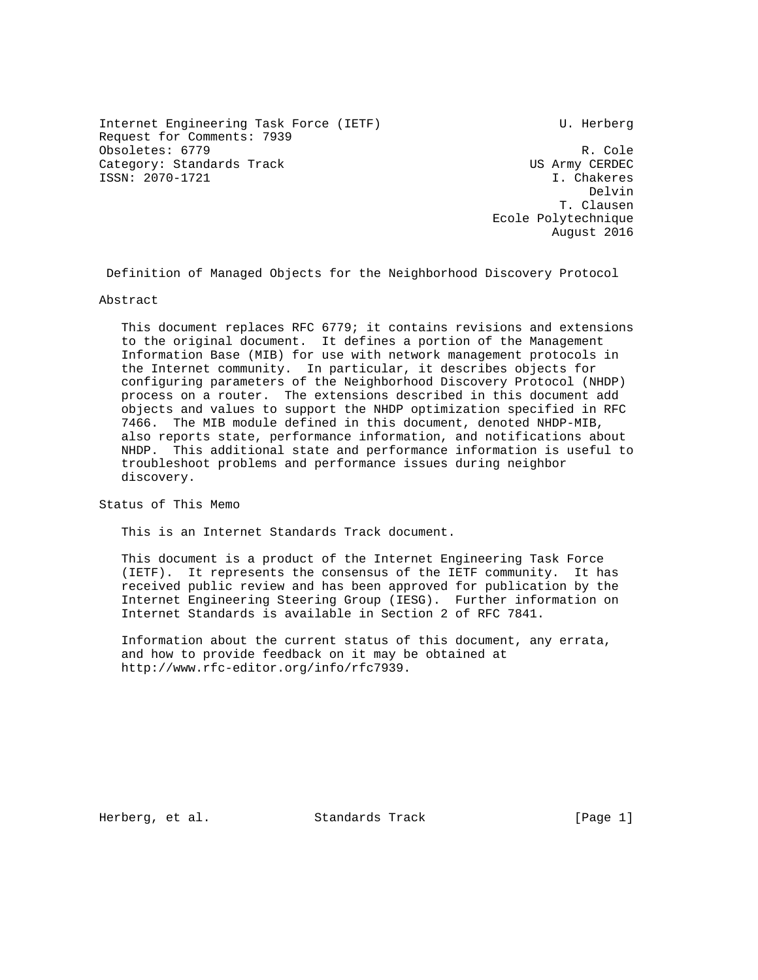Internet Engineering Task Force (IETF) The Control of the U. Herberg Request for Comments: 7939 Obsoletes: 6779 R. Cole Category: Standards Track and the US Army CERDEC ISSN: 2070-1721 I. Chakeres

del de la constitución de la constitución de la constitución de la constitución de la constitución de la const T. Clausen Ecole Polytechnique August 2016

Definition of Managed Objects for the Neighborhood Discovery Protocol

Abstract

 This document replaces RFC 6779; it contains revisions and extensions to the original document. It defines a portion of the Management Information Base (MIB) for use with network management protocols in the Internet community. In particular, it describes objects for configuring parameters of the Neighborhood Discovery Protocol (NHDP) process on a router. The extensions described in this document add objects and values to support the NHDP optimization specified in RFC 7466. The MIB module defined in this document, denoted NHDP-MIB, also reports state, performance information, and notifications about NHDP. This additional state and performance information is useful to troubleshoot problems and performance issues during neighbor discovery.

Status of This Memo

This is an Internet Standards Track document.

 This document is a product of the Internet Engineering Task Force (IETF). It represents the consensus of the IETF community. It has received public review and has been approved for publication by the Internet Engineering Steering Group (IESG). Further information on Internet Standards is available in Section 2 of RFC 7841.

 Information about the current status of this document, any errata, and how to provide feedback on it may be obtained at http://www.rfc-editor.org/info/rfc7939.

Herberg, et al. Standards Track [Page 1]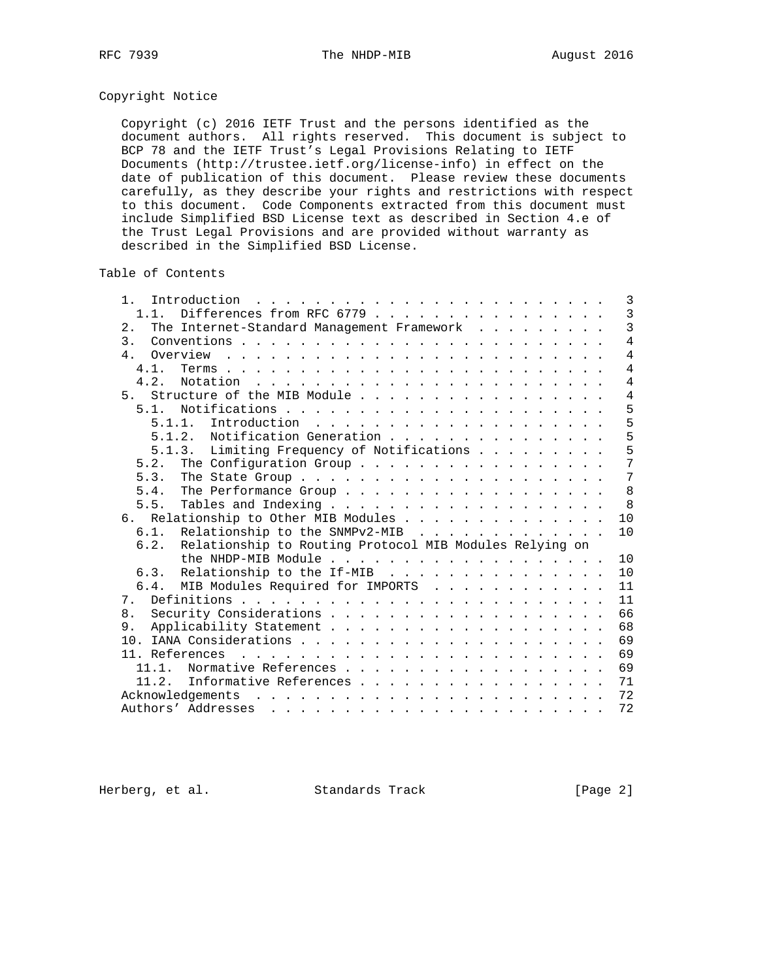# Copyright Notice

 Copyright (c) 2016 IETF Trust and the persons identified as the document authors. All rights reserved. This document is subject to BCP 78 and the IETF Trust's Legal Provisions Relating to IETF Documents (http://trustee.ietf.org/license-info) in effect on the date of publication of this document. Please review these documents carefully, as they describe your rights and restrictions with respect to this document. Code Components extracted from this document must include Simplified BSD License text as described in Section 4.e of the Trust Legal Provisions and are provided without warranty as described in the Simplified BSD License.

## Table of Contents

| 1.                                                                                                                                                                                                                                                   |  | 3              |
|------------------------------------------------------------------------------------------------------------------------------------------------------------------------------------------------------------------------------------------------------|--|----------------|
| Differences from RFC 6779<br>$1\quad1$                                                                                                                                                                                                               |  | $\overline{3}$ |
| The Internet-Standard Management Framework<br>$2$ .                                                                                                                                                                                                  |  | $\overline{3}$ |
| $\overline{3}$ .                                                                                                                                                                                                                                     |  | $\overline{4}$ |
| 4.                                                                                                                                                                                                                                                   |  | $\overline{4}$ |
| 4.1.                                                                                                                                                                                                                                                 |  | $\overline{4}$ |
| 4.2.                                                                                                                                                                                                                                                 |  | $\overline{4}$ |
| Structure of the MIB Module<br>5 <sub>1</sub>                                                                                                                                                                                                        |  | 4              |
| 5 1                                                                                                                                                                                                                                                  |  | 5              |
| 5.1.1.                                                                                                                                                                                                                                               |  | 5              |
| 5.1.2. Notification Generation                                                                                                                                                                                                                       |  | 5              |
| 5.1.3. Limiting Frequency of Notifications                                                                                                                                                                                                           |  | 5              |
| The Configuration Group<br>5.2.                                                                                                                                                                                                                      |  | 7              |
| 5.3.                                                                                                                                                                                                                                                 |  | 7              |
| The Performance Group<br>5 4                                                                                                                                                                                                                         |  | 8              |
| 5.5.                                                                                                                                                                                                                                                 |  | 8              |
| 6. Relationship to Other MIB Modules                                                                                                                                                                                                                 |  | 10             |
| Relationship to the SNMPv2-MIB<br>6.1.                                                                                                                                                                                                               |  | 10             |
| Relationship to Routing Protocol MIB Modules Relying on<br>6.2.                                                                                                                                                                                      |  |                |
|                                                                                                                                                                                                                                                      |  | 10             |
| 6.3. Relationship to the If-MIB                                                                                                                                                                                                                      |  | 10             |
| 6.4. MIB Modules Required for IMPORTS                                                                                                                                                                                                                |  | 11             |
| 7 <sub>1</sub>                                                                                                                                                                                                                                       |  | 11             |
| 8 <sub>1</sub>                                                                                                                                                                                                                                       |  | 66             |
| 9.                                                                                                                                                                                                                                                   |  | 68             |
|                                                                                                                                                                                                                                                      |  | 69             |
|                                                                                                                                                                                                                                                      |  | 69             |
| Normative References<br>11 1                                                                                                                                                                                                                         |  | 69             |
| Informative References<br>11.2.                                                                                                                                                                                                                      |  | 71             |
| Acknowledgements                                                                                                                                                                                                                                     |  | 72             |
| Authors' Addresses<br>a constitution of the contract of the contract of the contract of the contract of the contract of the contract of the contract of the contract of the contract of the contract of the contract of the contract of the contract |  | 72             |

Herberg, et al. Standards Track [Page 2]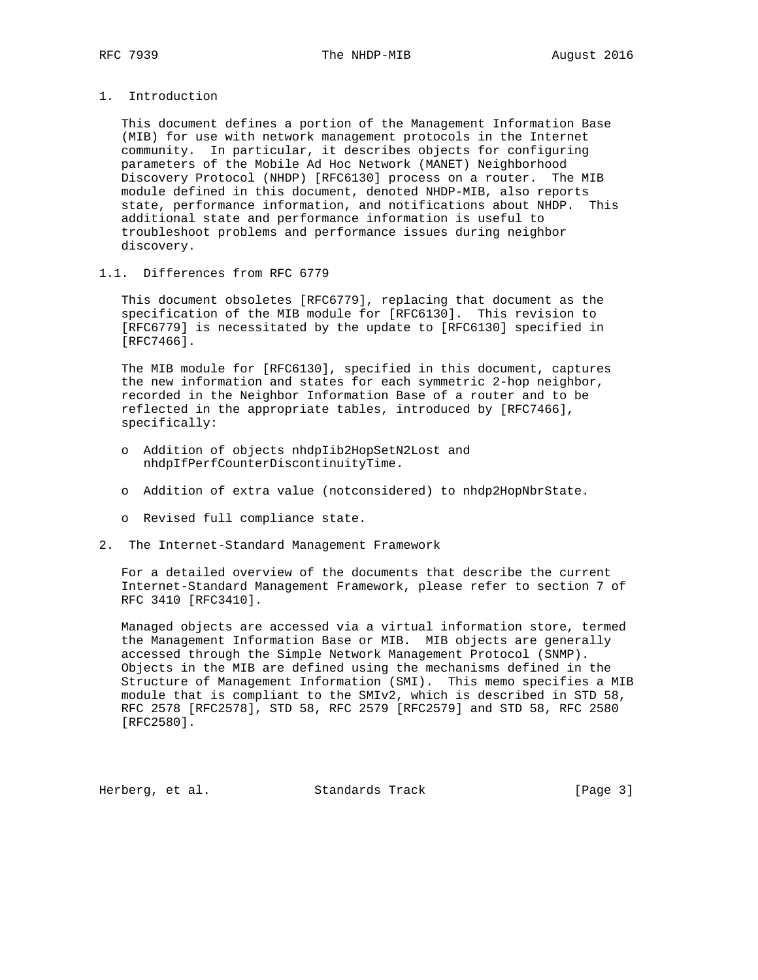## 1. Introduction

 This document defines a portion of the Management Information Base (MIB) for use with network management protocols in the Internet community. In particular, it describes objects for configuring parameters of the Mobile Ad Hoc Network (MANET) Neighborhood Discovery Protocol (NHDP) [RFC6130] process on a router. The MIB module defined in this document, denoted NHDP-MIB, also reports state, performance information, and notifications about NHDP. This additional state and performance information is useful to troubleshoot problems and performance issues during neighbor discovery.

## 1.1. Differences from RFC 6779

 This document obsoletes [RFC6779], replacing that document as the specification of the MIB module for [RFC6130]. This revision to [RFC6779] is necessitated by the update to [RFC6130] specified in [RFC7466].

 The MIB module for [RFC6130], specified in this document, captures the new information and states for each symmetric 2-hop neighbor, recorded in the Neighbor Information Base of a router and to be reflected in the appropriate tables, introduced by [RFC7466], specifically:

- o Addition of objects nhdpIib2HopSetN2Lost and nhdpIfPerfCounterDiscontinuityTime.
- o Addition of extra value (notconsidered) to nhdp2HopNbrState.
- o Revised full compliance state.
- 2. The Internet-Standard Management Framework

 For a detailed overview of the documents that describe the current Internet-Standard Management Framework, please refer to section 7 of RFC 3410 [RFC3410].

 Managed objects are accessed via a virtual information store, termed the Management Information Base or MIB. MIB objects are generally accessed through the Simple Network Management Protocol (SNMP). Objects in the MIB are defined using the mechanisms defined in the Structure of Management Information (SMI). This memo specifies a MIB module that is compliant to the SMIv2, which is described in STD 58, RFC 2578 [RFC2578], STD 58, RFC 2579 [RFC2579] and STD 58, RFC 2580 [RFC2580].

Herberg, et al. Standards Track [Page 3]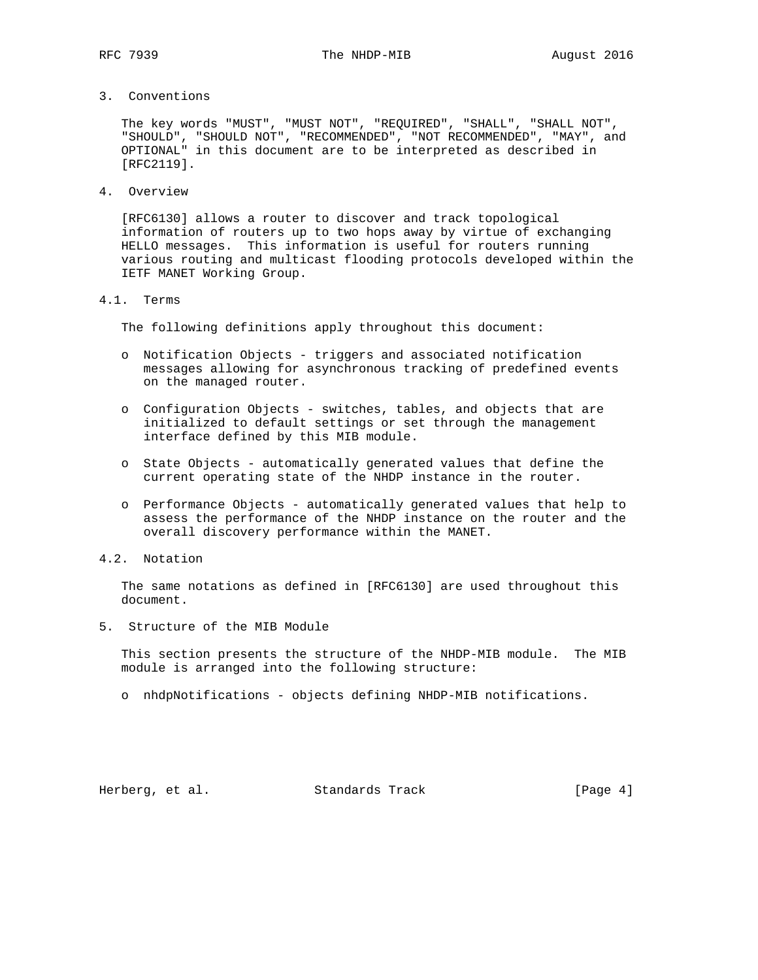3. Conventions

 The key words "MUST", "MUST NOT", "REQUIRED", "SHALL", "SHALL NOT", "SHOULD", "SHOULD NOT", "RECOMMENDED", "NOT RECOMMENDED", "MAY", and OPTIONAL" in this document are to be interpreted as described in [RFC2119].

4. Overview

 [RFC6130] allows a router to discover and track topological information of routers up to two hops away by virtue of exchanging HELLO messages. This information is useful for routers running various routing and multicast flooding protocols developed within the IETF MANET Working Group.

4.1. Terms

The following definitions apply throughout this document:

- o Notification Objects triggers and associated notification messages allowing for asynchronous tracking of predefined events on the managed router.
- o Configuration Objects switches, tables, and objects that are initialized to default settings or set through the management interface defined by this MIB module.
- o State Objects automatically generated values that define the current operating state of the NHDP instance in the router.
- o Performance Objects automatically generated values that help to assess the performance of the NHDP instance on the router and the overall discovery performance within the MANET.
- 4.2. Notation

 The same notations as defined in [RFC6130] are used throughout this document.

5. Structure of the MIB Module

 This section presents the structure of the NHDP-MIB module. The MIB module is arranged into the following structure:

o nhdpNotifications - objects defining NHDP-MIB notifications.

Herberg, et al. Standards Track [Page 4]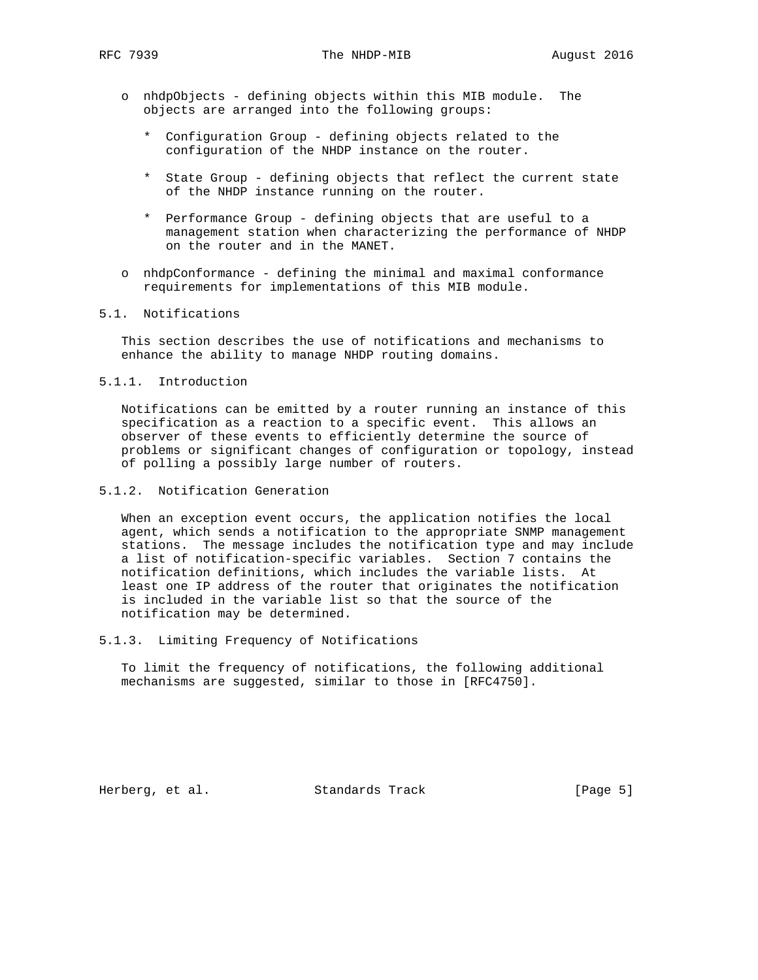- o nhdpObjects defining objects within this MIB module. The objects are arranged into the following groups:
	- \* Configuration Group defining objects related to the configuration of the NHDP instance on the router.
	- \* State Group defining objects that reflect the current state of the NHDP instance running on the router.
	- \* Performance Group defining objects that are useful to a management station when characterizing the performance of NHDP on the router and in the MANET.
- o nhdpConformance defining the minimal and maximal conformance requirements for implementations of this MIB module.

### 5.1. Notifications

 This section describes the use of notifications and mechanisms to enhance the ability to manage NHDP routing domains.

5.1.1. Introduction

 Notifications can be emitted by a router running an instance of this specification as a reaction to a specific event. This allows an observer of these events to efficiently determine the source of problems or significant changes of configuration or topology, instead of polling a possibly large number of routers.

5.1.2. Notification Generation

 When an exception event occurs, the application notifies the local agent, which sends a notification to the appropriate SNMP management stations. The message includes the notification type and may include a list of notification-specific variables. Section 7 contains the notification definitions, which includes the variable lists. At least one IP address of the router that originates the notification is included in the variable list so that the source of the notification may be determined.

5.1.3. Limiting Frequency of Notifications

 To limit the frequency of notifications, the following additional mechanisms are suggested, similar to those in [RFC4750].

Herberg, et al. Standards Track [Page 5]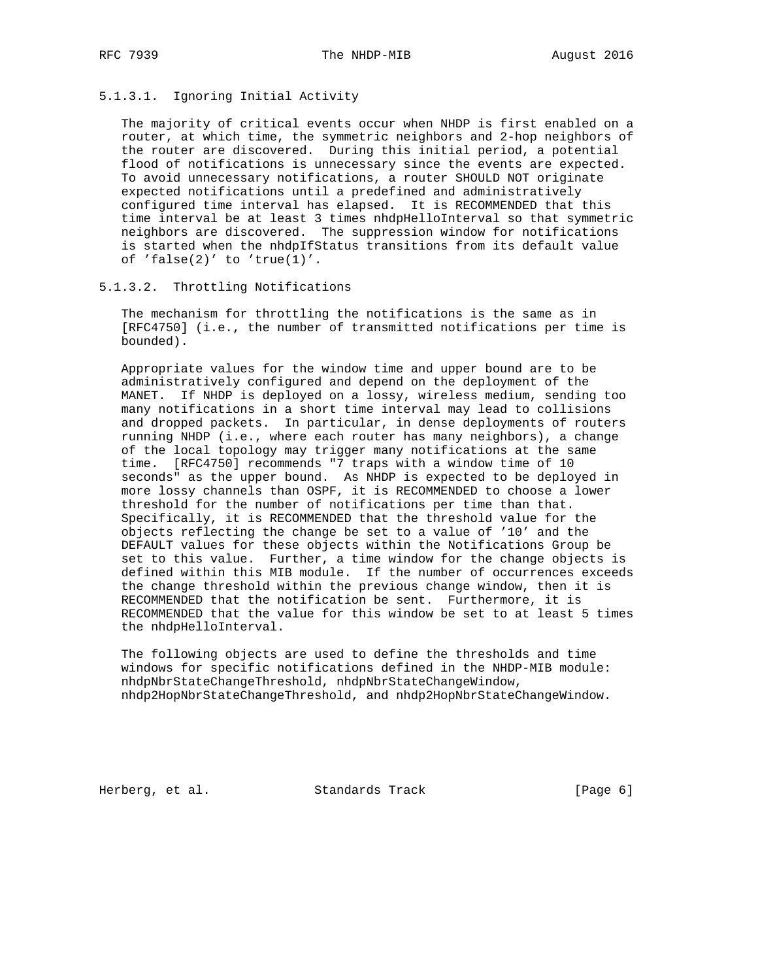# 5.1.3.1. Ignoring Initial Activity

 The majority of critical events occur when NHDP is first enabled on a router, at which time, the symmetric neighbors and 2-hop neighbors of the router are discovered. During this initial period, a potential flood of notifications is unnecessary since the events are expected. To avoid unnecessary notifications, a router SHOULD NOT originate expected notifications until a predefined and administratively configured time interval has elapsed. It is RECOMMENDED that this time interval be at least 3 times nhdpHelloInterval so that symmetric neighbors are discovered. The suppression window for notifications is started when the nhdpIfStatus transitions from its default value of 'false(2)' to 'true(1)'.

#### 5.1.3.2. Throttling Notifications

 The mechanism for throttling the notifications is the same as in [RFC4750] (i.e., the number of transmitted notifications per time is bounded).

 Appropriate values for the window time and upper bound are to be administratively configured and depend on the deployment of the MANET. If NHDP is deployed on a lossy, wireless medium, sending too many notifications in a short time interval may lead to collisions and dropped packets. In particular, in dense deployments of routers running NHDP (i.e., where each router has many neighbors), a change of the local topology may trigger many notifications at the same time. [RFC4750] recommends "7 traps with a window time of 10 seconds" as the upper bound. As NHDP is expected to be deployed in more lossy channels than OSPF, it is RECOMMENDED to choose a lower threshold for the number of notifications per time than that. Specifically, it is RECOMMENDED that the threshold value for the objects reflecting the change be set to a value of '10' and the DEFAULT values for these objects within the Notifications Group be set to this value. Further, a time window for the change objects is defined within this MIB module. If the number of occurrences exceeds the change threshold within the previous change window, then it is RECOMMENDED that the notification be sent. Furthermore, it is RECOMMENDED that the value for this window be set to at least 5 times the nhdpHelloInterval.

 The following objects are used to define the thresholds and time windows for specific notifications defined in the NHDP-MIB module: nhdpNbrStateChangeThreshold, nhdpNbrStateChangeWindow, nhdp2HopNbrStateChangeThreshold, and nhdp2HopNbrStateChangeWindow.

Herberg, et al. Standards Track [Page 6]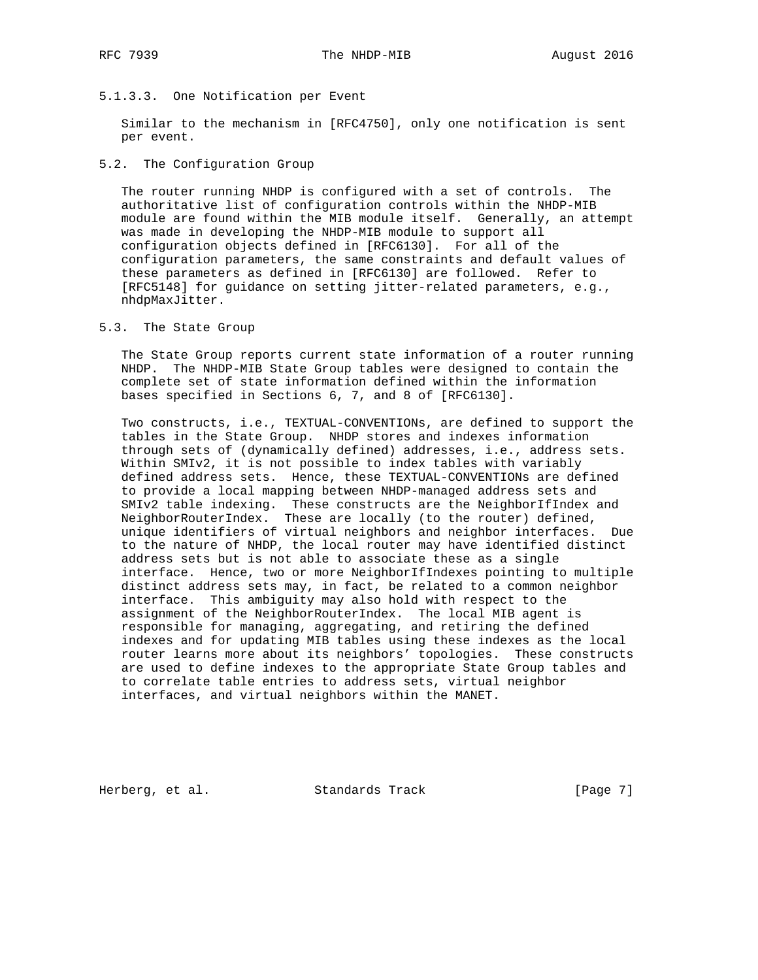## 5.1.3.3. One Notification per Event

 Similar to the mechanism in [RFC4750], only one notification is sent per event.

## 5.2. The Configuration Group

 The router running NHDP is configured with a set of controls. The authoritative list of configuration controls within the NHDP-MIB module are found within the MIB module itself. Generally, an attempt was made in developing the NHDP-MIB module to support all configuration objects defined in [RFC6130]. For all of the configuration parameters, the same constraints and default values of these parameters as defined in [RFC6130] are followed. Refer to [RFC5148] for guidance on setting jitter-related parameters, e.g., nhdpMaxJitter.

## 5.3. The State Group

 The State Group reports current state information of a router running NHDP. The NHDP-MIB State Group tables were designed to contain the complete set of state information defined within the information bases specified in Sections 6, 7, and 8 of [RFC6130].

 Two constructs, i.e., TEXTUAL-CONVENTIONs, are defined to support the tables in the State Group. NHDP stores and indexes information through sets of (dynamically defined) addresses, i.e., address sets. Within SMIv2, it is not possible to index tables with variably defined address sets. Hence, these TEXTUAL-CONVENTIONs are defined to provide a local mapping between NHDP-managed address sets and SMIv2 table indexing. These constructs are the NeighborIfIndex and NeighborRouterIndex. These are locally (to the router) defined, unique identifiers of virtual neighbors and neighbor interfaces. Due to the nature of NHDP, the local router may have identified distinct address sets but is not able to associate these as a single interface. Hence, two or more NeighborIfIndexes pointing to multiple distinct address sets may, in fact, be related to a common neighbor interface. This ambiguity may also hold with respect to the assignment of the NeighborRouterIndex. The local MIB agent is responsible for managing, aggregating, and retiring the defined indexes and for updating MIB tables using these indexes as the local router learns more about its neighbors' topologies. These constructs are used to define indexes to the appropriate State Group tables and to correlate table entries to address sets, virtual neighbor interfaces, and virtual neighbors within the MANET.

Herberg, et al. Standards Track [Page 7]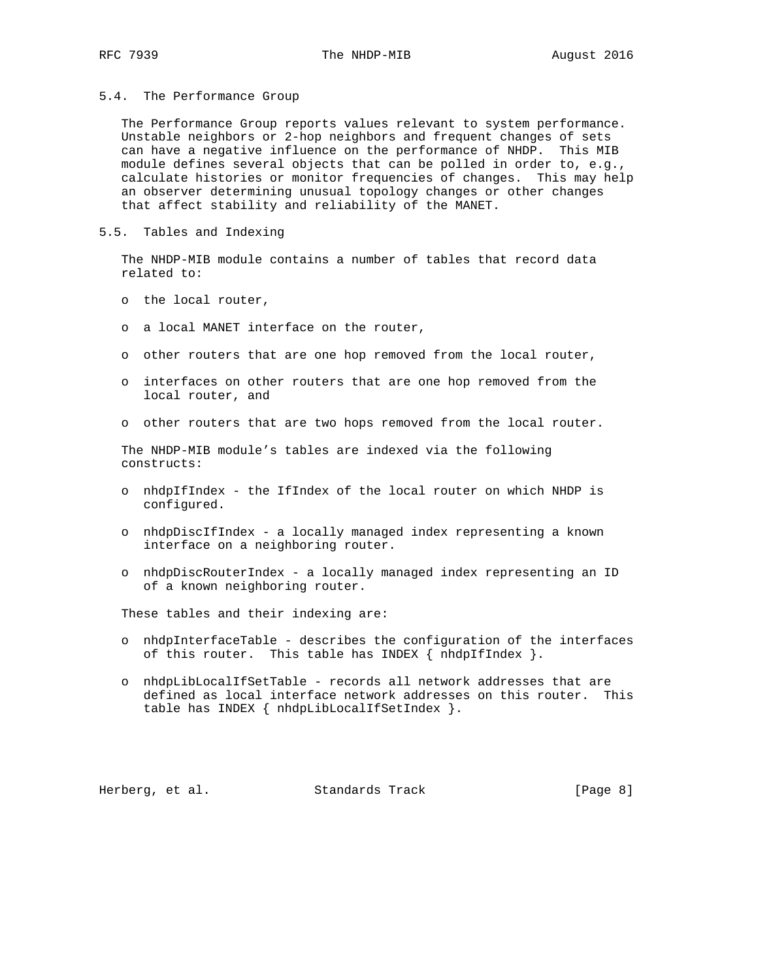5.4. The Performance Group

 The Performance Group reports values relevant to system performance. Unstable neighbors or 2-hop neighbors and frequent changes of sets can have a negative influence on the performance of NHDP. This MIB module defines several objects that can be polled in order to, e.g., calculate histories or monitor frequencies of changes. This may help an observer determining unusual topology changes or other changes that affect stability and reliability of the MANET.

5.5. Tables and Indexing

 The NHDP-MIB module contains a number of tables that record data related to:

- o the local router,
- o a local MANET interface on the router,
- o other routers that are one hop removed from the local router,
- o interfaces on other routers that are one hop removed from the local router, and
- o other routers that are two hops removed from the local router.

 The NHDP-MIB module's tables are indexed via the following constructs:

- o nhdpIfIndex the IfIndex of the local router on which NHDP is configured.
- o nhdpDiscIfIndex a locally managed index representing a known interface on a neighboring router.
- o nhdpDiscRouterIndex a locally managed index representing an ID of a known neighboring router.

These tables and their indexing are:

- o nhdpInterfaceTable describes the configuration of the interfaces of this router. This table has INDEX  $\{nhdpIfIndex\}$ .
- o nhdpLibLocalIfSetTable records all network addresses that are defined as local interface network addresses on this router. This table has INDEX { nhdpLibLocalIfSetIndex }.

Herberg, et al. Standards Track [Page 8]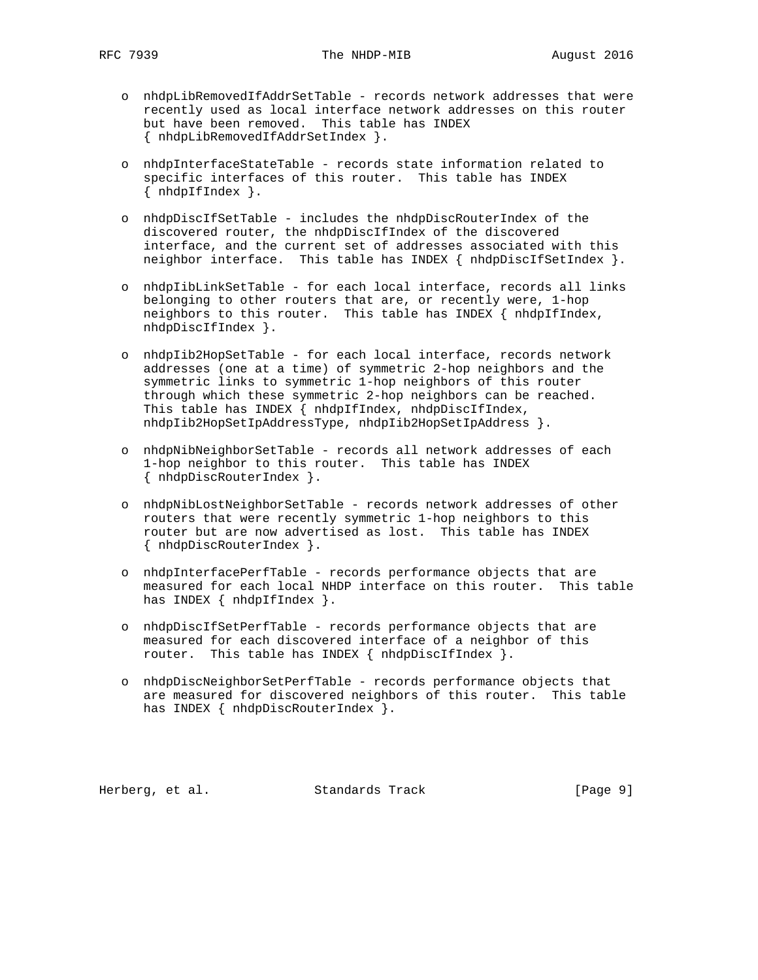- o nhdpLibRemovedIfAddrSetTable records network addresses that were recently used as local interface network addresses on this router but have been removed. This table has INDEX { nhdpLibRemovedIfAddrSetIndex }.
- o nhdpInterfaceStateTable records state information related to specific interfaces of this router. This table has INDEX { nhdpIfIndex }.
- o nhdpDiscIfSetTable includes the nhdpDiscRouterIndex of the discovered router, the nhdpDiscIfIndex of the discovered interface, and the current set of addresses associated with this neighbor interface. This table has INDEX { nhdpDiscIfSetIndex }.
- o nhdpIibLinkSetTable for each local interface, records all links belonging to other routers that are, or recently were, 1-hop neighbors to this router. This table has INDEX { nhdpIfIndex, nhdpDiscIfIndex }.
- o nhdpIib2HopSetTable for each local interface, records network addresses (one at a time) of symmetric 2-hop neighbors and the symmetric links to symmetric 1-hop neighbors of this router through which these symmetric 2-hop neighbors can be reached. This table has INDEX { nhdpIfIndex, nhdpDiscIfIndex, nhdpIib2HopSetIpAddressType, nhdpIib2HopSetIpAddress }.
- o nhdpNibNeighborSetTable records all network addresses of each 1-hop neighbor to this router. This table has INDEX { nhdpDiscRouterIndex }.
- o nhdpNibLostNeighborSetTable records network addresses of other routers that were recently symmetric 1-hop neighbors to this router but are now advertised as lost. This table has INDEX { nhdpDiscRouterIndex }.
- o nhdpInterfacePerfTable records performance objects that are measured for each local NHDP interface on this router. This table has INDEX { nhdpIfIndex }.
- o nhdpDiscIfSetPerfTable records performance objects that are measured for each discovered interface of a neighbor of this router. This table has INDEX { nhdpDiscIfIndex }.
- o nhdpDiscNeighborSetPerfTable records performance objects that are measured for discovered neighbors of this router. This table has INDEX { nhdpDiscRouterIndex }.

Herberg, et al. Standards Track [Page 9]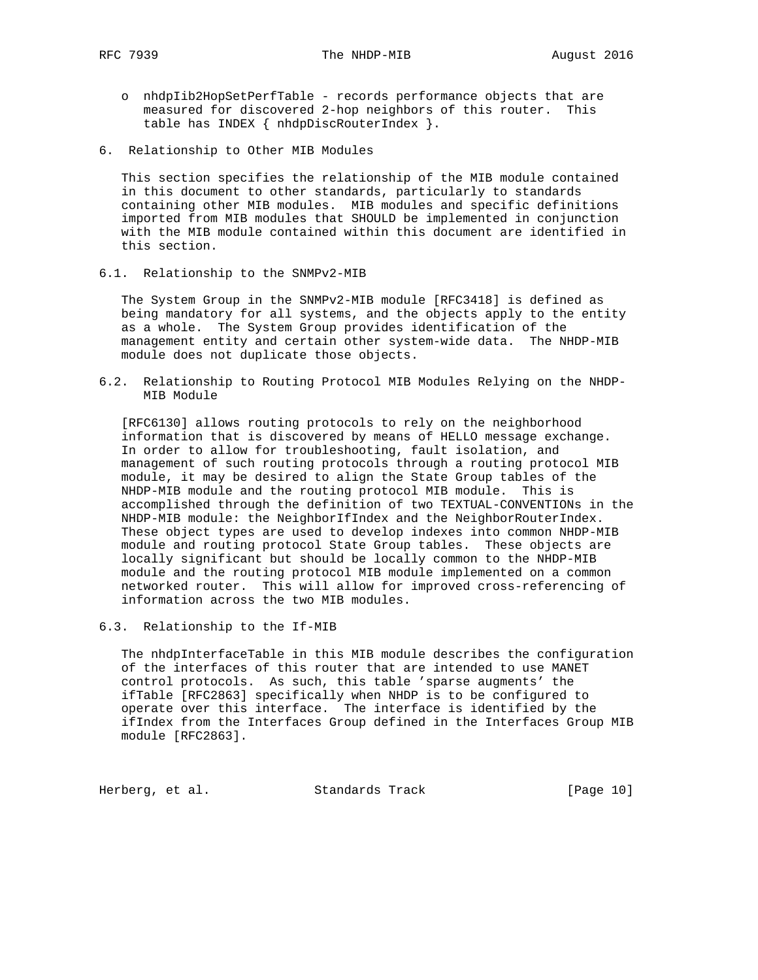- o nhdpIib2HopSetPerfTable records performance objects that are measured for discovered 2-hop neighbors of this router. This table has INDEX { nhdpDiscRouterIndex }.
- 6. Relationship to Other MIB Modules

 This section specifies the relationship of the MIB module contained in this document to other standards, particularly to standards containing other MIB modules. MIB modules and specific definitions imported from MIB modules that SHOULD be implemented in conjunction with the MIB module contained within this document are identified in this section.

6.1. Relationship to the SNMPv2-MIB

 The System Group in the SNMPv2-MIB module [RFC3418] is defined as being mandatory for all systems, and the objects apply to the entity as a whole. The System Group provides identification of the management entity and certain other system-wide data. The NHDP-MIB module does not duplicate those objects.

6.2. Relationship to Routing Protocol MIB Modules Relying on the NHDP- MIB Module

 [RFC6130] allows routing protocols to rely on the neighborhood information that is discovered by means of HELLO message exchange. In order to allow for troubleshooting, fault isolation, and management of such routing protocols through a routing protocol MIB module, it may be desired to align the State Group tables of the NHDP-MIB module and the routing protocol MIB module. This is accomplished through the definition of two TEXTUAL-CONVENTIONs in the NHDP-MIB module: the NeighborIfIndex and the NeighborRouterIndex. These object types are used to develop indexes into common NHDP-MIB module and routing protocol State Group tables. These objects are locally significant but should be locally common to the NHDP-MIB module and the routing protocol MIB module implemented on a common networked router. This will allow for improved cross-referencing of information across the two MIB modules.

6.3. Relationship to the If-MIB

 The nhdpInterfaceTable in this MIB module describes the configuration of the interfaces of this router that are intended to use MANET control protocols. As such, this table 'sparse augments' the ifTable [RFC2863] specifically when NHDP is to be configured to operate over this interface. The interface is identified by the ifIndex from the Interfaces Group defined in the Interfaces Group MIB module [RFC2863].

Herberg, et al. Standards Track [Page 10]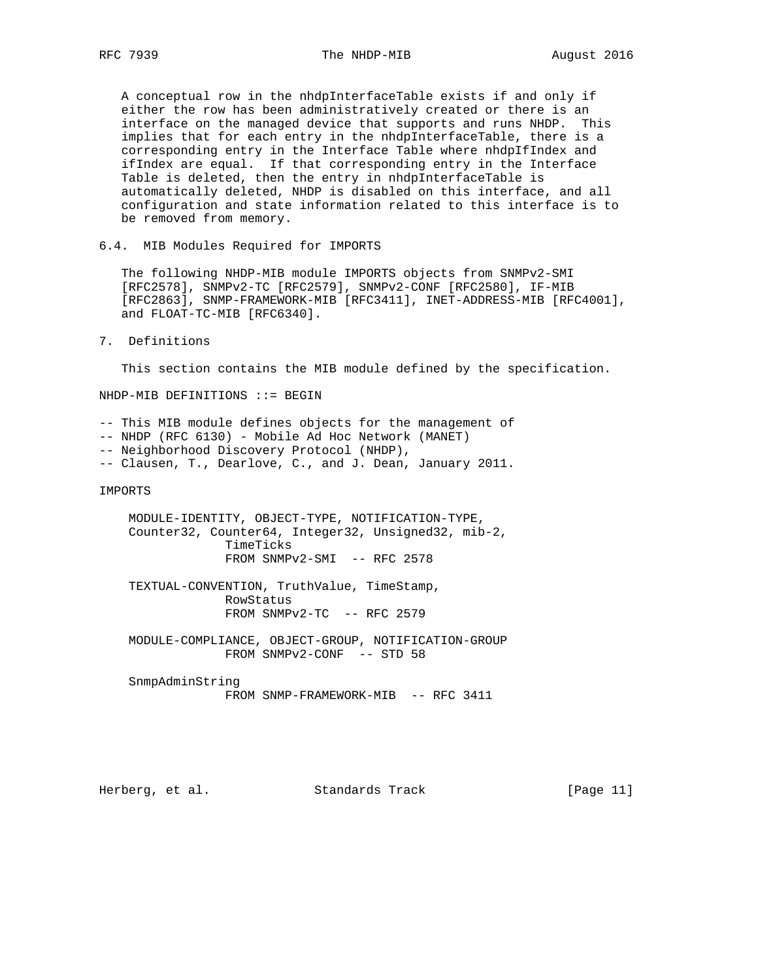A conceptual row in the nhdpInterfaceTable exists if and only if either the row has been administratively created or there is an interface on the managed device that supports and runs NHDP. This implies that for each entry in the nhdpInterfaceTable, there is a corresponding entry in the Interface Table where nhdpIfIndex and ifIndex are equal. If that corresponding entry in the Interface Table is deleted, then the entry in nhdpInterfaceTable is automatically deleted, NHDP is disabled on this interface, and all configuration and state information related to this interface is to be removed from memory.

6.4. MIB Modules Required for IMPORTS

 The following NHDP-MIB module IMPORTS objects from SNMPv2-SMI [RFC2578], SNMPv2-TC [RFC2579], SNMPv2-CONF [RFC2580], IF-MIB [RFC2863], SNMP-FRAMEWORK-MIB [RFC3411], INET-ADDRESS-MIB [RFC4001], and FLOAT-TC-MIB [RFC6340].

### 7. Definitions

This section contains the MIB module defined by the specification.

NHDP-MIB DEFINITIONS ::= BEGIN

-- This MIB module defines objects for the management of

-- NHDP (RFC 6130) - Mobile Ad Hoc Network (MANET)

-- Neighborhood Discovery Protocol (NHDP),

-- Clausen, T., Dearlove, C., and J. Dean, January 2011.

IMPORTS

 MODULE-IDENTITY, OBJECT-TYPE, NOTIFICATION-TYPE, Counter32, Counter64, Integer32, Unsigned32, mib-2, TimeTicks FROM SNMPv2-SMI -- RFC 2578

 TEXTUAL-CONVENTION, TruthValue, TimeStamp, RowStatus FROM SNMPv2-TC -- RFC 2579

 MODULE-COMPLIANCE, OBJECT-GROUP, NOTIFICATION-GROUP FROM SNMPv2-CONF -- STD 58

 SnmpAdminString FROM SNMP-FRAMEWORK-MIB -- RFC 3411

Herberg, et al. Standards Track [Page 11]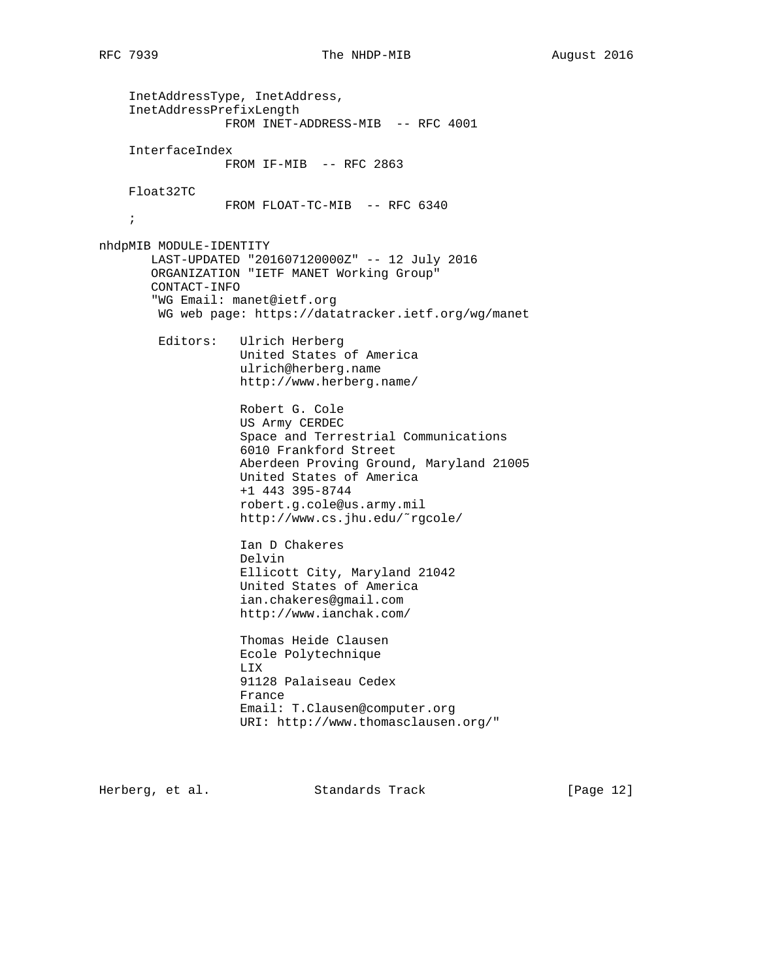InetAddressType, InetAddress, InetAddressPrefixLength FROM INET-ADDRESS-MIB -- RFC 4001 InterfaceIndex FROM IF-MIB -- RFC 2863 Float32TC FROM FLOAT-TC-MIB -- RFC 6340 ; nhdpMIB MODULE-IDENTITY LAST-UPDATED "201607120000Z" -- 12 July 2016 ORGANIZATION "IETF MANET Working Group" CONTACT-INFO "WG Email: manet@ietf.org WG web page: https://datatracker.ietf.org/wg/manet Editors: Ulrich Herberg United States of America ulrich@herberg.name http://www.herberg.name/ Robert G. Cole US Army CERDEC Space and Terrestrial Communications 6010 Frankford Street Aberdeen Proving Ground, Maryland 21005 United States of America +1 443 395-8744 robert.g.cole@us.army.mil http://www.cs.jhu.edu/˜rgcole/ Ian D Chakeres Delvin Ellicott City, Maryland 21042 United States of America ian.chakeres@gmail.com http://www.ianchak.com/ Thomas Heide Clausen Ecole Polytechnique LIX 91128 Palaiseau Cedex France Email: T.Clausen@computer.org URI: http://www.thomasclausen.org/"

Herberg, et al. Standards Track [Page 12]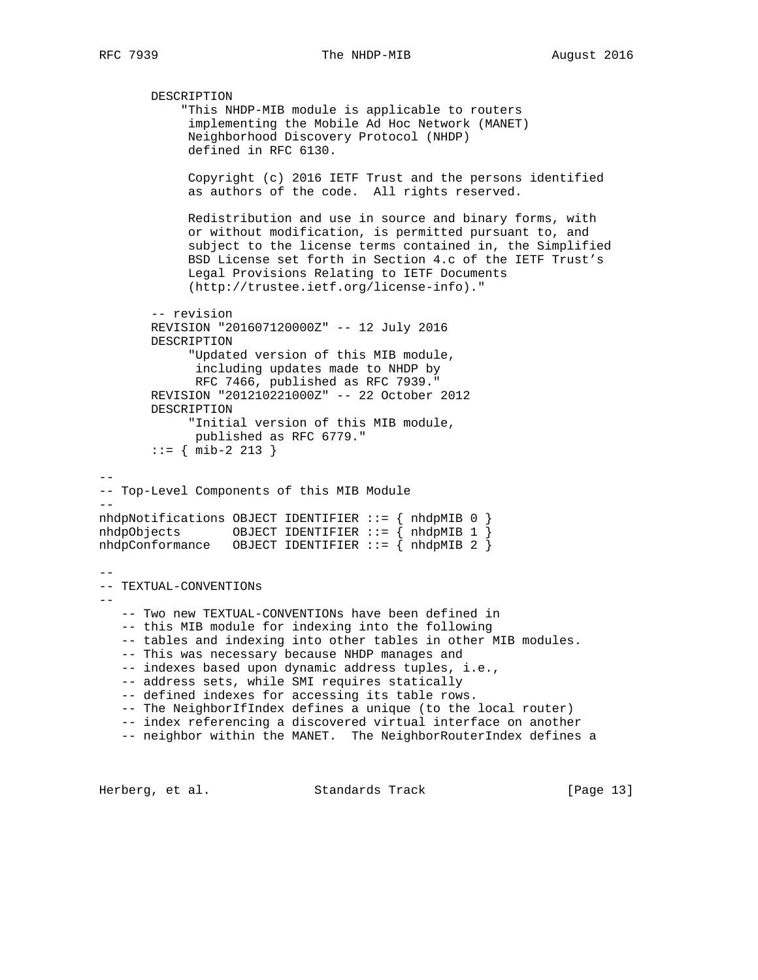--

--

--

```
 DESCRIPTION
            "This NHDP-MIB module is applicable to routers
             implementing the Mobile Ad Hoc Network (MANET)
             Neighborhood Discovery Protocol (NHDP)
             defined in RFC 6130.
             Copyright (c) 2016 IETF Trust and the persons identified
             as authors of the code. All rights reserved.
             Redistribution and use in source and binary forms, with
             or without modification, is permitted pursuant to, and
             subject to the license terms contained in, the Simplified
             BSD License set forth in Section 4.c of the IETF Trust's
             Legal Provisions Relating to IETF Documents
             (http://trustee.ietf.org/license-info)."
        -- revision
        REVISION "201607120000Z" -- 12 July 2016
        DESCRIPTION
             "Updated version of this MIB module,
              including updates made to NHDP by
              RFC 7466, published as RFC 7939."
        REVISION "201210221000Z" -- 22 October 2012
        DESCRIPTION
             "Initial version of this MIB module,
              published as RFC 6779."
       ::= { mib-2 213 }
-- Top-Level Components of this MIB Module
-nhdpNotifications OBJECT IDENTIFIER ::= { nhdpMIB 0 }
nhdpObjects OBJECT IDENTIFIER ::= \{nhdpMIB 1\}nhdpConformance OBJECT IDENTIFIER ::= { nhdpMIB 2 }
-- TEXTUAL-CONVENTIONs
    -- Two new TEXTUAL-CONVENTIONs have been defined in
    -- this MIB module for indexing into the following
    -- tables and indexing into other tables in other MIB modules.
    -- This was necessary because NHDP manages and
    -- indexes based upon dynamic address tuples, i.e.,
    -- address sets, while SMI requires statically
    -- defined indexes for accessing its table rows.
    -- The NeighborIfIndex defines a unique (to the local router)
    -- index referencing a discovered virtual interface on another
    -- neighbor within the MANET. The NeighborRouterIndex defines a
```
Herberg, et al. Standards Track [Page 13]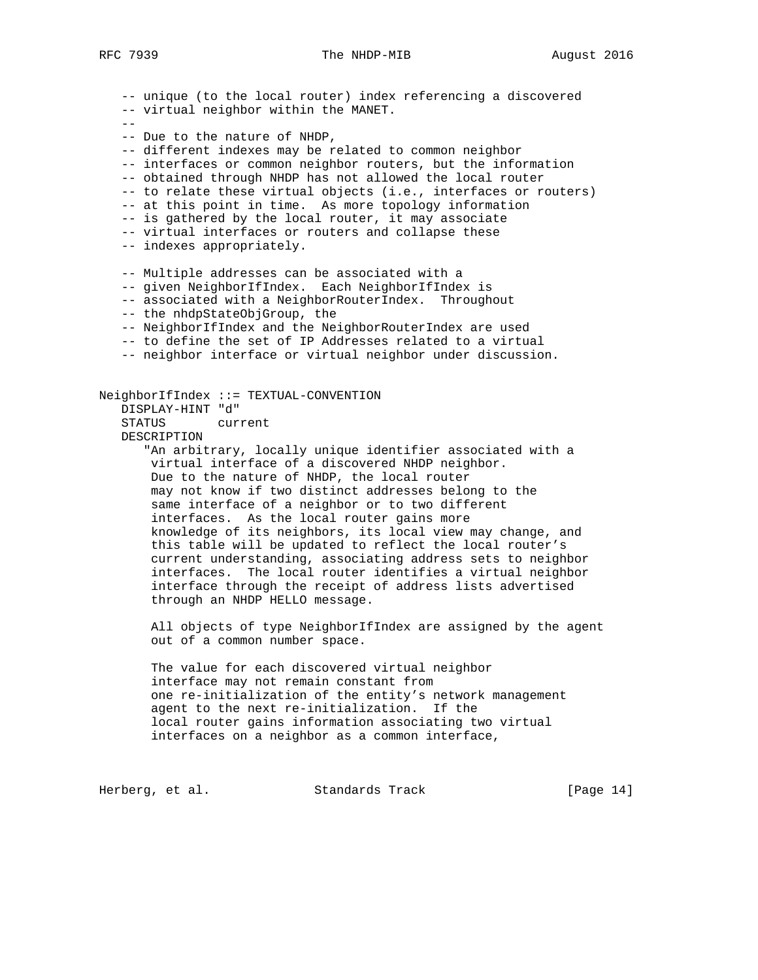-- unique (to the local router) index referencing a discovered -- virtual neighbor within the MANET.  $-$  -- Due to the nature of NHDP, -- different indexes may be related to common neighbor -- interfaces or common neighbor routers, but the information -- obtained through NHDP has not allowed the local router -- to relate these virtual objects (i.e., interfaces or routers) -- at this point in time. As more topology information -- is gathered by the local router, it may associate -- virtual interfaces or routers and collapse these -- indexes appropriately. -- Multiple addresses can be associated with a -- given NeighborIfIndex. Each NeighborIfIndex is -- associated with a NeighborRouterIndex. Throughout -- the nhdpStateObjGroup, the -- NeighborIfIndex and the NeighborRouterIndex are used -- to define the set of IP Addresses related to a virtual -- neighbor interface or virtual neighbor under discussion. NeighborIfIndex ::= TEXTUAL-CONVENTION DISPLAY-HINT "d" STATUS current DESCRIPTION "An arbitrary, locally unique identifier associated with a virtual interface of a discovered NHDP neighbor. Due to the nature of NHDP, the local router may not know if two distinct addresses belong to the same interface of a neighbor or to two different interfaces. As the local router gains more knowledge of its neighbors, its local view may change, and this table will be updated to reflect the local router's current understanding, associating address sets to neighbor interfaces. The local router identifies a virtual neighbor interface through the receipt of address lists advertised through an NHDP HELLO message. All objects of type NeighborIfIndex are assigned by the agent out of a common number space. The value for each discovered virtual neighbor interface may not remain constant from one re-initialization of the entity's network management agent to the next re-initialization. If the local router gains information associating two virtual interfaces on a neighbor as a common interface,

Herberg, et al. Standards Track [Page 14]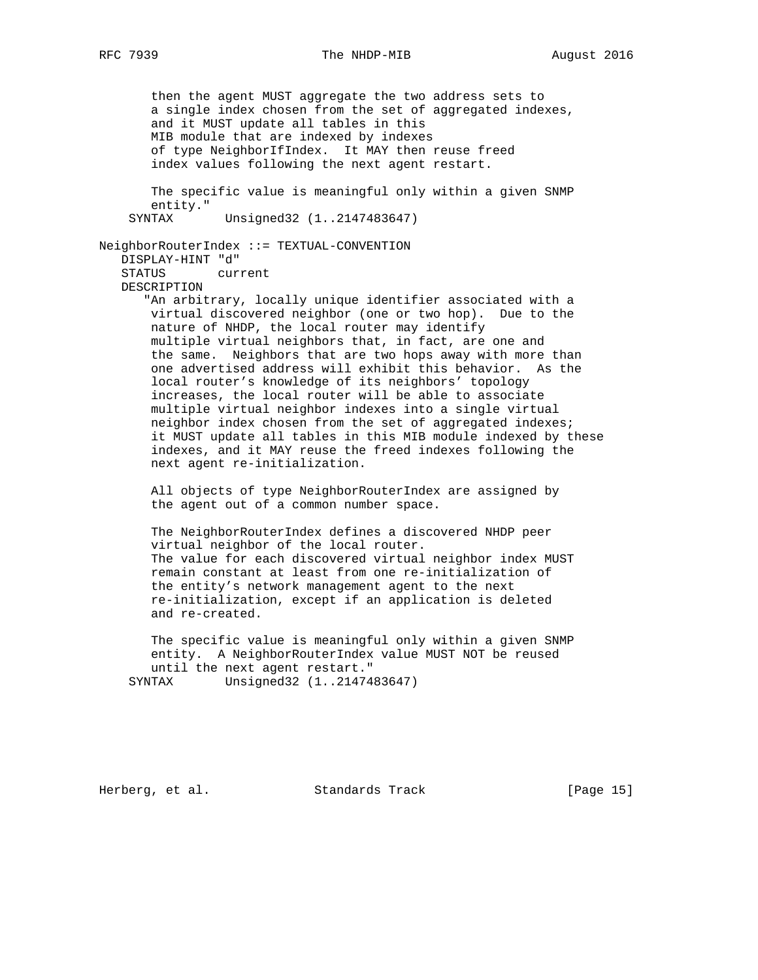then the agent MUST aggregate the two address sets to a single index chosen from the set of aggregated indexes, and it MUST update all tables in this MIB module that are indexed by indexes of type NeighborIfIndex. It MAY then reuse freed index values following the next agent restart. The specific value is meaningful only within a given SNMP entity." SYNTAX Unsigned32 (1..2147483647) NeighborRouterIndex ::= TEXTUAL-CONVENTION DISPLAY-HINT "d" STATUS current DESCRIPTION "An arbitrary, locally unique identifier associated with a virtual discovered neighbor (one or two hop). Due to the nature of NHDP, the local router may identify multiple virtual neighbors that, in fact, are one and the same. Neighbors that are two hops away with more than one advertised address will exhibit this behavior. As the local router's knowledge of its neighbors' topology increases, the local router will be able to associate multiple virtual neighbor indexes into a single virtual neighbor index chosen from the set of aggregated indexes; it MUST update all tables in this MIB module indexed by these indexes, and it MAY reuse the freed indexes following the next agent re-initialization. All objects of type NeighborRouterIndex are assigned by the agent out of a common number space. The NeighborRouterIndex defines a discovered NHDP peer virtual neighbor of the local router. The value for each discovered virtual neighbor index MUST remain constant at least from one re-initialization of the entity's network management agent to the next re-initialization, except if an application is deleted and re-created. The specific value is meaningful only within a given SNMP

 entity. A NeighborRouterIndex value MUST NOT be reused until the next agent restart." SYNTAX Unsigned32 (1..2147483647)

Herberg, et al. Standards Track [Page 15]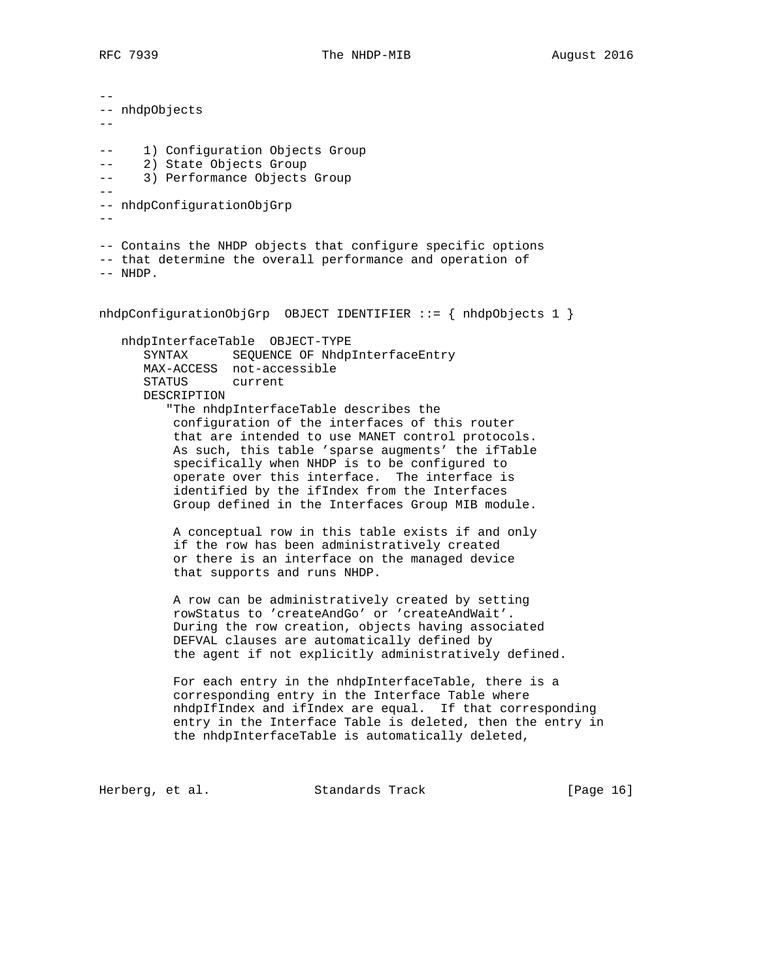-- -- nhdpObjects -- -- 1) Configuration Objects Group -- 2) State Objects Group -- 3) Performance Objects Group -- -- nhdpConfigurationObjGrp -- -- Contains the NHDP objects that configure specific options -- that determine the overall performance and operation of -- NHDP. nhdpConfigurationObjGrp OBJECT IDENTIFIER ::= { nhdpObjects 1 } nhdpInterfaceTable OBJECT-TYPE SYNTAX SEQUENCE OF NhdpInterfaceEntry MAX-ACCESS not-accessible STATUS current DESCRIPTION "The nhdpInterfaceTable describes the configuration of the interfaces of this router that are intended to use MANET control protocols. As such, this table 'sparse augments' the ifTable specifically when NHDP is to be configured to operate over this interface. The interface is identified by the ifIndex from the Interfaces Group defined in the Interfaces Group MIB module. A conceptual row in this table exists if and only if the row has been administratively created or there is an interface on the managed device that supports and runs NHDP. A row can be administratively created by setting rowStatus to 'createAndGo' or 'createAndWait'. During the row creation, objects having associated DEFVAL clauses are automatically defined by the agent if not explicitly administratively defined. For each entry in the nhdpInterfaceTable, there is a corresponding entry in the Interface Table where nhdpIfIndex and ifIndex are equal. If that corresponding entry in the Interface Table is deleted, then the entry in the nhdpInterfaceTable is automatically deleted,

Herberg, et al. Standards Track [Page 16]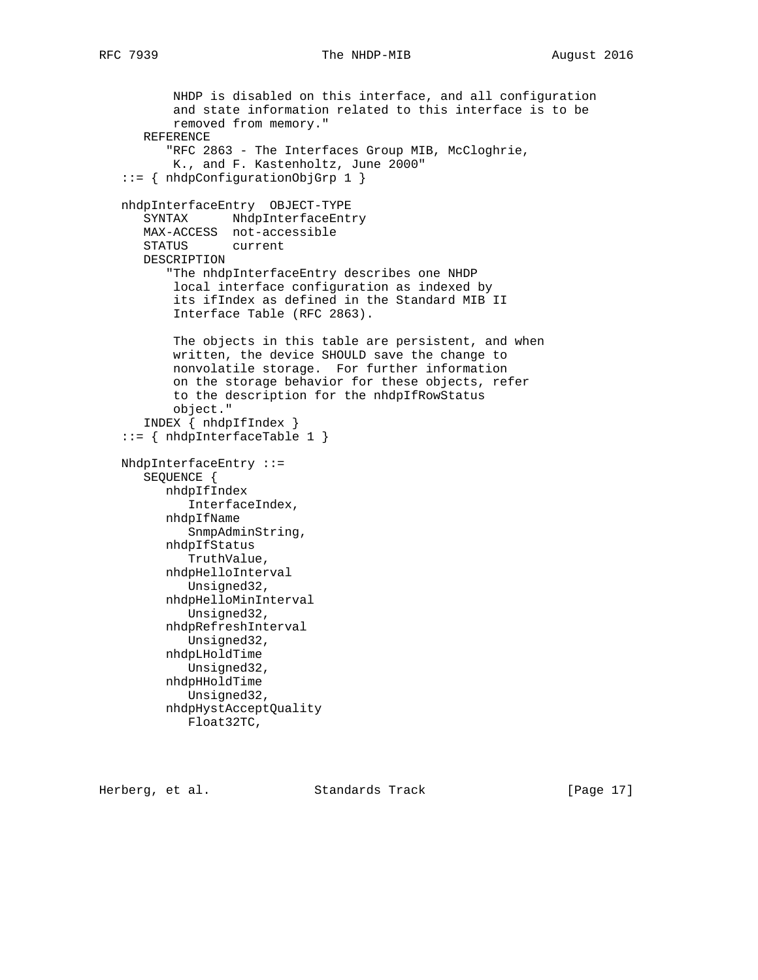```
 NHDP is disabled on this interface, and all configuration
        and state information related to this interface is to be
        removed from memory."
    REFERENCE
       "RFC 2863 - The Interfaces Group MIB, McCloghrie,
        K., and F. Kastenholtz, June 2000"
 ::= { nhdpConfigurationObjGrp 1 }
 nhdpInterfaceEntry OBJECT-TYPE
   SYNTAX NhdpInterfaceEntry
    MAX-ACCESS not-accessible
    STATUS current
    DESCRIPTION
       "The nhdpInterfaceEntry describes one NHDP
        local interface configuration as indexed by
        its ifIndex as defined in the Standard MIB II
        Interface Table (RFC 2863).
        The objects in this table are persistent, and when
        written, the device SHOULD save the change to
        nonvolatile storage. For further information
        on the storage behavior for these objects, refer
        to the description for the nhdpIfRowStatus
        object."
    INDEX { nhdpIfIndex }
 ::= { nhdpInterfaceTable 1 }
 NhdpInterfaceEntry ::=
    SEQUENCE {
       nhdpIfIndex
          InterfaceIndex,
       nhdpIfName
         SnmpAdminString,
       nhdpIfStatus
          TruthValue,
       nhdpHelloInterval
         Unsigned32,
       nhdpHelloMinInterval
         Unsigned32,
       nhdpRefreshInterval
         Unsigned32,
       nhdpLHoldTime
         Unsigned32,
       nhdpHHoldTime
          Unsigned32,
       nhdpHystAcceptQuality
          Float32TC,
```
Herberg, et al. Standards Track [Page 17]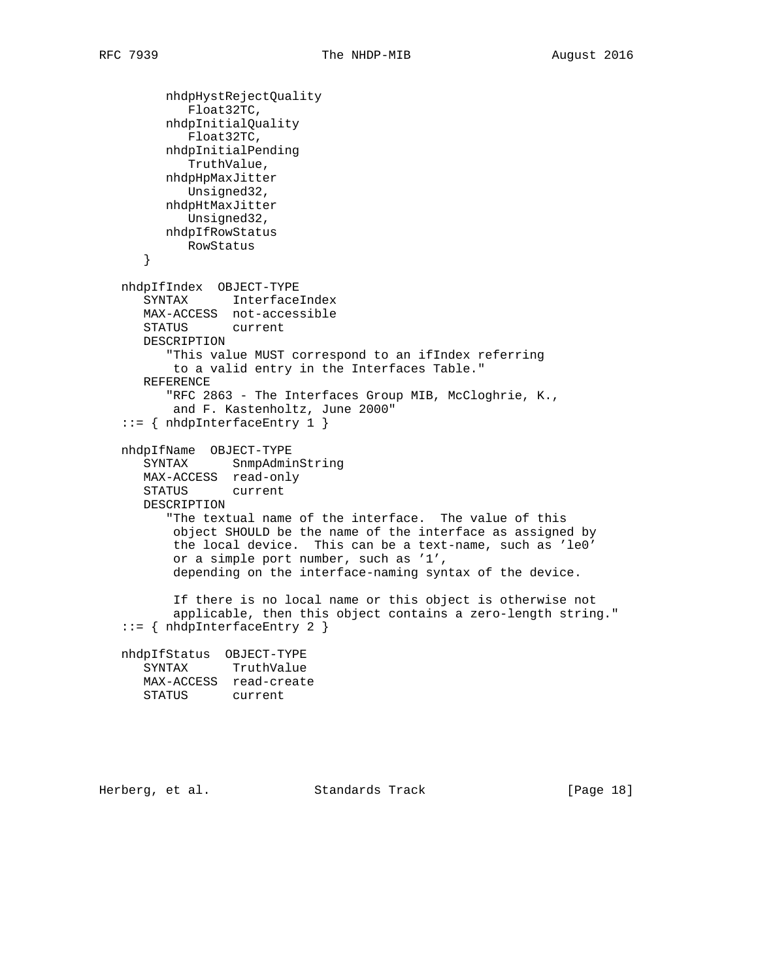```
 nhdpHystRejectQuality
         Float32TC,
       nhdpInitialQuality
          Float32TC,
      nhdpInitialPending
          TruthValue,
      nhdpHpMaxJitter
         Unsigned32,
      nhdpHtMaxJitter
         Unsigned32,
      nhdpIfRowStatus
         RowStatus
    }
 nhdpIfIndex OBJECT-TYPE
    SYNTAX InterfaceIndex
    MAX-ACCESS not-accessible
    STATUS current
   DESCRIPTION
       "This value MUST correspond to an ifIndex referring
       to a valid entry in the Interfaces Table."
    REFERENCE
       "RFC 2863 - The Interfaces Group MIB, McCloghrie, K.,
       and F. Kastenholtz, June 2000"
 ::= { nhdpInterfaceEntry 1 }
 nhdpIfName OBJECT-TYPE
    SYNTAX SnmpAdminString
   MAX-ACCESS read-only
    STATUS current
    DESCRIPTION
       "The textual name of the interface. The value of this
       object SHOULD be the name of the interface as assigned by
        the local device. This can be a text-name, such as 'le0'
        or a simple port number, such as '1',
        depending on the interface-naming syntax of the device.
        If there is no local name or this object is otherwise not
        applicable, then this object contains a zero-length string."
 ::= { nhdpInterfaceEntry 2 }
 nhdpIfStatus OBJECT-TYPE
    SYNTAX TruthValue
   MAX-ACCESS read-create
   STATUS current
```
Herberg, et al. Standards Track [Page 18]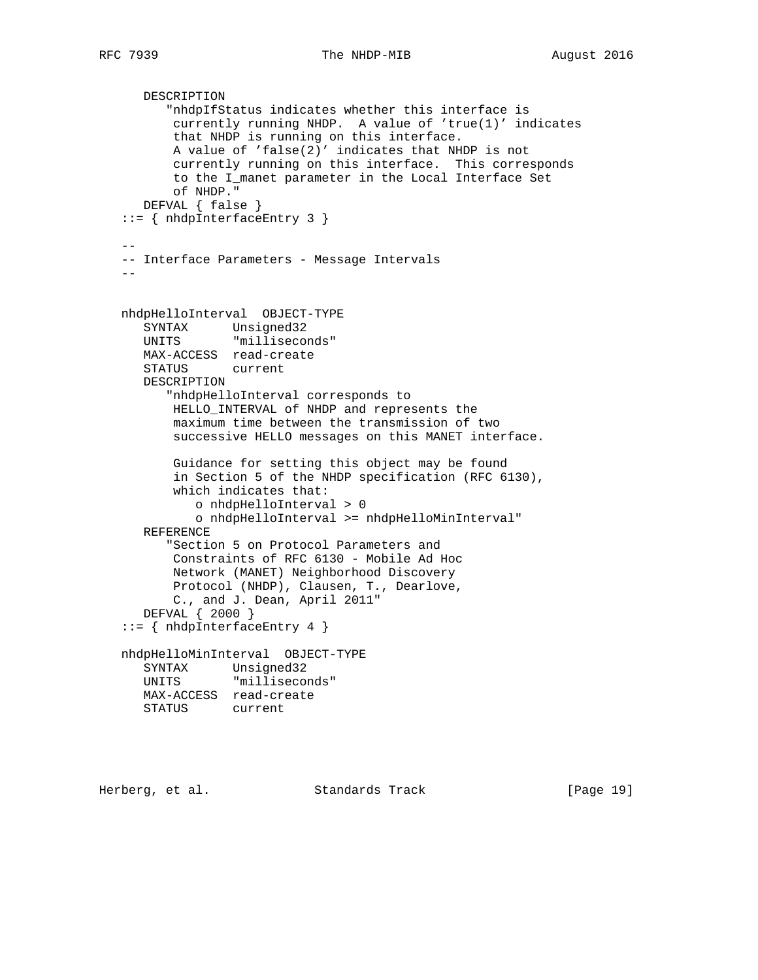```
 DESCRIPTION
          "nhdpIfStatus indicates whether this interface is
          currently running NHDP. A value of 'true(1)' indicates
          that NHDP is running on this interface.
          A value of 'false(2)' indicates that NHDP is not
          currently running on this interface. This corresponds
          to the I_manet parameter in the Local Interface Set
          of NHDP."
      DEFVAL { false }
   ::= { nhdpInterfaceEntry 3 }
--- Interface Parameters - Message Intervals
 --
   nhdpHelloInterval OBJECT-TYPE
      SYNTAX Unsigned32
      UNITS "milliseconds"
      MAX-ACCESS read-create
      STATUS current
      DESCRIPTION
          "nhdpHelloInterval corresponds to
          HELLO_INTERVAL of NHDP and represents the
          maximum time between the transmission of two
          successive HELLO messages on this MANET interface.
          Guidance for setting this object may be found
          in Section 5 of the NHDP specification (RFC 6130),
          which indicates that:
             o nhdpHelloInterval > 0
             o nhdpHelloInterval >= nhdpHelloMinInterval"
      REFERENCE
          "Section 5 on Protocol Parameters and
          Constraints of RFC 6130 - Mobile Ad Hoc
          Network (MANET) Neighborhood Discovery
          Protocol (NHDP), Clausen, T., Dearlove,
          C., and J. Dean, April 2011"
      DEFVAL { 2000 }
   ::= { nhdpInterfaceEntry 4 }
   nhdpHelloMinInterval OBJECT-TYPE
      SYNTAX Unsigned32
      UNITS "milliseconds"
      MAX-ACCESS read-create
      STATUS current
```
Herberg, et al. Standards Track [Page 19]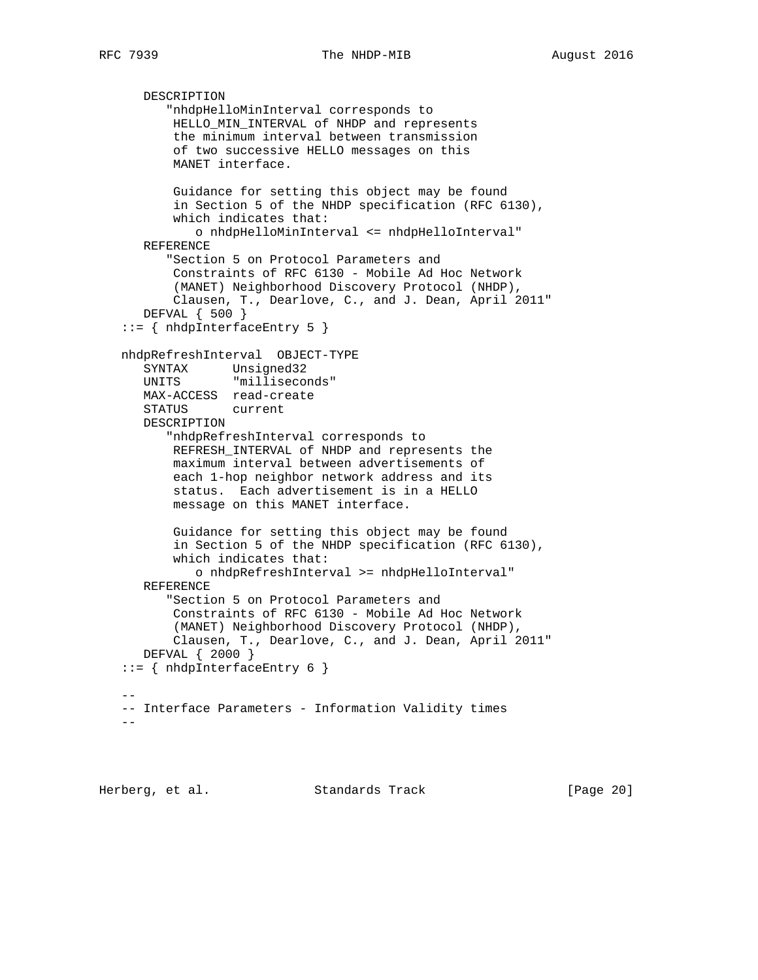```
 DESCRIPTION
          "nhdpHelloMinInterval corresponds to
          HELLO_MIN_INTERVAL of NHDP and represents
          the minimum interval between transmission
          of two successive HELLO messages on this
          MANET interface.
          Guidance for setting this object may be found
          in Section 5 of the NHDP specification (RFC 6130),
          which indicates that:
             o nhdpHelloMinInterval <= nhdpHelloInterval"
      REFERENCE
          "Section 5 on Protocol Parameters and
          Constraints of RFC 6130 - Mobile Ad Hoc Network
           (MANET) Neighborhood Discovery Protocol (NHDP),
          Clausen, T., Dearlove, C., and J. Dean, April 2011"
      DEFVAL { 500 }
   ::= { nhdpInterfaceEntry 5 }
   nhdpRefreshInterval OBJECT-TYPE
      SYNTAX Unsigned32
      UNITS "milliseconds"
      MAX-ACCESS read-create
      STATUS current
      DESCRIPTION
          "nhdpRefreshInterval corresponds to
          REFRESH_INTERVAL of NHDP and represents the
          maximum interval between advertisements of
          each 1-hop neighbor network address and its
          status. Each advertisement is in a HELLO
          message on this MANET interface.
          Guidance for setting this object may be found
          in Section 5 of the NHDP specification (RFC 6130),
          which indicates that:
             o nhdpRefreshInterval >= nhdpHelloInterval"
      REFERENCE
          "Section 5 on Protocol Parameters and
          Constraints of RFC 6130 - Mobile Ad Hoc Network
           (MANET) Neighborhood Discovery Protocol (NHDP),
          Clausen, T., Dearlove, C., and J. Dean, April 2011"
      DEFVAL { 2000 }
   ::= { nhdpInterfaceEntry 6 }
- -- Interface Parameters - Information Validity times
  -
```
Herberg, et al. Standards Track [Page 20]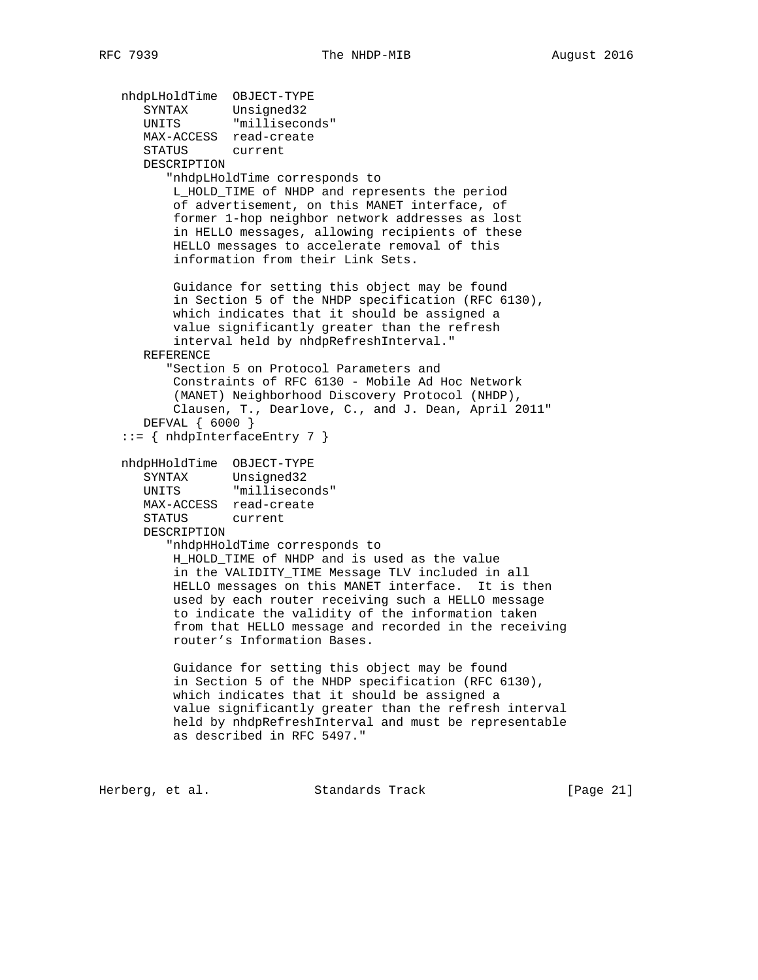nhdpLHoldTime OBJECT-TYPE SYNTAX Unsigned32 UNITS "milliseconds" MAX-ACCESS read-create STATUS current DESCRIPTION "nhdpLHoldTime corresponds to L\_HOLD\_TIME of NHDP and represents the period of advertisement, on this MANET interface, of former 1-hop neighbor network addresses as lost in HELLO messages, allowing recipients of these HELLO messages to accelerate removal of this information from their Link Sets. Guidance for setting this object may be found in Section 5 of the NHDP specification (RFC 6130), which indicates that it should be assigned a value significantly greater than the refresh interval held by nhdpRefreshInterval." REFERENCE "Section 5 on Protocol Parameters and Constraints of RFC 6130 - Mobile Ad Hoc Network (MANET) Neighborhood Discovery Protocol (NHDP), Clausen, T., Dearlove, C., and J. Dean, April 2011" DEFVAL { 6000 } ::= { nhdpInterfaceEntry 7 } nhdpHHoldTime OBJECT-TYPE SYNTAX Unsigned32 UNITS "milliseconds" MAX-ACCESS read-create STATUS current DESCRIPTION "nhdpHHoldTime corresponds to H\_HOLD\_TIME of NHDP and is used as the value in the VALIDITY\_TIME Message TLV included in all HELLO messages on this MANET interface. It is then used by each router receiving such a HELLO message to indicate the validity of the information taken from that HELLO message and recorded in the receiving router's Information Bases. Guidance for setting this object may be found in Section 5 of the NHDP specification (RFC 6130), which indicates that it should be assigned a value significantly greater than the refresh interval held by nhdpRefreshInterval and must be representable as described in RFC 5497."

Herberg, et al. Standards Track [Page 21]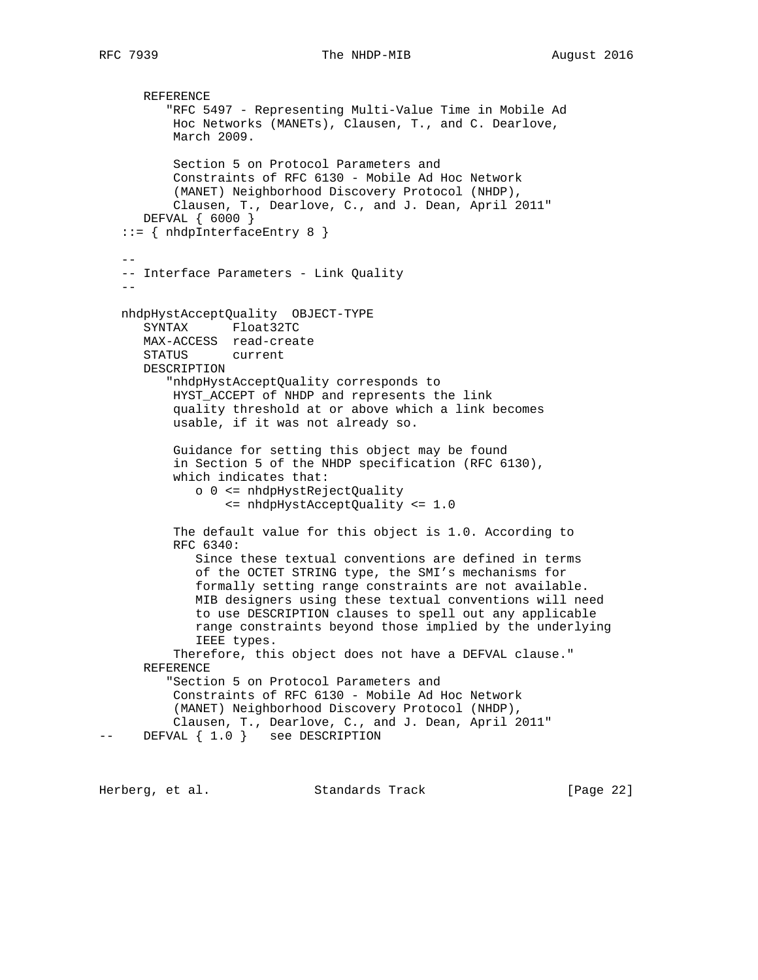```
 REFERENCE
          "RFC 5497 - Representing Multi-Value Time in Mobile Ad
          Hoc Networks (MANETs), Clausen, T., and C. Dearlove,
          March 2009.
           Section 5 on Protocol Parameters and
           Constraints of RFC 6130 - Mobile Ad Hoc Network
           (MANET) Neighborhood Discovery Protocol (NHDP),
           Clausen, T., Dearlove, C., and J. Dean, April 2011"
       DEFVAL { 6000 }
    ::= { nhdpInterfaceEntry 8 }
 --
    -- Interface Parameters - Link Quality
- nhdpHystAcceptQuality OBJECT-TYPE
       SYNTAX Float32TC
      MAX-ACCESS read-create
      STATUS current
       DESCRIPTION
          "nhdpHystAcceptQuality corresponds to
          HYST_ACCEPT of NHDP and represents the link
          quality threshold at or above which a link becomes
          usable, if it was not already so.
           Guidance for setting this object may be found
           in Section 5 of the NHDP specification (RFC 6130),
           which indicates that:
              o 0 <= nhdpHystRejectQuality
                  <= nhdpHystAcceptQuality <= 1.0
           The default value for this object is 1.0. According to
           RFC 6340:
              Since these textual conventions are defined in terms
              of the OCTET STRING type, the SMI's mechanisms for
              formally setting range constraints are not available.
              MIB designers using these textual conventions will need
              to use DESCRIPTION clauses to spell out any applicable
              range constraints beyond those implied by the underlying
              IEEE types.
           Therefore, this object does not have a DEFVAL clause."
       REFERENCE
          "Section 5 on Protocol Parameters and
          Constraints of RFC 6130 - Mobile Ad Hoc Network
           (MANET) Neighborhood Discovery Protocol (NHDP),
           Clausen, T., Dearlove, C., and J. Dean, April 2011"
-- DEFVAL \{ 1.0 \} see DESCRIPTION
```
Herberg, et al. Standards Track [Page 22]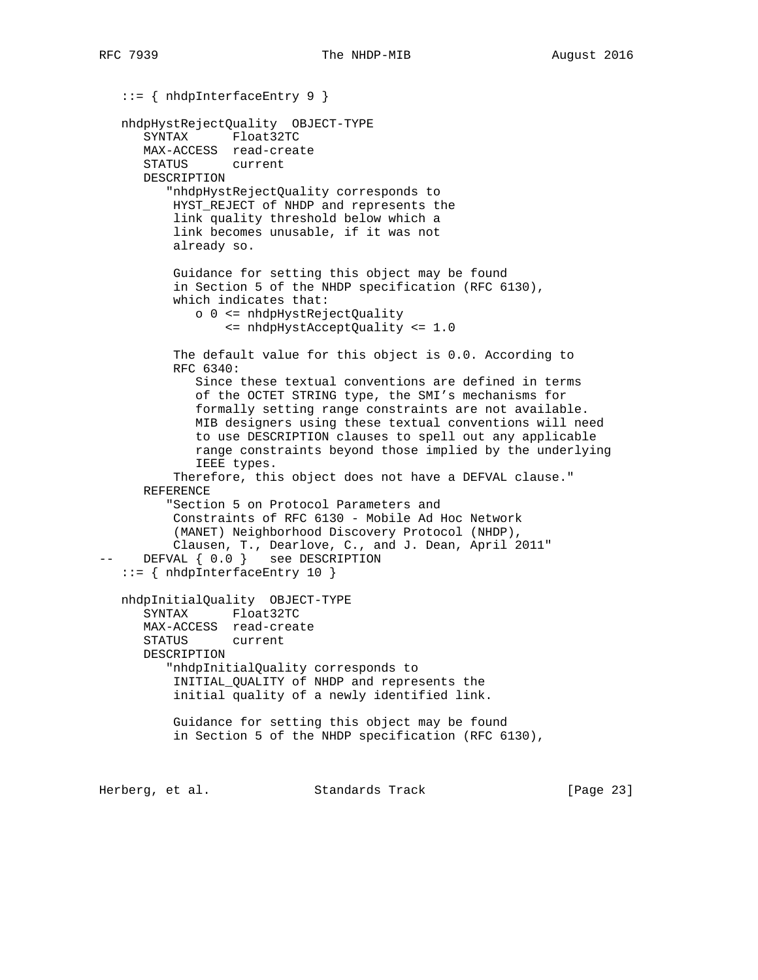::= { nhdpInterfaceEntry 9 } nhdpHystRejectQuality OBJECT-TYPE SYNTAX Float32TC MAX-ACCESS read-create STATUS current DESCRIPTION "nhdpHystRejectQuality corresponds to HYST\_REJECT of NHDP and represents the link quality threshold below which a link becomes unusable, if it was not already so. Guidance for setting this object may be found in Section 5 of the NHDP specification (RFC 6130), which indicates that: o 0 <= nhdpHystRejectQuality <= nhdpHystAcceptQuality <= 1.0 The default value for this object is 0.0. According to RFC 6340: Since these textual conventions are defined in terms of the OCTET STRING type, the SMI's mechanisms for formally setting range constraints are not available. MIB designers using these textual conventions will need to use DESCRIPTION clauses to spell out any applicable range constraints beyond those implied by the underlying IEEE types. Therefore, this object does not have a DEFVAL clause." REFERENCE "Section 5 on Protocol Parameters and Constraints of RFC 6130 - Mobile Ad Hoc Network (MANET) Neighborhood Discovery Protocol (NHDP), Clausen, T., Dearlove, C., and J. Dean, April 2011" DEFVAL {  $0.0$  } see DESCRIPTION ::= { nhdpInterfaceEntry 10 } nhdpInitialQuality OBJECT-TYPE SYNTAX Float32TC MAX-ACCESS read-create STATUS current DESCRIPTION "nhdpInitialQuality corresponds to INITIAL\_QUALITY of NHDP and represents the initial quality of a newly identified link. Guidance for setting this object may be found in Section 5 of the NHDP specification (RFC 6130), Herberg, et al. Standards Track [Page 23]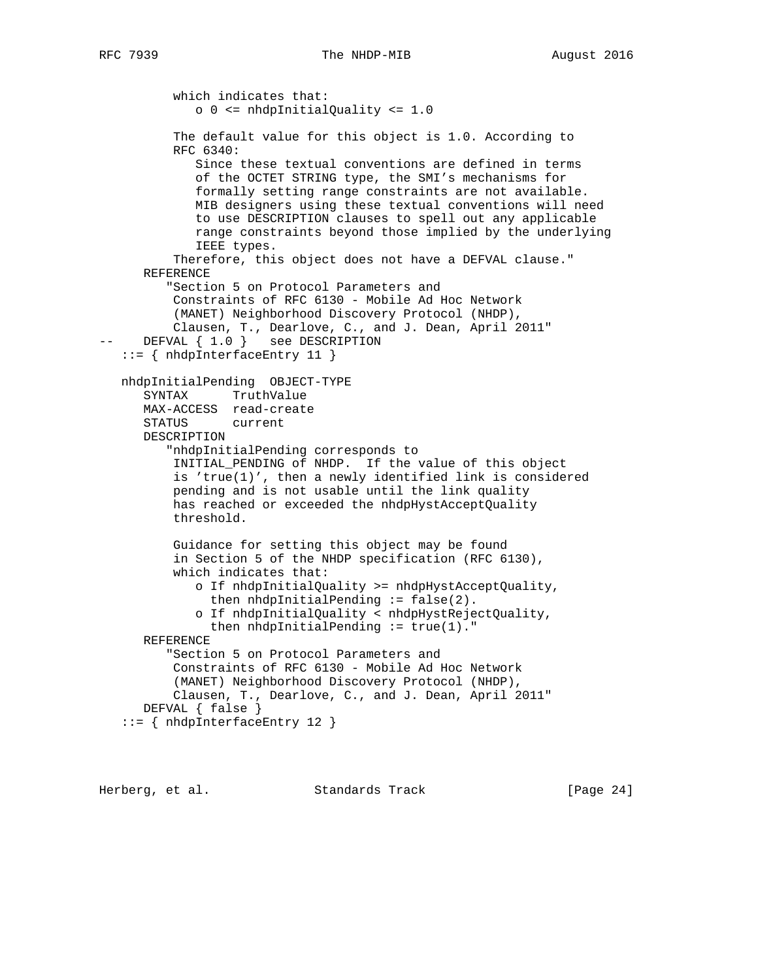```
RFC 7939 The NHDP-MIB 2016
```
 which indicates that: o 0 <= nhdpInitialQuality <= 1.0 The default value for this object is 1.0. According to RFC 6340: Since these textual conventions are defined in terms of the OCTET STRING type, the SMI's mechanisms for formally setting range constraints are not available. MIB designers using these textual conventions will need to use DESCRIPTION clauses to spell out any applicable range constraints beyond those implied by the underlying IEEE types. Therefore, this object does not have a DEFVAL clause." REFERENCE "Section 5 on Protocol Parameters and Constraints of RFC 6130 - Mobile Ad Hoc Network (MANET) Neighborhood Discovery Protocol (NHDP), Clausen, T., Dearlove, C., and J. Dean, April 2011" -- DEFVAL  $\{ 1.0 \}$  see DESCRIPTION ::= { nhdpInterfaceEntry 11 } nhdpInitialPending OBJECT-TYPE SYNTAX TruthValue MAX-ACCESS read-create STATUS current DESCRIPTION "nhdpInitialPending corresponds to INITIAL\_PENDING of NHDP. If the value of this object is 'true(1)', then a newly identified link is considered pending and is not usable until the link quality has reached or exceeded the nhdpHystAcceptQuality threshold. Guidance for setting this object may be found in Section 5 of the NHDP specification (RFC 6130), which indicates that: o If nhdpInitialQuality >= nhdpHystAcceptQuality, then nhdpInitialPending  $:=$  false(2). o If nhdpInitialQuality < nhdpHystRejectQuality, then nhdpInitialPending  $:=$  true(1)." REFERENCE "Section 5 on Protocol Parameters and Constraints of RFC 6130 - Mobile Ad Hoc Network (MANET) Neighborhood Discovery Protocol (NHDP), Clausen, T., Dearlove, C., and J. Dean, April 2011" DEFVAL { false } ::= { nhdpInterfaceEntry 12 }

Herberg, et al. Standards Track [Page 24]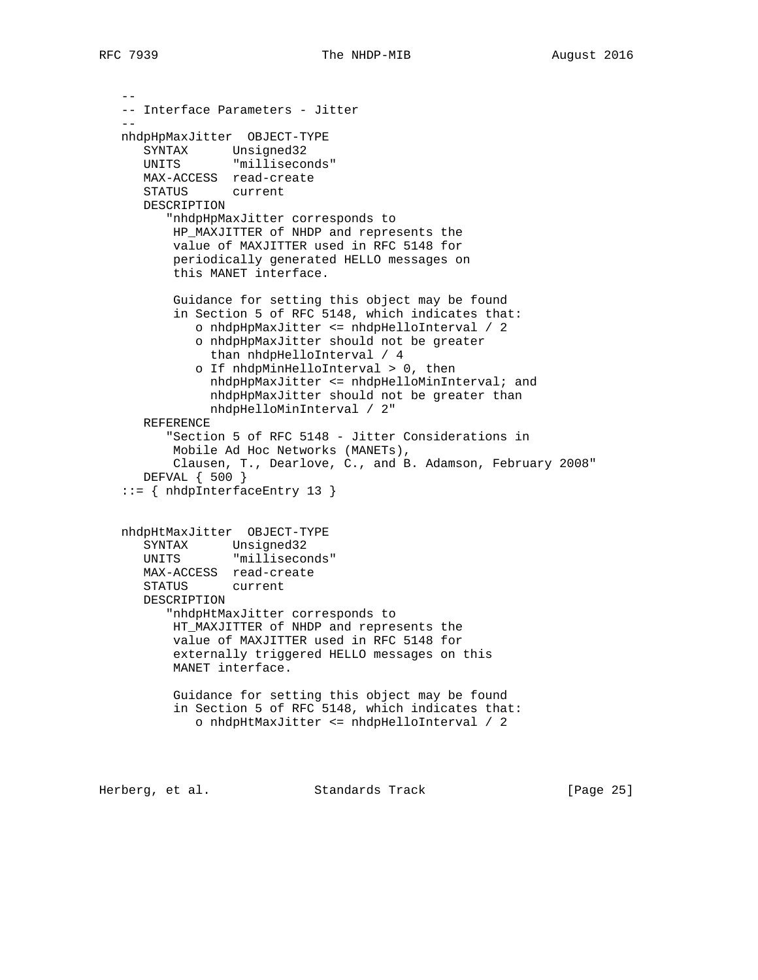```
 --
   -- Interface Parameters - Jitter
- nhdpHpMaxJitter OBJECT-TYPE
 SYNTAX Unsigned32
 UNITS "milliseconds"
      MAX-ACCESS read-create
      STATUS current
      DESCRIPTION
         "nhdpHpMaxJitter corresponds to
          HP_MAXJITTER of NHDP and represents the
          value of MAXJITTER used in RFC 5148 for
          periodically generated HELLO messages on
          this MANET interface.
          Guidance for setting this object may be found
          in Section 5 of RFC 5148, which indicates that:
             o nhdpHpMaxJitter <= nhdpHelloInterval / 2
             o nhdpHpMaxJitter should not be greater
               than nhdpHelloInterval / 4
             o If nhdpMinHelloInterval > 0, then
               nhdpHpMaxJitter <= nhdpHelloMinInterval; and
               nhdpHpMaxJitter should not be greater than
               nhdpHelloMinInterval / 2"
      REFERENCE
         "Section 5 of RFC 5148 - Jitter Considerations in
          Mobile Ad Hoc Networks (MANETs),
          Clausen, T., Dearlove, C., and B. Adamson, February 2008"
      DEFVAL { 500 }
   ::= { nhdpInterfaceEntry 13 }
   nhdpHtMaxJitter OBJECT-TYPE
 SYNTAX Unsigned32
 UNITS "milliseconds"
      MAX-ACCESS read-create
      STATUS current
      DESCRIPTION
         "nhdpHtMaxJitter corresponds to
         HT MAXJITTER of NHDP and represents the
          value of MAXJITTER used in RFC 5148 for
          externally triggered HELLO messages on this
          MANET interface.
          Guidance for setting this object may be found
          in Section 5 of RFC 5148, which indicates that:
             o nhdpHtMaxJitter <= nhdpHelloInterval / 2
```
Herberg, et al. Standards Track [Page 25]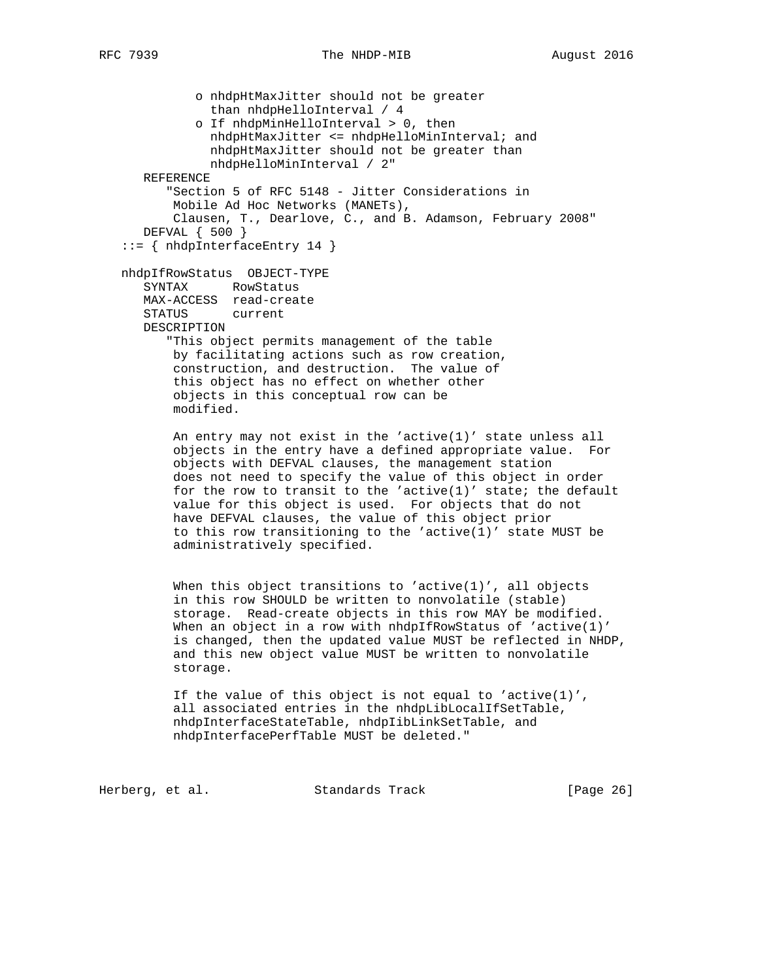```
 o nhdpHtMaxJitter should not be greater
             than nhdpHelloInterval / 4
           o If nhdpMinHelloInterval > 0, then
             nhdpHtMaxJitter <= nhdpHelloMinInterval; and
             nhdpHtMaxJitter should not be greater than
             nhdpHelloMinInterval / 2"
   REFERENCE
       "Section 5 of RFC 5148 - Jitter Considerations in
       Mobile Ad Hoc Networks (MANETs),
        Clausen, T., Dearlove, C., and B. Adamson, February 2008"
   DEFVAL { 500 }
 ::= { nhdpInterfaceEntry 14 }
 nhdpIfRowStatus OBJECT-TYPE
    SYNTAX RowStatus
   MAX-ACCESS read-create
   STATUS current
   DESCRIPTION
       "This object permits management of the table
       by facilitating actions such as row creation,
        construction, and destruction. The value of
        this object has no effect on whether other
        objects in this conceptual row can be
        modified.
       An entry may not exist in the 'active(1)' state unless all
        objects in the entry have a defined appropriate value. For
        objects with DEFVAL clauses, the management station
        does not need to specify the value of this object in order
       for the row to transit to the 'active(1)' state; the default
        value for this object is used. For objects that do not
       have DEFVAL clauses, the value of this object prior
       to this row transitioning to the 'active(1)' state MUST be
        administratively specified.
       When this object transitions to 'active(1)', all objects
        in this row SHOULD be written to nonvolatile (stable)
        storage. Read-create objects in this row MAY be modified.
       When an object in a row with nhdpIfRowStatus of 'active(1)'
        is changed, then the updated value MUST be reflected in NHDP,
        and this new object value MUST be written to nonvolatile
        storage.
       If the value of this object is not equal to 'active(1)',
        all associated entries in the nhdpLibLocalIfSetTable,
        nhdpInterfaceStateTable, nhdpIibLinkSetTable, and
```
Herberg, et al. Standards Track [Page 26]

nhdpInterfacePerfTable MUST be deleted."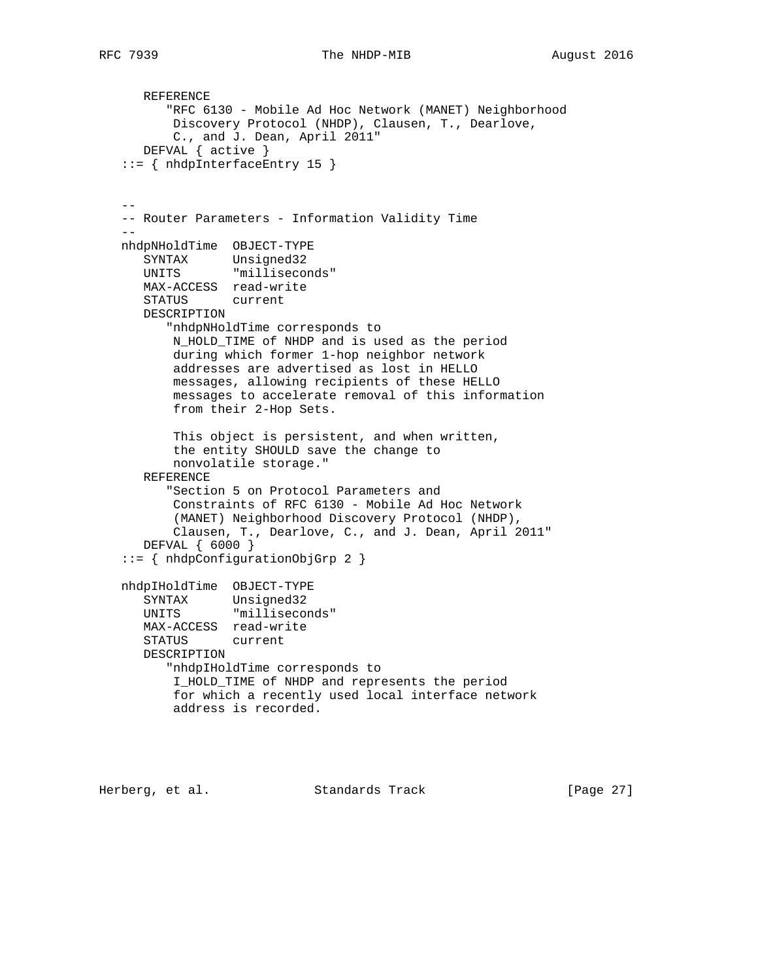```
 REFERENCE
         "RFC 6130 - Mobile Ad Hoc Network (MANET) Neighborhood
          Discovery Protocol (NHDP), Clausen, T., Dearlove,
          C., and J. Dean, April 2011"
      DEFVAL { active }
   ::= { nhdpInterfaceEntry 15 }
--- Router Parameters - Information Validity Time
 --
   nhdpNHoldTime OBJECT-TYPE
 SYNTAX Unsigned32
 UNITS "milliseconds"
      MAX-ACCESS read-write
      STATUS current
      DESCRIPTION
         "nhdpNHoldTime corresponds to
          N_HOLD_TIME of NHDP and is used as the period
          during which former 1-hop neighbor network
          addresses are advertised as lost in HELLO
          messages, allowing recipients of these HELLO
          messages to accelerate removal of this information
          from their 2-Hop Sets.
          This object is persistent, and when written,
          the entity SHOULD save the change to
          nonvolatile storage."
      REFERENCE
         "Section 5 on Protocol Parameters and
          Constraints of RFC 6130 - Mobile Ad Hoc Network
          (MANET) Neighborhood Discovery Protocol (NHDP),
          Clausen, T., Dearlove, C., and J. Dean, April 2011"
      DEFVAL { 6000 }
   ::= { nhdpConfigurationObjGrp 2 }
   nhdpIHoldTime OBJECT-TYPE
 SYNTAX Unsigned32
 UNITS "milliseconds"
      MAX-ACCESS read-write
      STATUS current
      DESCRIPTION
         "nhdpIHoldTime corresponds to
          I_HOLD_TIME of NHDP and represents the period
          for which a recently used local interface network
          address is recorded.
```
Herberg, et al. Standards Track [Page 27]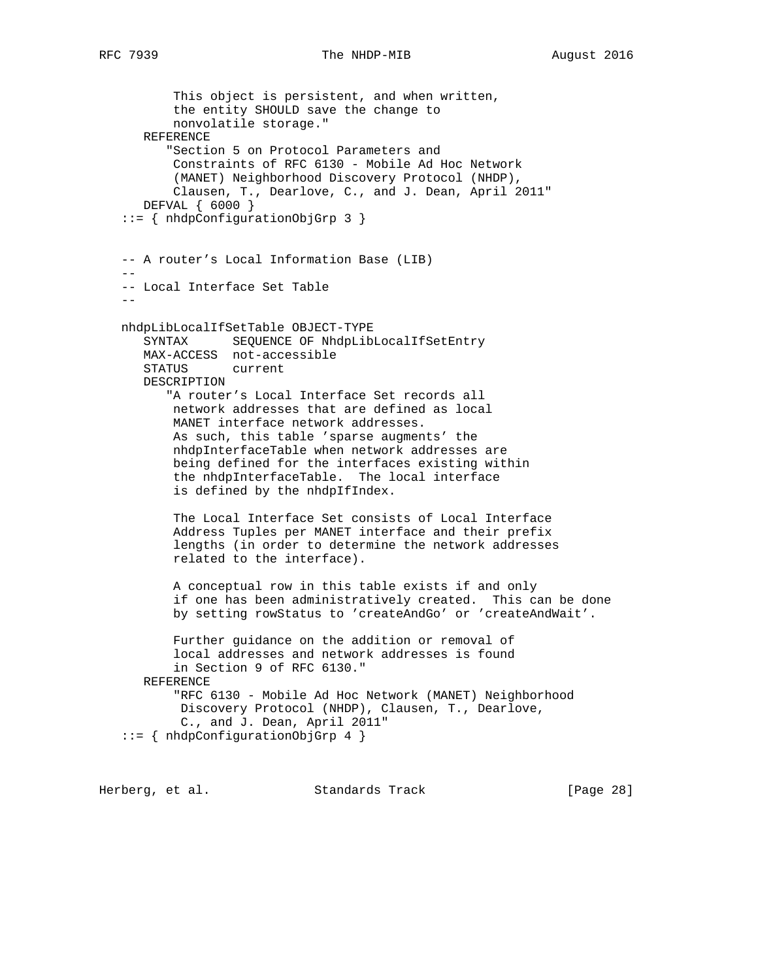This object is persistent, and when written, the entity SHOULD save the change to nonvolatile storage." REFERENCE "Section 5 on Protocol Parameters and Constraints of RFC 6130 - Mobile Ad Hoc Network (MANET) Neighborhood Discovery Protocol (NHDP), Clausen, T., Dearlove, C., and J. Dean, April 2011" DEFVAL { 6000 } ::= { nhdpConfigurationObjGrp 3 } -- A router's Local Information Base (LIB) -- -- Local Interface Set Table - nhdpLibLocalIfSetTable OBJECT-TYPE SYNTAX SEQUENCE OF NhdpLibLocalIfSetEntry MAX-ACCESS not-accessible STATUS current DESCRIPTION "A router's Local Interface Set records all network addresses that are defined as local MANET interface network addresses. As such, this table 'sparse augments' the nhdpInterfaceTable when network addresses are being defined for the interfaces existing within the nhdpInterfaceTable. The local interface is defined by the nhdpIfIndex. The Local Interface Set consists of Local Interface Address Tuples per MANET interface and their prefix lengths (in order to determine the network addresses related to the interface). A conceptual row in this table exists if and only if one has been administratively created. This can be done by setting rowStatus to 'createAndGo' or 'createAndWait'. Further guidance on the addition or removal of local addresses and network addresses is found in Section 9 of RFC 6130." REFERENCE "RFC 6130 - Mobile Ad Hoc Network (MANET) Neighborhood Discovery Protocol (NHDP), Clausen, T., Dearlove, C., and J. Dean, April 2011" ::= { nhdpConfigurationObjGrp 4 }

Herberg, et al. Standards Track [Page 28]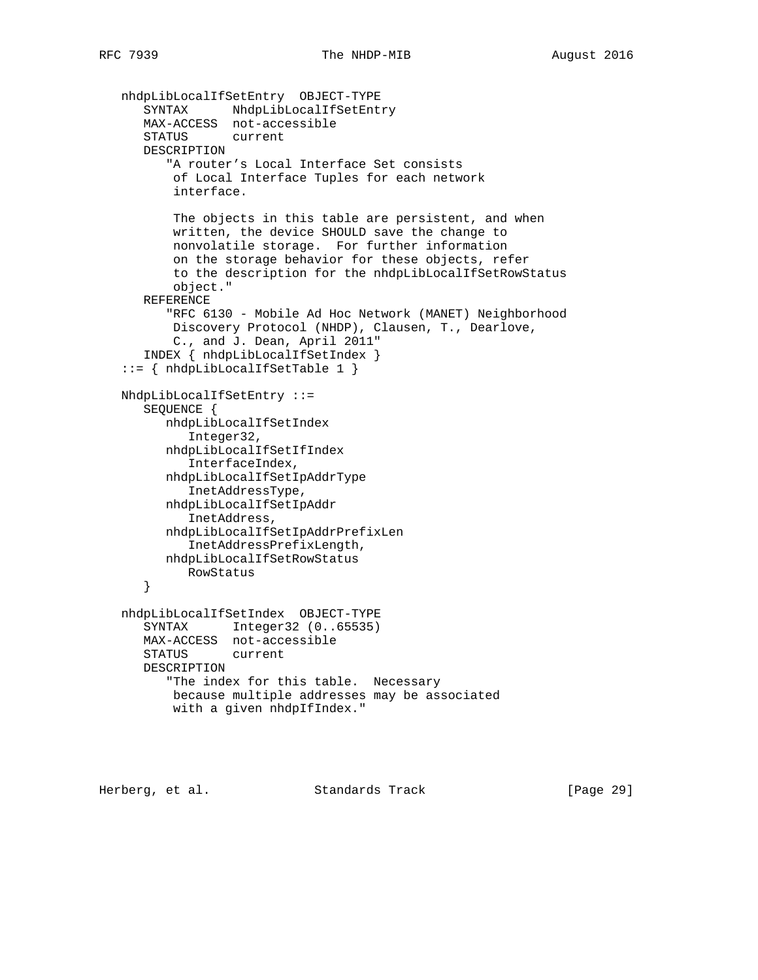```
 nhdpLibLocalIfSetEntry OBJECT-TYPE
 SYNTAX NhdpLibLocalIfSetEntry
 MAX-ACCESS not-accessible
      STATUS current
      DESCRIPTION
          "A router's Local Interface Set consists
          of Local Interface Tuples for each network
          interface.
          The objects in this table are persistent, and when
          written, the device SHOULD save the change to
          nonvolatile storage. For further information
          on the storage behavior for these objects, refer
          to the description for the nhdpLibLocalIfSetRowStatus
          object."
      REFERENCE
          "RFC 6130 - Mobile Ad Hoc Network (MANET) Neighborhood
          Discovery Protocol (NHDP), Clausen, T., Dearlove,
          C., and J. Dean, April 2011"
      INDEX { nhdpLibLocalIfSetIndex }
   ::= { nhdpLibLocalIfSetTable 1 }
   NhdpLibLocalIfSetEntry ::=
      SEQUENCE {
         nhdpLibLocalIfSetIndex
           Integer32,
         nhdpLibLocalIfSetIfIndex
            InterfaceIndex,
         nhdpLibLocalIfSetIpAddrType
            InetAddressType,
         nhdpLibLocalIfSetIpAddr
            InetAddress,
         nhdpLibLocalIfSetIpAddrPrefixLen
            InetAddressPrefixLength,
         nhdpLibLocalIfSetRowStatus
           RowStatus
      }
   nhdpLibLocalIfSetIndex OBJECT-TYPE
      SYNTAX Integer32 (0..65535)
      MAX-ACCESS not-accessible
      STATUS current
      DESCRIPTION
          "The index for this table. Necessary
          because multiple addresses may be associated
          with a given nhdpIfIndex."
```
Herberg, et al. Standards Track [Page 29]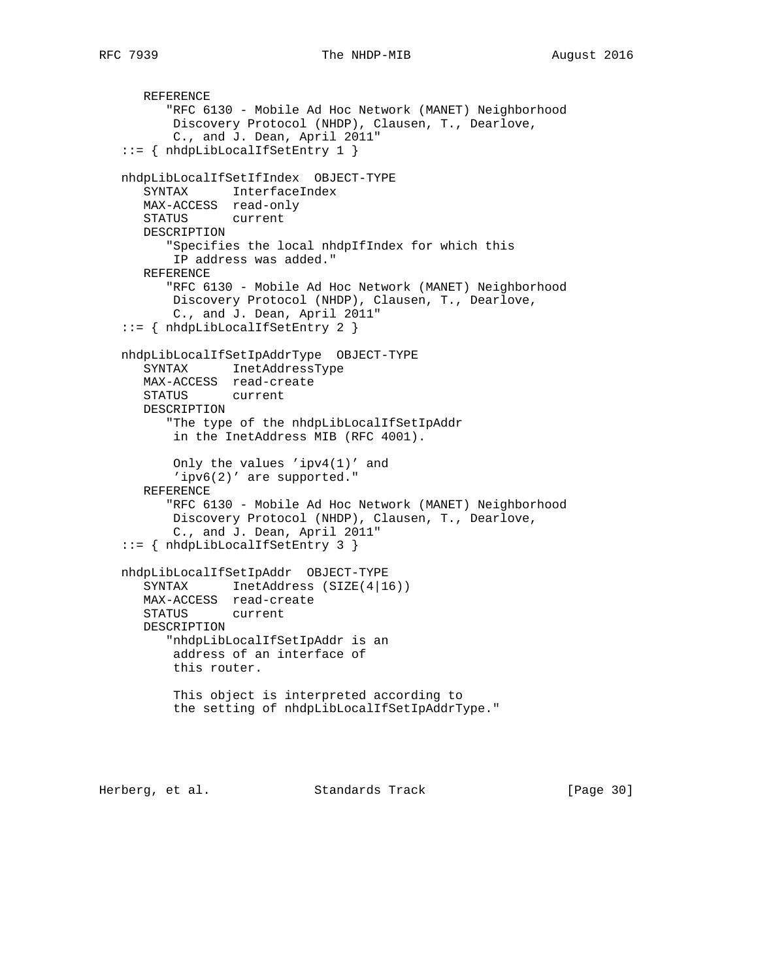```
 REFERENCE
       "RFC 6130 - Mobile Ad Hoc Network (MANET) Neighborhood
       Discovery Protocol (NHDP), Clausen, T., Dearlove,
        C., and J. Dean, April 2011"
 ::= { nhdpLibLocalIfSetEntry 1 }
 nhdpLibLocalIfSetIfIndex OBJECT-TYPE
   SYNTAX InterfaceIndex
   MAX-ACCESS read-only
    STATUS current
   DESCRIPTION
       "Specifies the local nhdpIfIndex for which this
       IP address was added."
    REFERENCE
       "RFC 6130 - Mobile Ad Hoc Network (MANET) Neighborhood
        Discovery Protocol (NHDP), Clausen, T., Dearlove,
       C., and J. Dean, April 2011"
 ::= { nhdpLibLocalIfSetEntry 2 }
 nhdpLibLocalIfSetIpAddrType OBJECT-TYPE
   SYNTAX InetAddressType
   MAX-ACCESS read-create
   STATUS current
   DESCRIPTION
       "The type of the nhdpLibLocalIfSetIpAddr
        in the InetAddress MIB (RFC 4001).
        Only the values 'ipv4(1)' and
        'ipv6(2)' are supported."
    REFERENCE
       "RFC 6130 - Mobile Ad Hoc Network (MANET) Neighborhood
       Discovery Protocol (NHDP), Clausen, T., Dearlove,
        C., and J. Dean, April 2011"
 ::= { nhdpLibLocalIfSetEntry 3 }
 nhdpLibLocalIfSetIpAddr OBJECT-TYPE
   SYNTAX InetAddress (SIZE(4|16))
   MAX-ACCESS read-create
    STATUS current
    DESCRIPTION
       "nhdpLibLocalIfSetIpAddr is an
        address of an interface of
        this router.
        This object is interpreted according to
        the setting of nhdpLibLocalIfSetIpAddrType."
```
Herberg, et al. Standards Track [Page 30]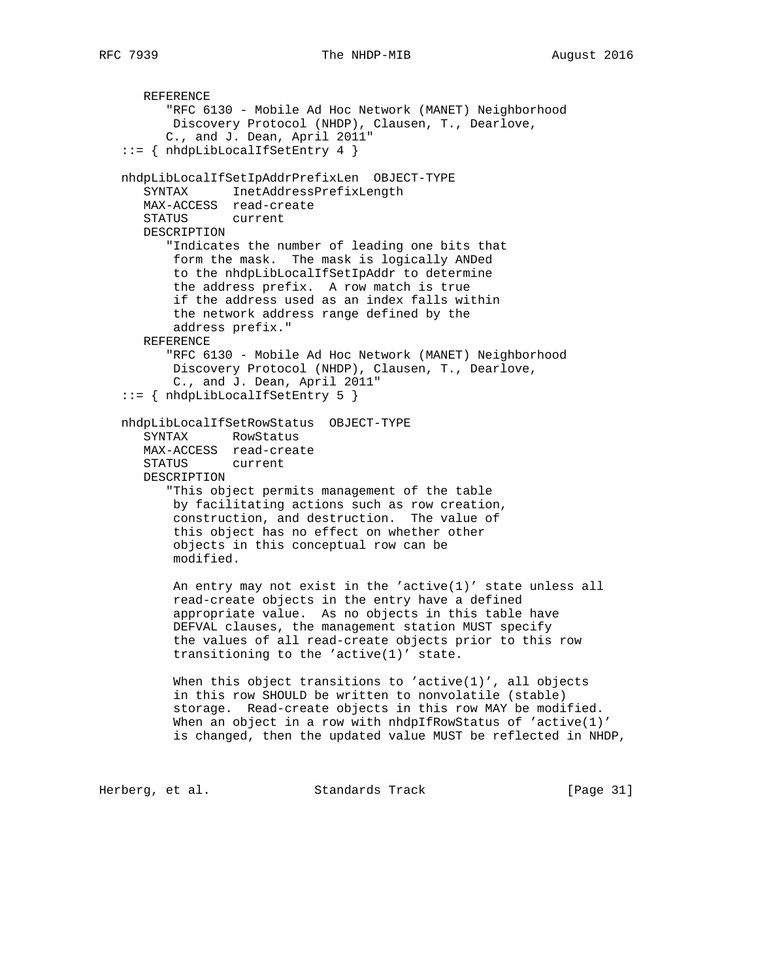```
 REFERENCE
          "RFC 6130 - Mobile Ad Hoc Network (MANET) Neighborhood
          Discovery Protocol (NHDP), Clausen, T., Dearlove,
         C., and J. Dean, April 2011"
   ::= { nhdpLibLocalIfSetEntry 4 }
   nhdpLibLocalIfSetIpAddrPrefixLen OBJECT-TYPE
      SYNTAX InetAddressPrefixLength
      MAX-ACCESS read-create
      STATUS current
      DESCRIPTION
          "Indicates the number of leading one bits that
          form the mask. The mask is logically ANDed
          to the nhdpLibLocalIfSetIpAddr to determine
          the address prefix. A row match is true
          if the address used as an index falls within
          the network address range defined by the
          address prefix."
      REFERENCE
         "RFC 6130 - Mobile Ad Hoc Network (MANET) Neighborhood
          Discovery Protocol (NHDP), Clausen, T., Dearlove,
          C., and J. Dean, April 2011"
   ::= { nhdpLibLocalIfSetEntry 5 }
   nhdpLibLocalIfSetRowStatus OBJECT-TYPE
 SYNTAX RowStatus
 MAX-ACCESS read-create
      STATUS current
      DESCRIPTION
          "This object permits management of the table
          by facilitating actions such as row creation,
          construction, and destruction. The value of
          this object has no effect on whether other
          objects in this conceptual row can be
          modified.
          An entry may not exist in the 'active(1)' state unless all
          read-create objects in the entry have a defined
          appropriate value. As no objects in this table have
          DEFVAL clauses, the management station MUST specify
          the values of all read-create objects prior to this row
          transitioning to the 'active(1)' state.
         When this object transitions to 'active(1)', all objects
          in this row SHOULD be written to nonvolatile (stable)
          storage. Read-create objects in this row MAY be modified.
         When an object in a row with nhdpIfRowStatus of 'active(1)'
          is changed, then the updated value MUST be reflected in NHDP,
```
Herberg, et al. Standards Track [Page 31]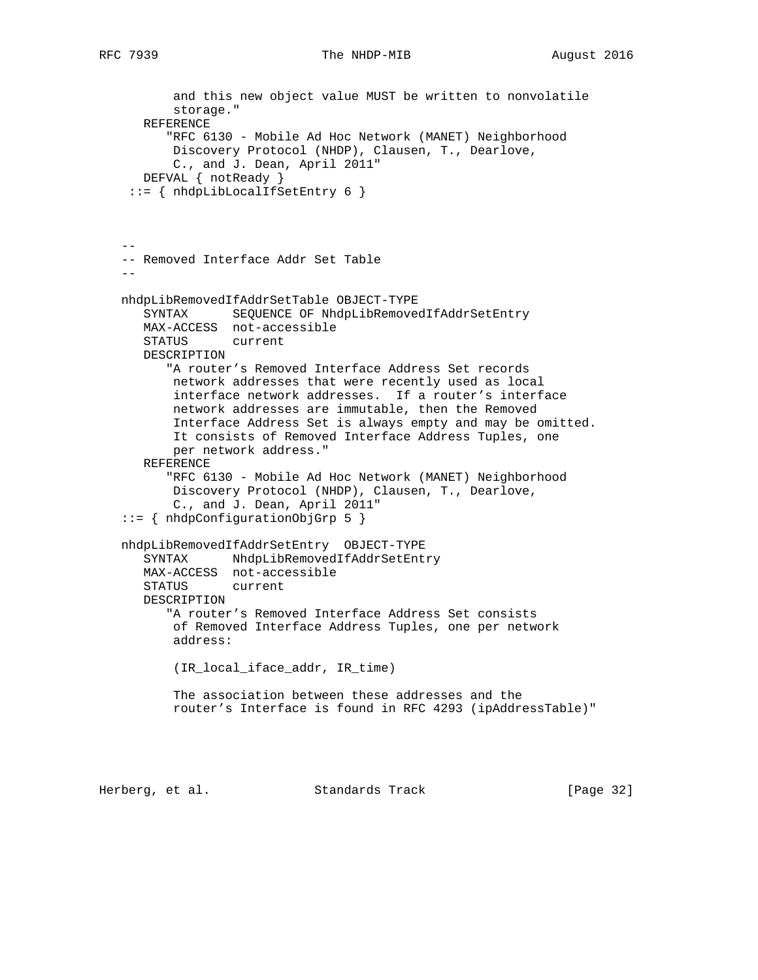## RFC 7939 The NHDP-MIB August 2016

```
 and this new object value MUST be written to nonvolatile
          storage."
      REFERENCE
          "RFC 6130 - Mobile Ad Hoc Network (MANET) Neighborhood
          Discovery Protocol (NHDP), Clausen, T., Dearlove,
          C., and J. Dean, April 2011"
      DEFVAL { notReady }
    ::= { nhdpLibLocalIfSetEntry 6 }
- -- Removed Interface Addr Set Table
 --
   nhdpLibRemovedIfAddrSetTable OBJECT-TYPE
      SYNTAX SEQUENCE OF NhdpLibRemovedIfAddrSetEntry
      MAX-ACCESS not-accessible
      STATUS current
      DESCRIPTION
         "A router's Removed Interface Address Set records
          network addresses that were recently used as local
          interface network addresses. If a router's interface
          network addresses are immutable, then the Removed
          Interface Address Set is always empty and may be omitted.
          It consists of Removed Interface Address Tuples, one
          per network address."
      REFERENCE
          "RFC 6130 - Mobile Ad Hoc Network (MANET) Neighborhood
          Discovery Protocol (NHDP), Clausen, T., Dearlove,
          C., and J. Dean, April 2011"
   ::= { nhdpConfigurationObjGrp 5 }
   nhdpLibRemovedIfAddrSetEntry OBJECT-TYPE
     SYNTAX NhdpLibRemovedIfAddrSetEntry
      MAX-ACCESS not-accessible
      STATUS current
      DESCRIPTION
          "A router's Removed Interface Address Set consists
          of Removed Interface Address Tuples, one per network
          address:
          (IR_local_iface_addr, IR_time)
          The association between these addresses and the
          router's Interface is found in RFC 4293 (ipAddressTable)"
```
Herberg, et al. Standards Track [Page 32]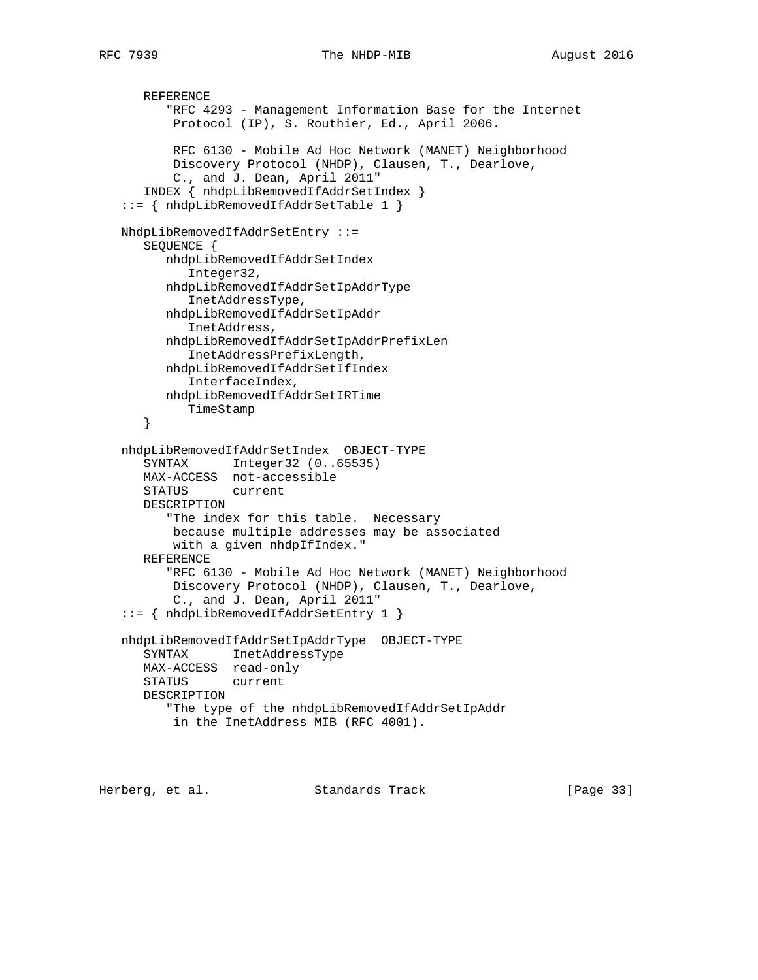```
 REFERENCE
       "RFC 4293 - Management Information Base for the Internet
        Protocol (IP), S. Routhier, Ed., April 2006.
        RFC 6130 - Mobile Ad Hoc Network (MANET) Neighborhood
        Discovery Protocol (NHDP), Clausen, T., Dearlove,
        C., and J. Dean, April 2011"
    INDEX { nhdpLibRemovedIfAddrSetIndex }
 ::= { nhdpLibRemovedIfAddrSetTable 1 }
 NhdpLibRemovedIfAddrSetEntry ::=
    SEQUENCE {
       nhdpLibRemovedIfAddrSetIndex
          Integer32,
       nhdpLibRemovedIfAddrSetIpAddrType
          InetAddressType,
       nhdpLibRemovedIfAddrSetIpAddr
          InetAddress,
       nhdpLibRemovedIfAddrSetIpAddrPrefixLen
          InetAddressPrefixLength,
       nhdpLibRemovedIfAddrSetIfIndex
          InterfaceIndex,
       nhdpLibRemovedIfAddrSetIRTime
          TimeStamp
    }
 nhdpLibRemovedIfAddrSetIndex OBJECT-TYPE
    SYNTAX Integer32 (0..65535)
    MAX-ACCESS not-accessible
    STATUS current
    DESCRIPTION
       "The index for this table. Necessary
        because multiple addresses may be associated
        with a given nhdpIfIndex."
    REFERENCE
       "RFC 6130 - Mobile Ad Hoc Network (MANET) Neighborhood
        Discovery Protocol (NHDP), Clausen, T., Dearlove,
        C., and J. Dean, April 2011"
 ::= { nhdpLibRemovedIfAddrSetEntry 1 }
 nhdpLibRemovedIfAddrSetIpAddrType OBJECT-TYPE
    SYNTAX InetAddressType
    MAX-ACCESS read-only
    STATUS current
    DESCRIPTION
       "The type of the nhdpLibRemovedIfAddrSetIpAddr
        in the InetAddress MIB (RFC 4001).
```
Herberg, et al. Standards Track [Page 33]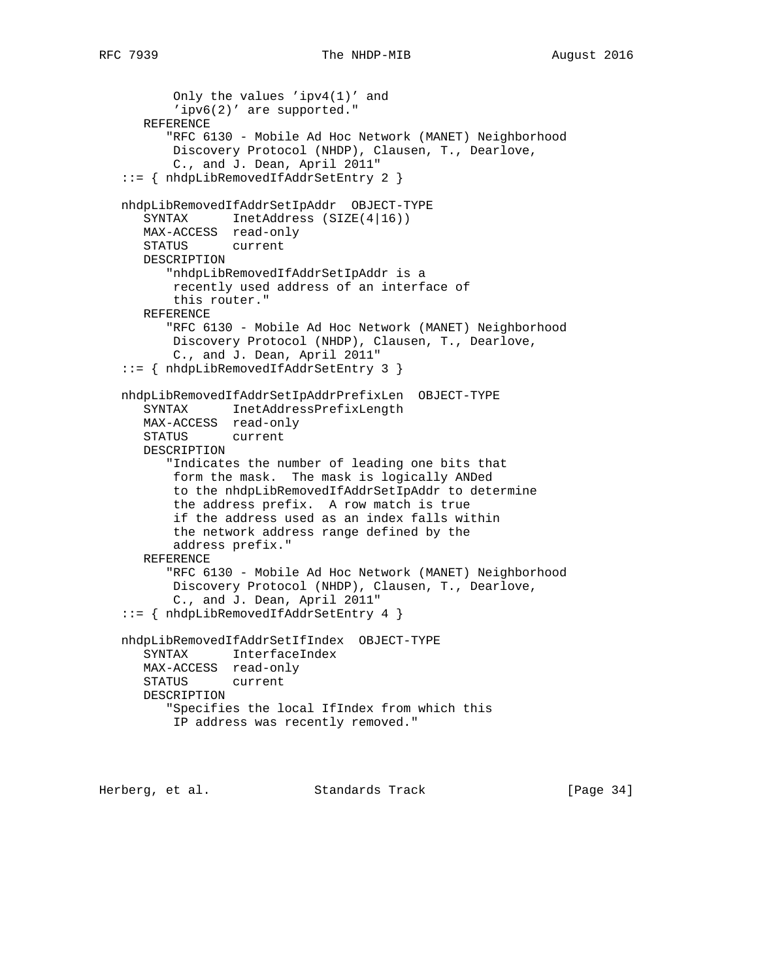```
 Only the values 'ipv4(1)' and
       'ipv6(2)' are supported."
    REFERENCE
       "RFC 6130 - Mobile Ad Hoc Network (MANET) Neighborhood
       Discovery Protocol (NHDP), Clausen, T., Dearlove,
        C., and J. Dean, April 2011"
 ::= { nhdpLibRemovedIfAddrSetEntry 2 }
 nhdpLibRemovedIfAddrSetIpAddr OBJECT-TYPE
   SYNTAX InetAddress (SIZE(4|16))
   MAX-ACCESS read-only
    STATUS current
    DESCRIPTION
       "nhdpLibRemovedIfAddrSetIpAddr is a
       recently used address of an interface of
        this router."
    REFERENCE
       "RFC 6130 - Mobile Ad Hoc Network (MANET) Neighborhood
       Discovery Protocol (NHDP), Clausen, T., Dearlove,
        C., and J. Dean, April 2011"
 ::= { nhdpLibRemovedIfAddrSetEntry 3 }
 nhdpLibRemovedIfAddrSetIpAddrPrefixLen OBJECT-TYPE
    SYNTAX InetAddressPrefixLength
   MAX-ACCESS read-only
    STATUS current
    DESCRIPTION
       "Indicates the number of leading one bits that
        form the mask. The mask is logically ANDed
       to the nhdpLibRemovedIfAddrSetIpAddr to determine
       the address prefix. A row match is true
        if the address used as an index falls within
        the network address range defined by the
       address prefix."
    REFERENCE
       "RFC 6130 - Mobile Ad Hoc Network (MANET) Neighborhood
        Discovery Protocol (NHDP), Clausen, T., Dearlove,
        C., and J. Dean, April 2011"
 ::= { nhdpLibRemovedIfAddrSetEntry 4 }
 nhdpLibRemovedIfAddrSetIfIndex OBJECT-TYPE
    SYNTAX InterfaceIndex
   MAX-ACCESS read-only
    STATUS current
    DESCRIPTION
       "Specifies the local IfIndex from which this
       IP address was recently removed."
```
Herberg, et al. Standards Track [Page 34]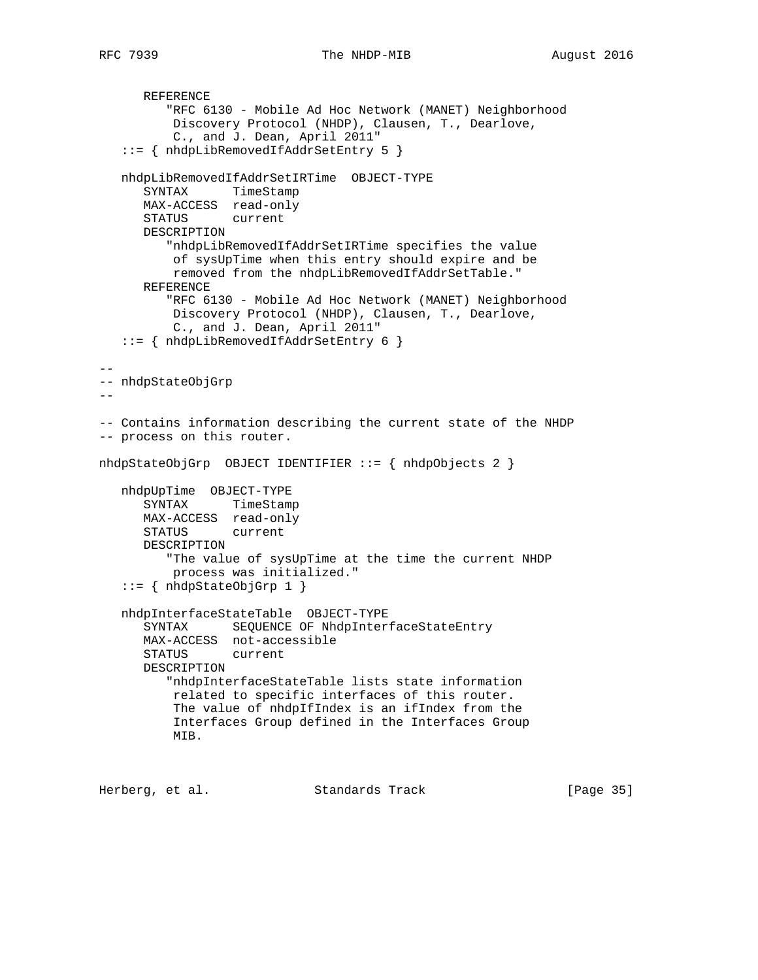REFERENCE "RFC 6130 - Mobile Ad Hoc Network (MANET) Neighborhood Discovery Protocol (NHDP), Clausen, T., Dearlove, C., and J. Dean, April 2011" ::= { nhdpLibRemovedIfAddrSetEntry 5 } nhdpLibRemovedIfAddrSetIRTime OBJECT-TYPE SYNTAX TimeStamp MAX-ACCESS read-only STATUS current DESCRIPTION "nhdpLibRemovedIfAddrSetIRTime specifies the value of sysUpTime when this entry should expire and be removed from the nhdpLibRemovedIfAddrSetTable." REFERENCE "RFC 6130 - Mobile Ad Hoc Network (MANET) Neighborhood Discovery Protocol (NHDP), Clausen, T., Dearlove, C., and J. Dean, April 2011" ::= { nhdpLibRemovedIfAddrSetEntry 6 } -- -- nhdpStateObjGrp -- -- Contains information describing the current state of the NHDP -- process on this router. nhdpStateObjGrp OBJECT IDENTIFIER ::= { nhdpObjects 2 } nhdpUpTime OBJECT-TYPE SYNTAX TimeStamp MAX-ACCESS read-only STATUS current DESCRIPTION "The value of sysUpTime at the time the current NHDP process was initialized." ::= { nhdpStateObjGrp 1 } nhdpInterfaceStateTable OBJECT-TYPE SYNTAX SEQUENCE OF NhdpInterfaceStateEntry MAX-ACCESS not-accessible STATUS current DESCRIPTION "nhdpInterfaceStateTable lists state information related to specific interfaces of this router. The value of nhdpIfIndex is an ifIndex from the Interfaces Group defined in the Interfaces Group MIB.

Herberg, et al. Standards Track [Page 35]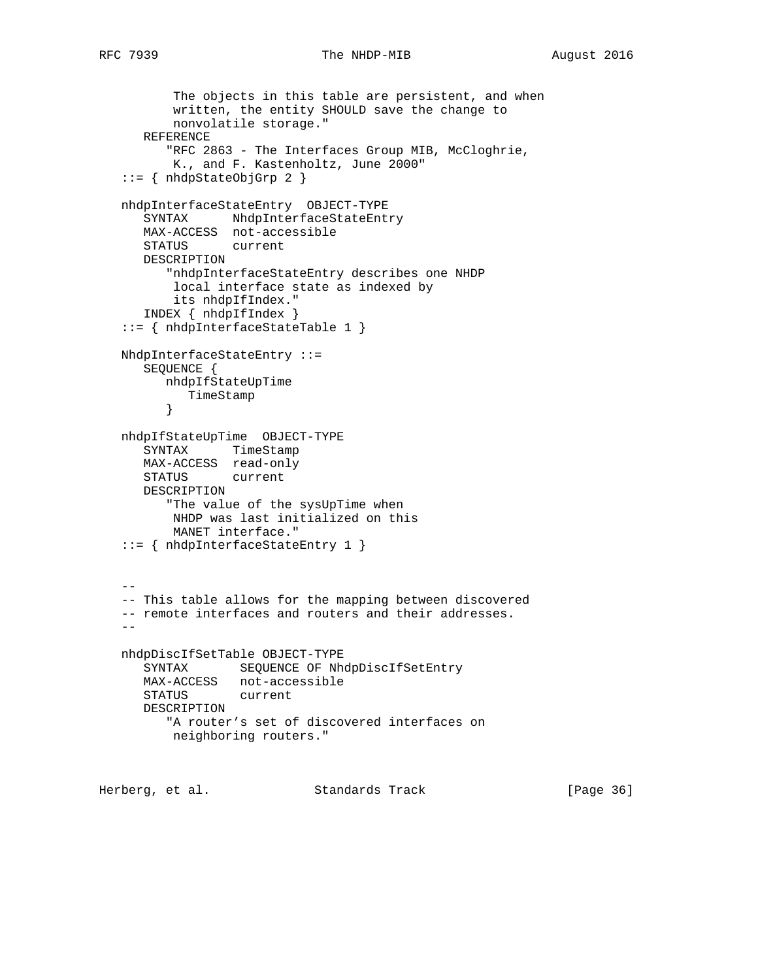```
 The objects in this table are persistent, and when
          written, the entity SHOULD save the change to
          nonvolatile storage."
      REFERENCE
          "RFC 2863 - The Interfaces Group MIB, McCloghrie,
          K., and F. Kastenholtz, June 2000"
    ::= { nhdpStateObjGrp 2 }
    nhdpInterfaceStateEntry OBJECT-TYPE
     SYNTAX NhdpInterfaceStateEntry
      MAX-ACCESS not-accessible
      STATUS current
      DESCRIPTION
          "nhdpInterfaceStateEntry describes one NHDP
          local interface state as indexed by
          its nhdpIfIndex."
      INDEX { nhdpIfIndex }
    ::= { nhdpInterfaceStateTable 1 }
   NhdpInterfaceStateEntry ::=
      SEQUENCE {
         nhdpIfStateUpTime
            TimeStamp
         }
    nhdpIfStateUpTime OBJECT-TYPE
 SYNTAX TimeStamp
 MAX-ACCESS read-only
      STATUS current
      DESCRIPTION
          "The value of the sysUpTime when
          NHDP was last initialized on this
          MANET interface."
    ::= { nhdpInterfaceStateEntry 1 }
 --
    -- This table allows for the mapping between discovered
    -- remote interfaces and routers and their addresses.
 --
   nhdpDiscIfSetTable OBJECT-TYPE
      SYNTAX SEQUENCE OF NhdpDiscIfSetEntry
      MAX-ACCESS not-accessible
      STATUS current
      DESCRIPTION
          "A router's set of discovered interfaces on
          neighboring routers."
Herberg, et al. Standards Track [Page 36]
```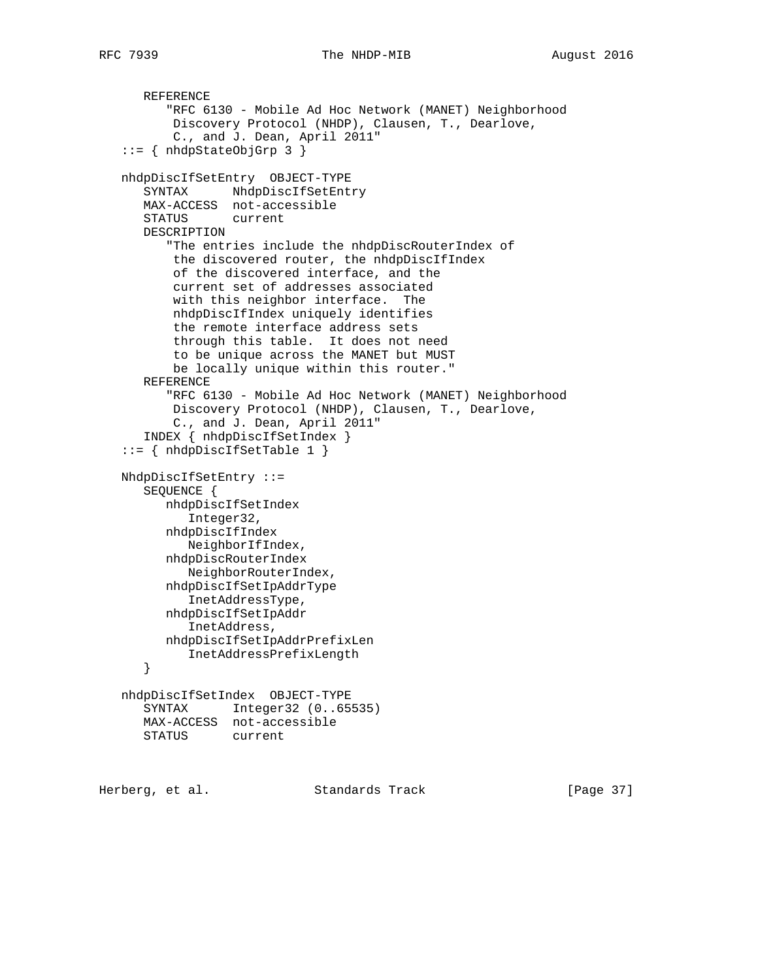```
 REFERENCE
          "RFC 6130 - Mobile Ad Hoc Network (MANET) Neighborhood
          Discovery Protocol (NHDP), Clausen, T., Dearlove,
          C., and J. Dean, April 2011"
    ::= { nhdpStateObjGrp 3 }
    nhdpDiscIfSetEntry OBJECT-TYPE
      SYNTAX NhdpDiscIfSetEntry
      MAX-ACCESS not-accessible
       STATUS current
      DESCRIPTION
          "The entries include the nhdpDiscRouterIndex of
          the discovered router, the nhdpDiscIfIndex
          of the discovered interface, and the
          current set of addresses associated
          with this neighbor interface. The
          nhdpDiscIfIndex uniquely identifies
          the remote interface address sets
          through this table. It does not need
          to be unique across the MANET but MUST
          be locally unique within this router."
       REFERENCE
          "RFC 6130 - Mobile Ad Hoc Network (MANET) Neighborhood
          Discovery Protocol (NHDP), Clausen, T., Dearlove,
          C., and J. Dean, April 2011"
       INDEX { nhdpDiscIfSetIndex }
    ::= { nhdpDiscIfSetTable 1 }
   NhdpDiscIfSetEntry ::=
      SEQUENCE {
         nhdpDiscIfSetIndex
            Integer32,
         nhdpDiscIfIndex
            NeighborIfIndex,
         nhdpDiscRouterIndex
           NeighborRouterIndex,
         nhdpDiscIfSetIpAddrType
            InetAddressType,
         nhdpDiscIfSetIpAddr
            InetAddress,
         nhdpDiscIfSetIpAddrPrefixLen
          InetAddressPrefixLength
       }
    nhdpDiscIfSetIndex OBJECT-TYPE
      SYNTAX Integer32 (0..65535)
      MAX-ACCESS not-accessible
      STATUS current
Herberg, et al. Standards Track [Page 37]
```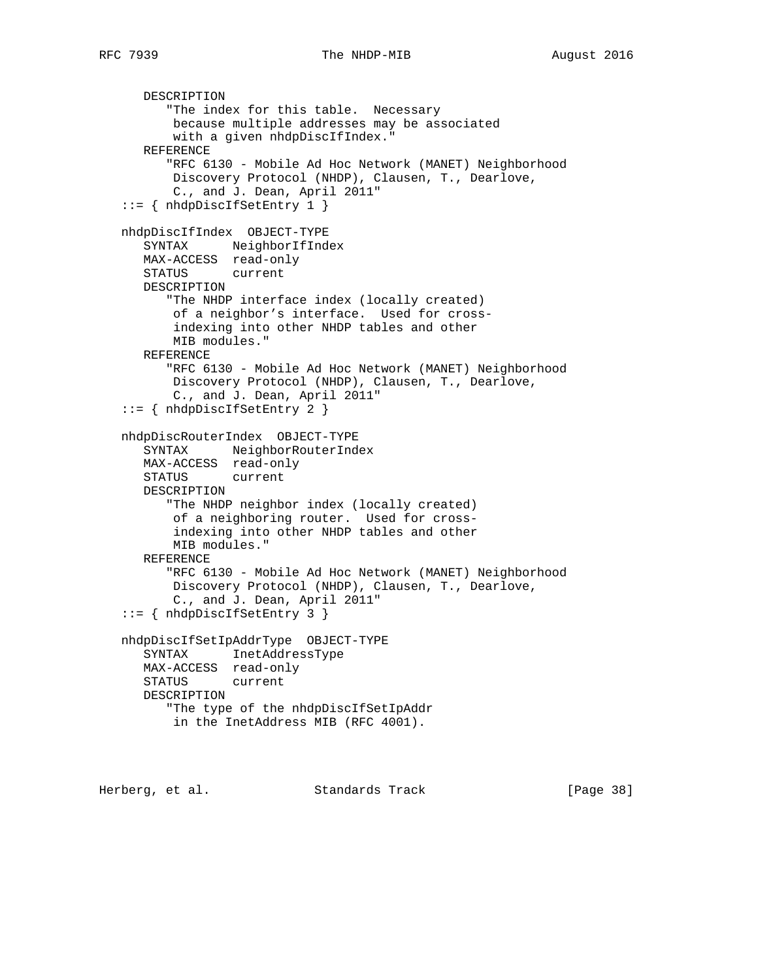```
 DESCRIPTION
          "The index for this table. Necessary
          because multiple addresses may be associated
          with a given nhdpDiscIfIndex."
      REFERENCE
          "RFC 6130 - Mobile Ad Hoc Network (MANET) Neighborhood
          Discovery Protocol (NHDP), Clausen, T., Dearlove,
          C., and J. Dean, April 2011"
   ::= { nhdpDiscIfSetEntry 1 }
   nhdpDiscIfIndex OBJECT-TYPE
      SYNTAX NeighborIfIndex
      MAX-ACCESS read-only
      STATUS current
      DESCRIPTION
          "The NHDP interface index (locally created)
          of a neighbor's interface. Used for cross-
          indexing into other NHDP tables and other
          MIB modules."
      REFERENCE
          "RFC 6130 - Mobile Ad Hoc Network (MANET) Neighborhood
          Discovery Protocol (NHDP), Clausen, T., Dearlove,
          C., and J. Dean, April 2011"
   ::= { nhdpDiscIfSetEntry 2 }
   nhdpDiscRouterIndex OBJECT-TYPE
 SYNTAX NeighborRouterIndex
 MAX-ACCESS read-only
      STATUS current
      DESCRIPTION
          "The NHDP neighbor index (locally created)
          of a neighboring router. Used for cross-
          indexing into other NHDP tables and other
          MIB modules."
      REFERENCE
          "RFC 6130 - Mobile Ad Hoc Network (MANET) Neighborhood
          Discovery Protocol (NHDP), Clausen, T., Dearlove,
          C., and J. Dean, April 2011"
   ::= { nhdpDiscIfSetEntry 3 }
   nhdpDiscIfSetIpAddrType OBJECT-TYPE
      SYNTAX InetAddressType
      MAX-ACCESS read-only
      STATUS current
      DESCRIPTION
         "The type of the nhdpDiscIfSetIpAddr
          in the InetAddress MIB (RFC 4001).
```
Herberg, et al. Standards Track [Page 38]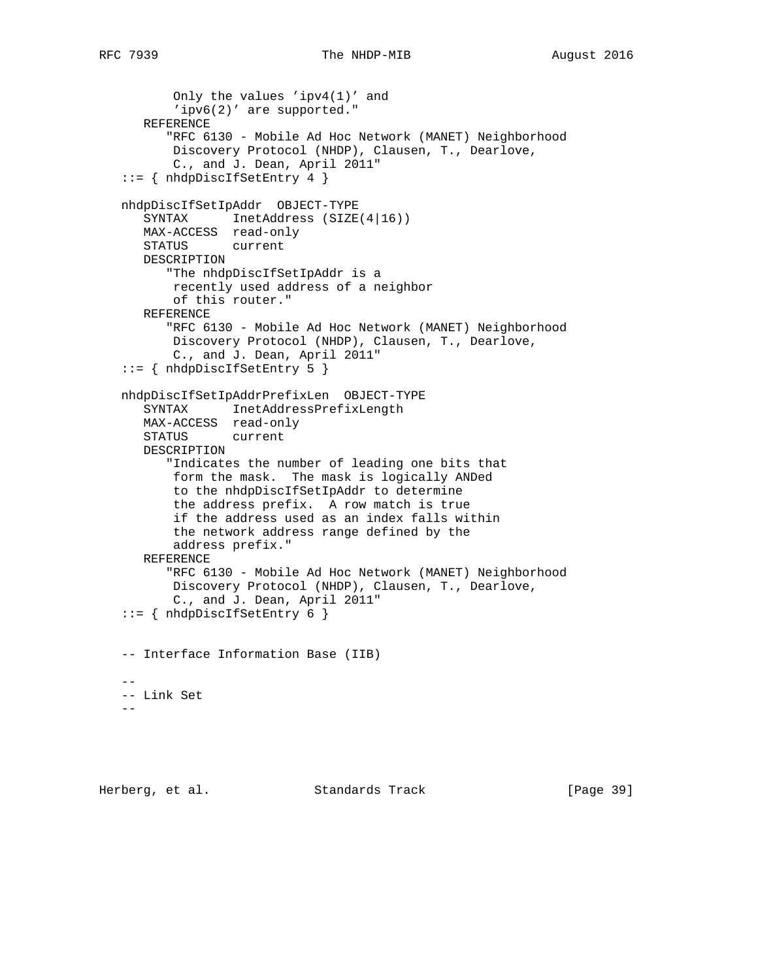```
 Only the values 'ipv4(1)' and
          'ipv6(2)' are supported."
      REFERENCE
          "RFC 6130 - Mobile Ad Hoc Network (MANET) Neighborhood
          Discovery Protocol (NHDP), Clausen, T., Dearlove,
          C., and J. Dean, April 2011"
   ::= { nhdpDiscIfSetEntry 4 }
   nhdpDiscIfSetIpAddr OBJECT-TYPE
     SYNTAX InetAddress (SIZE(4|16))
      MAX-ACCESS read-only
      STATUS current
      DESCRIPTION
          "The nhdpDiscIfSetIpAddr is a
          recently used address of a neighbor
          of this router."
      REFERENCE
          "RFC 6130 - Mobile Ad Hoc Network (MANET) Neighborhood
          Discovery Protocol (NHDP), Clausen, T., Dearlove,
          C., and J. Dean, April 2011"
   ::= { nhdpDiscIfSetEntry 5 }
   nhdpDiscIfSetIpAddrPrefixLen OBJECT-TYPE
      SYNTAX InetAddressPrefixLength
      MAX-ACCESS read-only
      STATUS current
      DESCRIPTION
          "Indicates the number of leading one bits that
          form the mask. The mask is logically ANDed
          to the nhdpDiscIfSetIpAddr to determine
          the address prefix. A row match is true
          if the address used as an index falls within
          the network address range defined by the
          address prefix."
      REFERENCE
          "RFC 6130 - Mobile Ad Hoc Network (MANET) Neighborhood
          Discovery Protocol (NHDP), Clausen, T., Dearlove,
          C., and J. Dean, April 2011"
   ::= { nhdpDiscIfSetEntry 6 }
   -- Interface Information Base (IIB)
 --
   -- Link Set
   --
```
Herberg, et al. Standards Track [Page 39]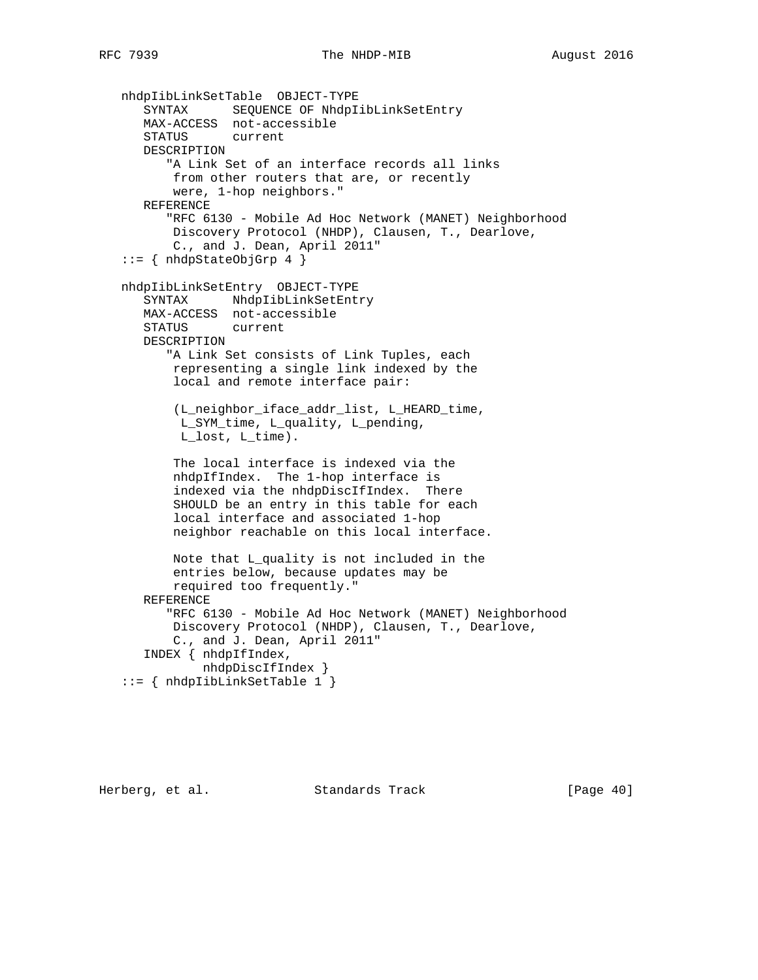```
 nhdpIibLinkSetTable OBJECT-TYPE
 SYNTAX SEQUENCE OF NhdpIibLinkSetEntry
 MAX-ACCESS not-accessible
      STATUS current
      DESCRIPTION
          "A Link Set of an interface records all links
          from other routers that are, or recently
          were, 1-hop neighbors."
      REFERENCE
          "RFC 6130 - Mobile Ad Hoc Network (MANET) Neighborhood
          Discovery Protocol (NHDP), Clausen, T., Dearlove,
          C., and J. Dean, April 2011"
  ::= { nhdpStateObjGrp 4 }
   nhdpIibLinkSetEntry OBJECT-TYPE
      SYNTAX NhdpIibLinkSetEntry
      MAX-ACCESS not-accessible
      STATUS current
      DESCRIPTION
         "A Link Set consists of Link Tuples, each
          representing a single link indexed by the
          local and remote interface pair:
          (L_neighbor_iface_addr_list, L_HEARD_time,
           L_SYM_time, L_quality, L_pending,
           L_lost, L_time).
          The local interface is indexed via the
          nhdpIfIndex. The 1-hop interface is
          indexed via the nhdpDiscIfIndex. There
          SHOULD be an entry in this table for each
          local interface and associated 1-hop
          neighbor reachable on this local interface.
          Note that L_quality is not included in the
          entries below, because updates may be
          required too frequently."
      REFERENCE
          "RFC 6130 - Mobile Ad Hoc Network (MANET) Neighborhood
          Discovery Protocol (NHDP), Clausen, T., Dearlove,
          C., and J. Dean, April 2011"
      INDEX { nhdpIfIndex,
              nhdpDiscIfIndex }
    ::= { nhdpIibLinkSetTable 1 }
```
Herberg, et al. Standards Track [Page 40]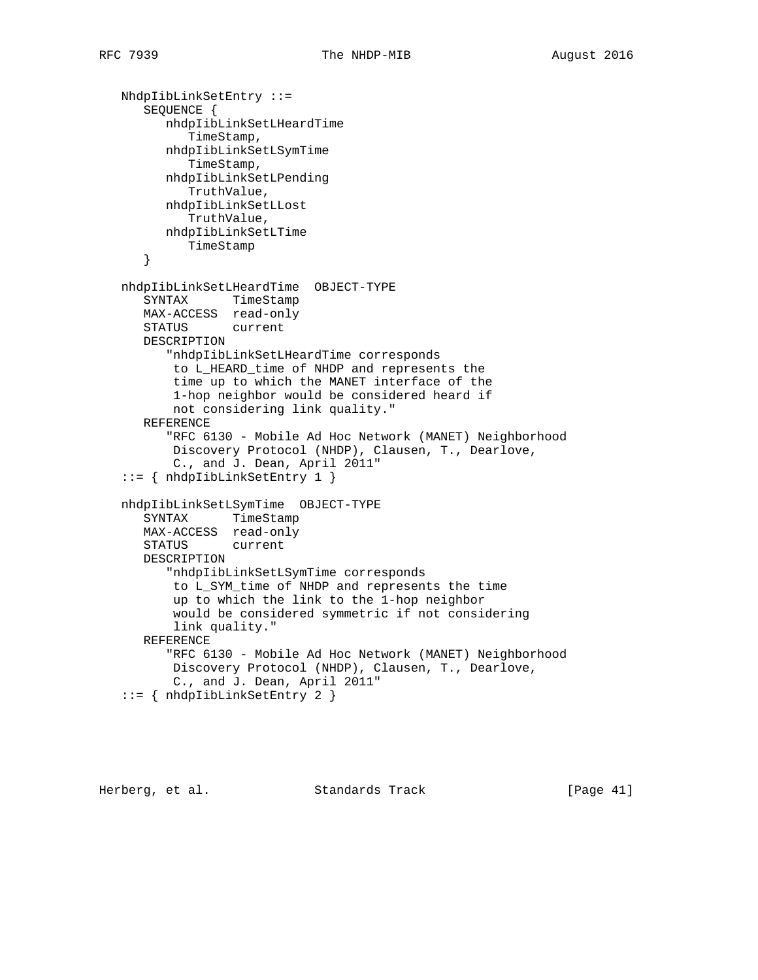```
 NhdpIibLinkSetEntry ::=
    SEQUENCE {
       nhdpIibLinkSetLHeardTime
          TimeStamp,
       nhdpIibLinkSetLSymTime
          TimeStamp,
       nhdpIibLinkSetLPending
         TruthValue,
       nhdpIibLinkSetLLost
         TruthValue,
       nhdpIibLinkSetLTime
          TimeStamp
    }
 nhdpIibLinkSetLHeardTime OBJECT-TYPE
    SYNTAX TimeStamp
   MAX-ACCESS read-only
    STATUS current
   DESCRIPTION
       "nhdpIibLinkSetLHeardTime corresponds
       to L_HEARD_time of NHDP and represents the
       time up to which the MANET interface of the
        1-hop neighbor would be considered heard if
       not considering link quality."
    REFERENCE
       "RFC 6130 - Mobile Ad Hoc Network (MANET) Neighborhood
        Discovery Protocol (NHDP), Clausen, T., Dearlove,
        C., and J. Dean, April 2011"
 ::= { nhdpIibLinkSetEntry 1 }
 nhdpIibLinkSetLSymTime OBJECT-TYPE
   SYNTAX TimeStamp
   MAX-ACCESS read-only
    STATUS current
    DESCRIPTION
       "nhdpIibLinkSetLSymTime corresponds
        to L_SYM_time of NHDP and represents the time
        up to which the link to the 1-hop neighbor
        would be considered symmetric if not considering
        link quality."
    REFERENCE
       "RFC 6130 - Mobile Ad Hoc Network (MANET) Neighborhood
       Discovery Protocol (NHDP), Clausen, T., Dearlove,
        C., and J. Dean, April 2011"
 ::= { nhdpIibLinkSetEntry 2 }
```
Herberg, et al. Standards Track [Page 41]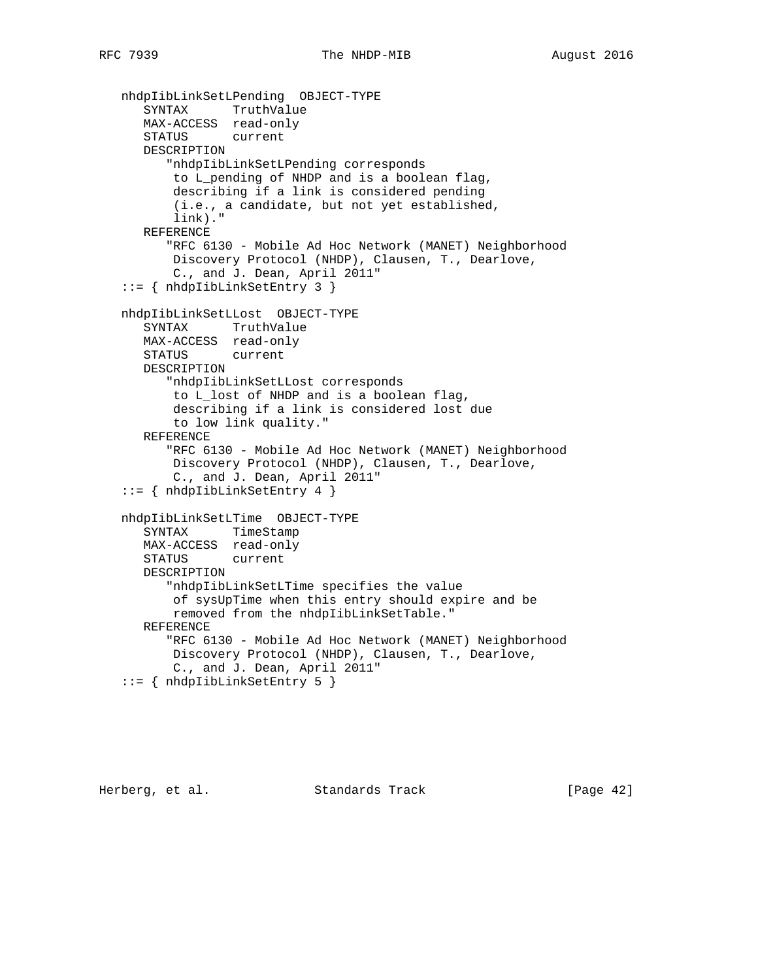```
 nhdpIibLinkSetLPending OBJECT-TYPE
 SYNTAX TruthValue
 MAX-ACCESS read-only
      STATUS current
      DESCRIPTION
          "nhdpIibLinkSetLPending corresponds
          to L_pending of NHDP and is a boolean flag,
          describing if a link is considered pending
          (i.e., a candidate, but not yet established,
          link)."
      REFERENCE
          "RFC 6130 - Mobile Ad Hoc Network (MANET) Neighborhood
          Discovery Protocol (NHDP), Clausen, T., Dearlove,
          C., and J. Dean, April 2011"
   ::= { nhdpIibLinkSetEntry 3 }
   nhdpIibLinkSetLLost OBJECT-TYPE
      SYNTAX TruthValue
      MAX-ACCESS read-only
      STATUS current
      DESCRIPTION
          "nhdpIibLinkSetLLost corresponds
          to L_lost of NHDP and is a boolean flag,
          describing if a link is considered lost due
          to low link quality."
      REFERENCE
          "RFC 6130 - Mobile Ad Hoc Network (MANET) Neighborhood
          Discovery Protocol (NHDP), Clausen, T., Dearlove,
          C., and J. Dean, April 2011"
   ::= { nhdpIibLinkSetEntry 4 }
   nhdpIibLinkSetLTime OBJECT-TYPE
      SYNTAX TimeStamp
      MAX-ACCESS read-only
      STATUS current
      DESCRIPTION
          "nhdpIibLinkSetLTime specifies the value
          of sysUpTime when this entry should expire and be
          removed from the nhdpIibLinkSetTable."
      REFERENCE
          "RFC 6130 - Mobile Ad Hoc Network (MANET) Neighborhood
          Discovery Protocol (NHDP), Clausen, T., Dearlove,
          C., and J. Dean, April 2011"
   ::= { nhdpIibLinkSetEntry 5 }
```
Herberg, et al. Standards Track [Page 42]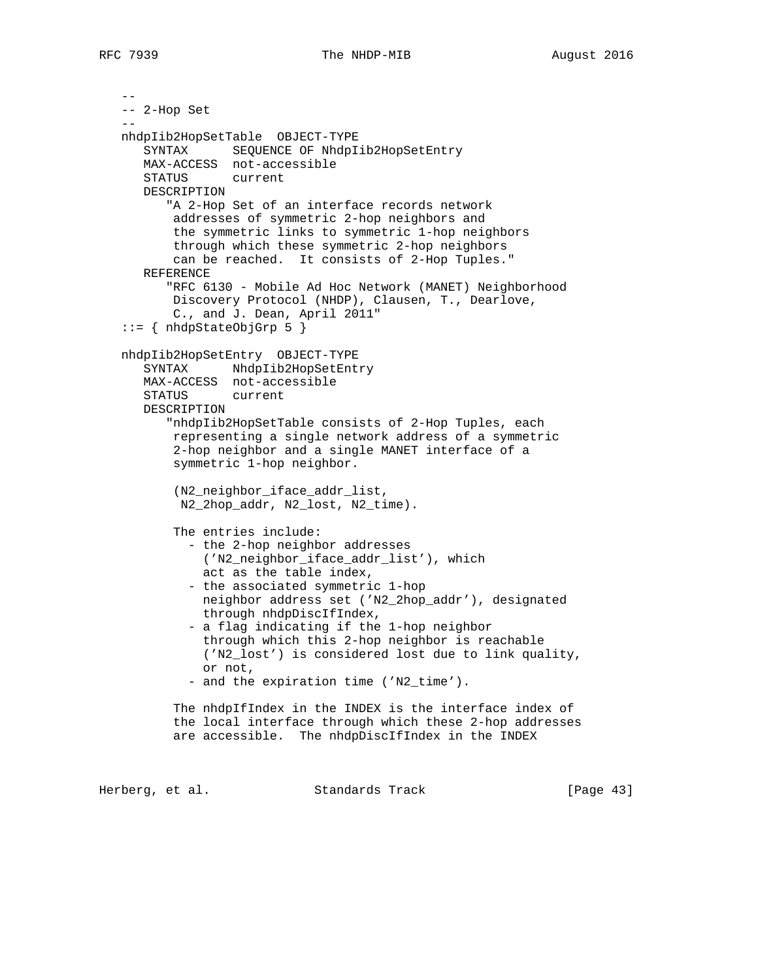```
 --
   -- 2-Hop Set
- nhdpIib2HopSetTable OBJECT-TYPE
      SYNTAX SEQUENCE OF NhdpIib2HopSetEntry
      MAX-ACCESS not-accessible
      STATUS current
      DESCRIPTION
          "A 2-Hop Set of an interface records network
          addresses of symmetric 2-hop neighbors and
          the symmetric links to symmetric 1-hop neighbors
          through which these symmetric 2-hop neighbors
          can be reached. It consists of 2-Hop Tuples."
      REFERENCE
          "RFC 6130 - Mobile Ad Hoc Network (MANET) Neighborhood
          Discovery Protocol (NHDP), Clausen, T., Dearlove,
          C., and J. Dean, April 2011"
  ::= { nhdpStateObjGrp 5 }
   nhdpIib2HopSetEntry OBJECT-TYPE
      SYNTAX NhdpIib2HopSetEntry
      MAX-ACCESS not-accessible
      STATUS current
      DESCRIPTION
          "nhdpIib2HopSetTable consists of 2-Hop Tuples, each
          representing a single network address of a symmetric
          2-hop neighbor and a single MANET interface of a
          symmetric 1-hop neighbor.
          (N2_neighbor_iface_addr_list,
           N2_2hop_addr, N2_lost, N2_time).
          The entries include:
             - the 2-hop neighbor addresses
              ('N2_neighbor_iface_addr_list'), which
              act as the table index,
             - the associated symmetric 1-hop
              neighbor address set ('N2_2hop_addr'), designated
              through nhdpDiscIfIndex,
             - a flag indicating if the 1-hop neighbor
              through which this 2-hop neighbor is reachable
              ('N2_lost') is considered lost due to link quality,
              or not,
            - and the expiration time ('N2_time').
          The nhdpIfIndex in the INDEX is the interface index of
          the local interface through which these 2-hop addresses
          are accessible. The nhdpDiscIfIndex in the INDEX
```
Herberg, et al. Standards Track [Page 43]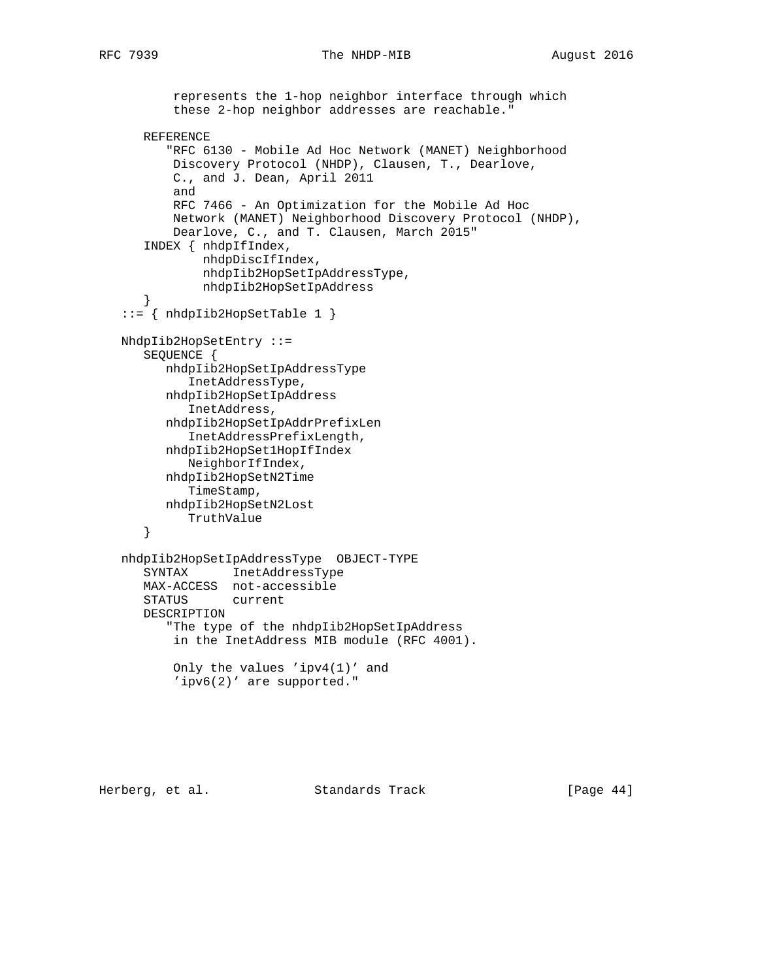```
 represents the 1-hop neighbor interface through which
        these 2-hop neighbor addresses are reachable."
    REFERENCE
       "RFC 6130 - Mobile Ad Hoc Network (MANET) Neighborhood
        Discovery Protocol (NHDP), Clausen, T., Dearlove,
        C., and J. Dean, April 2011
        and
        RFC 7466 - An Optimization for the Mobile Ad Hoc
        Network (MANET) Neighborhood Discovery Protocol (NHDP),
        Dearlove, C., and T. Clausen, March 2015"
    INDEX { nhdpIfIndex,
            nhdpDiscIfIndex,
            nhdpIib2HopSetIpAddressType,
            nhdpIib2HopSetIpAddress
    }
 ::= { nhdpIib2HopSetTable 1 }
 NhdpIib2HopSetEntry ::=
    SEQUENCE {
       nhdpIib2HopSetIpAddressType
          InetAddressType,
       nhdpIib2HopSetIpAddress
          InetAddress,
       nhdpIib2HopSetIpAddrPrefixLen
          InetAddressPrefixLength,
       nhdpIib2HopSet1HopIfIndex
          NeighborIfIndex,
       nhdpIib2HopSetN2Time
          TimeStamp,
       nhdpIib2HopSetN2Lost
         TruthValue
    }
 nhdpIib2HopSetIpAddressType OBJECT-TYPE
    SYNTAX InetAddressType
    MAX-ACCESS not-accessible
    STATUS current
    DESCRIPTION
       "The type of the nhdpIib2HopSetIpAddress
        in the InetAddress MIB module (RFC 4001).
        Only the values 'ipv4(1)' and
        'ipv6(2)' are supported."
```
Herberg, et al. Standards Track [Page 44]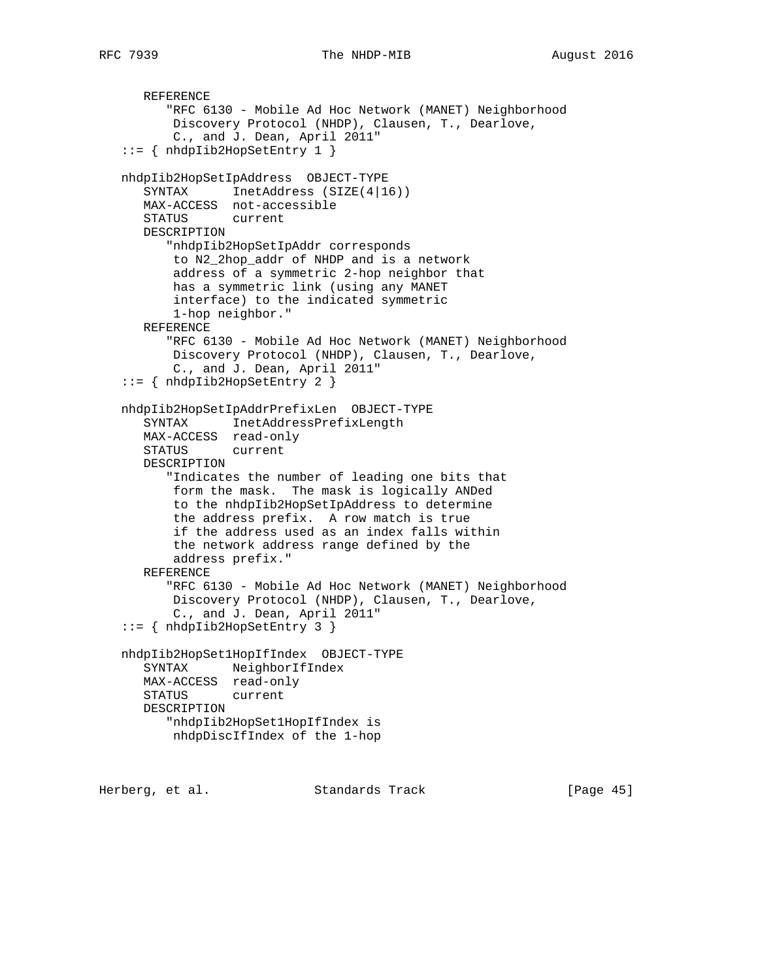```
 REFERENCE
       "RFC 6130 - Mobile Ad Hoc Network (MANET) Neighborhood
       Discovery Protocol (NHDP), Clausen, T., Dearlove,
        C., and J. Dean, April 2011"
 ::= { nhdpIib2HopSetEntry 1 }
 nhdpIib2HopSetIpAddress OBJECT-TYPE
   SYNTAX InetAddress (SIZE(4|16))
    MAX-ACCESS not-accessible
    STATUS current
    DESCRIPTION
       "nhdpIib2HopSetIpAddr corresponds
       to N2_2hop_addr of NHDP and is a network
        address of a symmetric 2-hop neighbor that
        has a symmetric link (using any MANET
        interface) to the indicated symmetric
        1-hop neighbor."
    REFERENCE
       "RFC 6130 - Mobile Ad Hoc Network (MANET) Neighborhood
        Discovery Protocol (NHDP), Clausen, T., Dearlove,
        C., and J. Dean, April 2011"
 ::= { nhdpIib2HopSetEntry 2 }
 nhdpIib2HopSetIpAddrPrefixLen OBJECT-TYPE
    SYNTAX InetAddressPrefixLength
    MAX-ACCESS read-only
    STATUS current
    DESCRIPTION
       "Indicates the number of leading one bits that
       form the mask. The mask is logically ANDed
       to the nhdpIib2HopSetIpAddress to determine
        the address prefix. A row match is true
        if the address used as an index falls within
       the network address range defined by the
       address prefix."
    REFERENCE
       "RFC 6130 - Mobile Ad Hoc Network (MANET) Neighborhood
        Discovery Protocol (NHDP), Clausen, T., Dearlove,
        C., and J. Dean, April 2011"
 ::= { nhdpIib2HopSetEntry 3 }
 nhdpIib2HopSet1HopIfIndex OBJECT-TYPE
    SYNTAX NeighborIfIndex
   MAX-ACCESS read-only
   STATUS current
    DESCRIPTION
       "nhdpIib2HopSet1HopIfIndex is
       nhdpDiscIfIndex of the 1-hop
```
Herberg, et al. Standards Track [Page 45]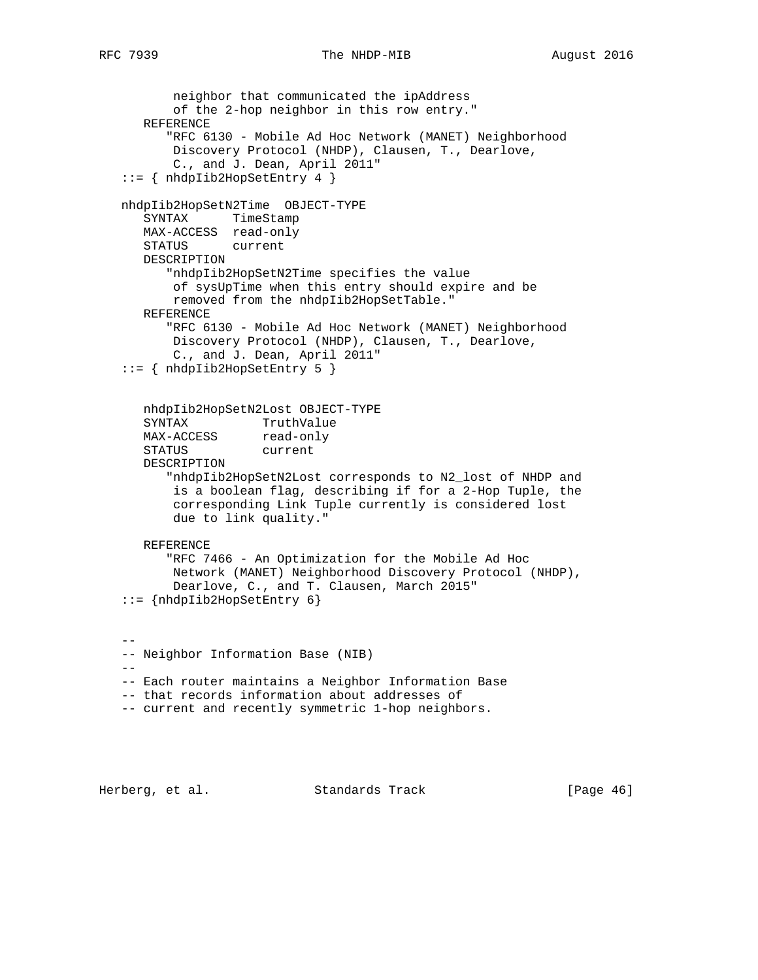```
 neighbor that communicated the ipAddress
          of the 2-hop neighbor in this row entry."
      REFERENCE
         "RFC 6130 - Mobile Ad Hoc Network (MANET) Neighborhood
          Discovery Protocol (NHDP), Clausen, T., Dearlove,
          C., and J. Dean, April 2011"
   ::= { nhdpIib2HopSetEntry 4 }
   nhdpIib2HopSetN2Time OBJECT-TYPE
      SYNTAX TimeStamp
      MAX-ACCESS read-only
      STATUS current
      DESCRIPTION
         "nhdpIib2HopSetN2Time specifies the value
          of sysUpTime when this entry should expire and be
          removed from the nhdpIib2HopSetTable."
      REFERENCE
         "RFC 6130 - Mobile Ad Hoc Network (MANET) Neighborhood
          Discovery Protocol (NHDP), Clausen, T., Dearlove,
          C., and J. Dean, April 2011"
    ::= { nhdpIib2HopSetEntry 5 }
      nhdpIib2HopSetN2Lost OBJECT-TYPE
SYNTAX TruthValue
MAX-ACCESS read-only
      STATUS current
      DESCRIPTION
         "nhdpIib2HopSetN2Lost corresponds to N2_lost of NHDP and
          is a boolean flag, describing if for a 2-Hop Tuple, the
          corresponding Link Tuple currently is considered lost
          due to link quality."
      REFERENCE
         "RFC 7466 - An Optimization for the Mobile Ad Hoc
          Network (MANET) Neighborhood Discovery Protocol (NHDP),
          Dearlove, C., and T. Clausen, March 2015"
   ::= {nhdpIib2HopSetEntry 6}
 --
   -- Neighbor Information Base (NIB)
  - -- Each router maintains a Neighbor Information Base
   -- that records information about addresses of
   -- current and recently symmetric 1-hop neighbors.
```
Herberg, et al. Standards Track [Page 46]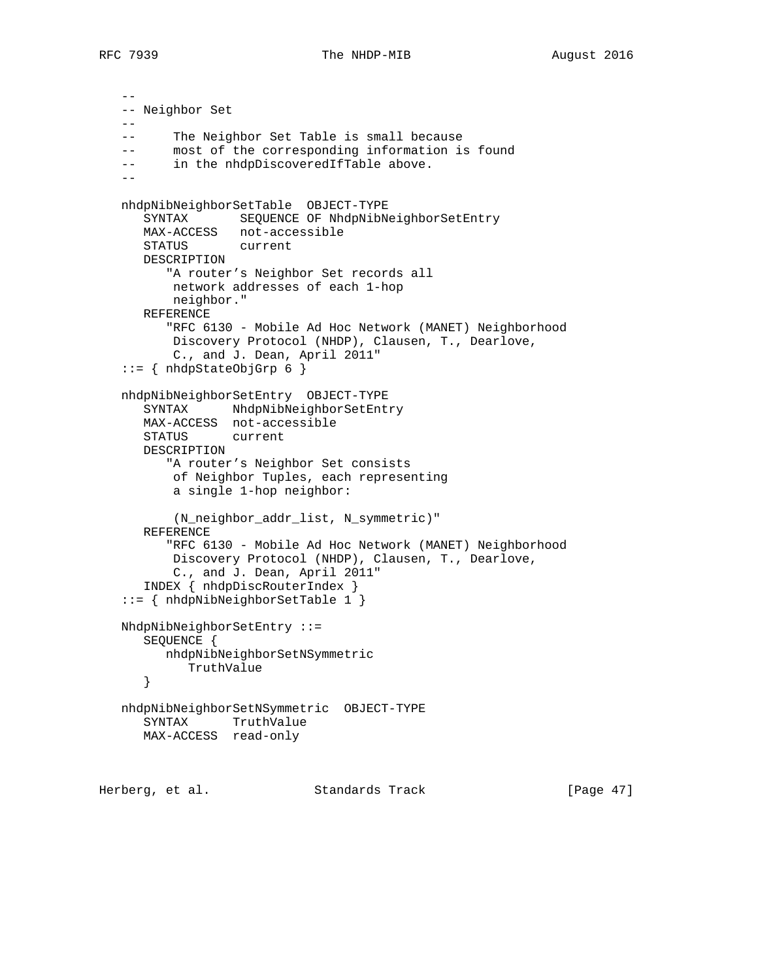```
 --
   -- Neighbor Set
   --
   -- The Neighbor Set Table is small because
   -- most of the corresponding information is found
  -- in the nhdpDiscoveredIfTable above.
  - nhdpNibNeighborSetTable OBJECT-TYPE
      SYNTAX SEQUENCE OF NhdpNibNeighborSetEntry
      MAX-ACCESS not-accessible
      STATUS current
      DESCRIPTION
         "A router's Neighbor Set records all
          network addresses of each 1-hop
          neighbor."
      REFERENCE
         "RFC 6130 - Mobile Ad Hoc Network (MANET) Neighborhood
          Discovery Protocol (NHDP), Clausen, T., Dearlove,
          C., and J. Dean, April 2011"
  ::= { nhdpStateObjGrp 6 }
   nhdpNibNeighborSetEntry OBJECT-TYPE
     SYNTAX NhdpNibNeighborSetEntry
      MAX-ACCESS not-accessible
      STATUS current
      DESCRIPTION
         "A router's Neighbor Set consists
          of Neighbor Tuples, each representing
          a single 1-hop neighbor:
          (N_neighbor_addr_list, N_symmetric)"
      REFERENCE
         "RFC 6130 - Mobile Ad Hoc Network (MANET) Neighborhood
          Discovery Protocol (NHDP), Clausen, T., Dearlove,
          C., and J. Dean, April 2011"
      INDEX { nhdpDiscRouterIndex }
   ::= { nhdpNibNeighborSetTable 1 }
   NhdpNibNeighborSetEntry ::=
      SEQUENCE {
        nhdpNibNeighborSetNSymmetric
            TruthValue
      }
   nhdpNibNeighborSetNSymmetric OBJECT-TYPE
      SYNTAX TruthValue
      MAX-ACCESS read-only
```
Herberg, et al. Standards Track [Page 47]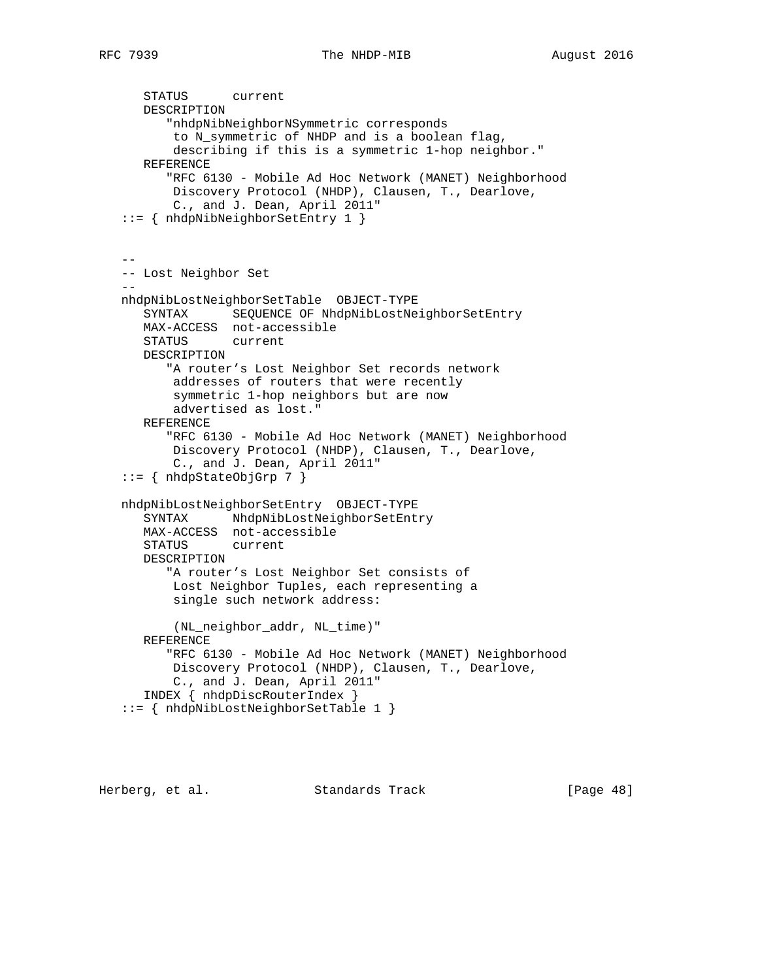```
 STATUS current
      DESCRIPTION
          "nhdpNibNeighborNSymmetric corresponds
          to N_symmetric of NHDP and is a boolean flag,
          describing if this is a symmetric 1-hop neighbor."
      REFERENCE
          "RFC 6130 - Mobile Ad Hoc Network (MANET) Neighborhood
          Discovery Protocol (NHDP), Clausen, T., Dearlove,
          C., and J. Dean, April 2011"
   ::= { nhdpNibNeighborSetEntry 1 }
 --
   -- Lost Neighbor Set
- nhdpNibLostNeighborSetTable OBJECT-TYPE
      SYNTAX SEQUENCE OF NhdpNibLostNeighborSetEntry
      MAX-ACCESS not-accessible
      STATUS current
      DESCRIPTION
         "A router's Lost Neighbor Set records network
          addresses of routers that were recently
          symmetric 1-hop neighbors but are now
          advertised as lost."
      REFERENCE
          "RFC 6130 - Mobile Ad Hoc Network (MANET) Neighborhood
          Discovery Protocol (NHDP), Clausen, T., Dearlove,
          C., and J. Dean, April 2011"
   ::= { nhdpStateObjGrp 7 }
   nhdpNibLostNeighborSetEntry OBJECT-TYPE
      SYNTAX NhdpNibLostNeighborSetEntry
      MAX-ACCESS not-accessible
      STATUS current
      DESCRIPTION
          "A router's Lost Neighbor Set consists of
          Lost Neighbor Tuples, each representing a
          single such network address:
          (NL_neighbor_addr, NL_time)"
      REFERENCE
          "RFC 6130 - Mobile Ad Hoc Network (MANET) Neighborhood
          Discovery Protocol (NHDP), Clausen, T., Dearlove,
          C., and J. Dean, April 2011"
      INDEX { nhdpDiscRouterIndex }
    ::= { nhdpNibLostNeighborSetTable 1 }
```
Herberg, et al. Standards Track [Page 48]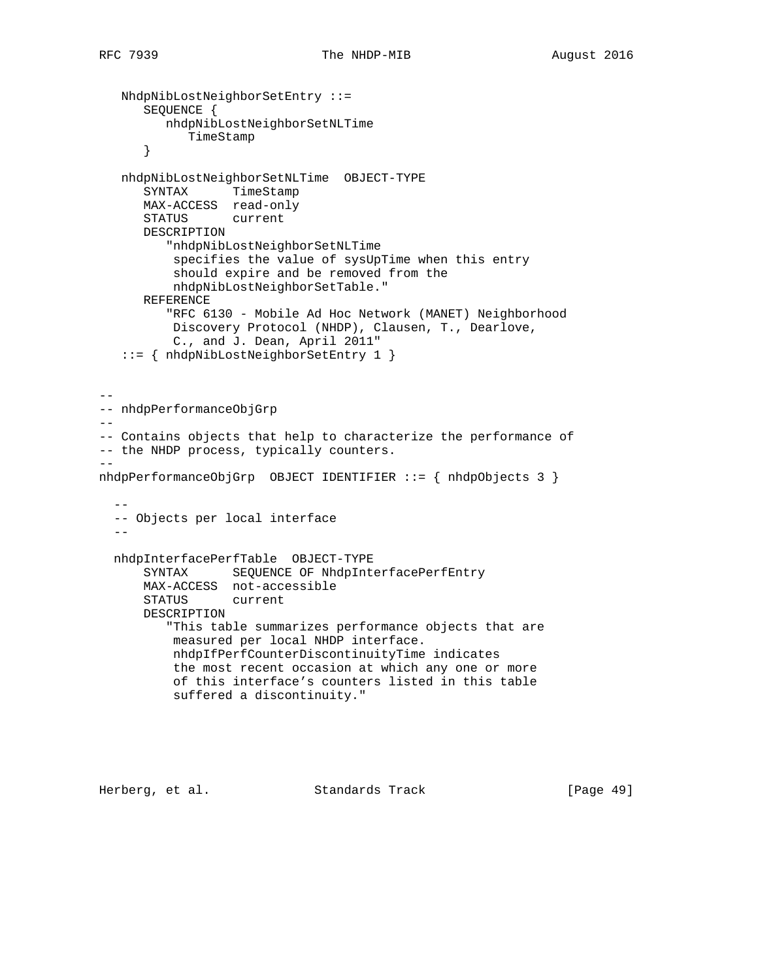```
 NhdpNibLostNeighborSetEntry ::=
       SEQUENCE {
         nhdpNibLostNeighborSetNLTime
             TimeStamp
       }
    nhdpNibLostNeighborSetNLTime OBJECT-TYPE
       SYNTAX TimeStamp
       MAX-ACCESS read-only
       STATUS current
      DESCRIPTION
          "nhdpNibLostNeighborSetNLTime
           specifies the value of sysUpTime when this entry
           should expire and be removed from the
           nhdpNibLostNeighborSetTable."
       REFERENCE
          "RFC 6130 - Mobile Ad Hoc Network (MANET) Neighborhood
          Discovery Protocol (NHDP), Clausen, T., Dearlove,
           C., and J. Dean, April 2011"
    ::= { nhdpNibLostNeighborSetEntry 1 }
--
-- nhdpPerformanceObjGrp
--- Contains objects that help to characterize the performance of
-- the NHDP process, typically counters.
--
nhdpPerformanceObjGrp OBJECT IDENTIFIER ::= { nhdpObjects 3 }
- -- Objects per local interface
- nhdpInterfacePerfTable OBJECT-TYPE
      SYNTAX SEQUENCE OF NhdpInterfacePerfEntry
      MAX-ACCESS not-accessible
       STATUS current
       DESCRIPTION
          "This table summarizes performance objects that are
          measured per local NHDP interface.
          nhdpIfPerfCounterDiscontinuityTime indicates
           the most recent occasion at which any one or more
           of this interface's counters listed in this table
           suffered a discontinuity."
```
Herberg, et al. Standards Track [Page 49]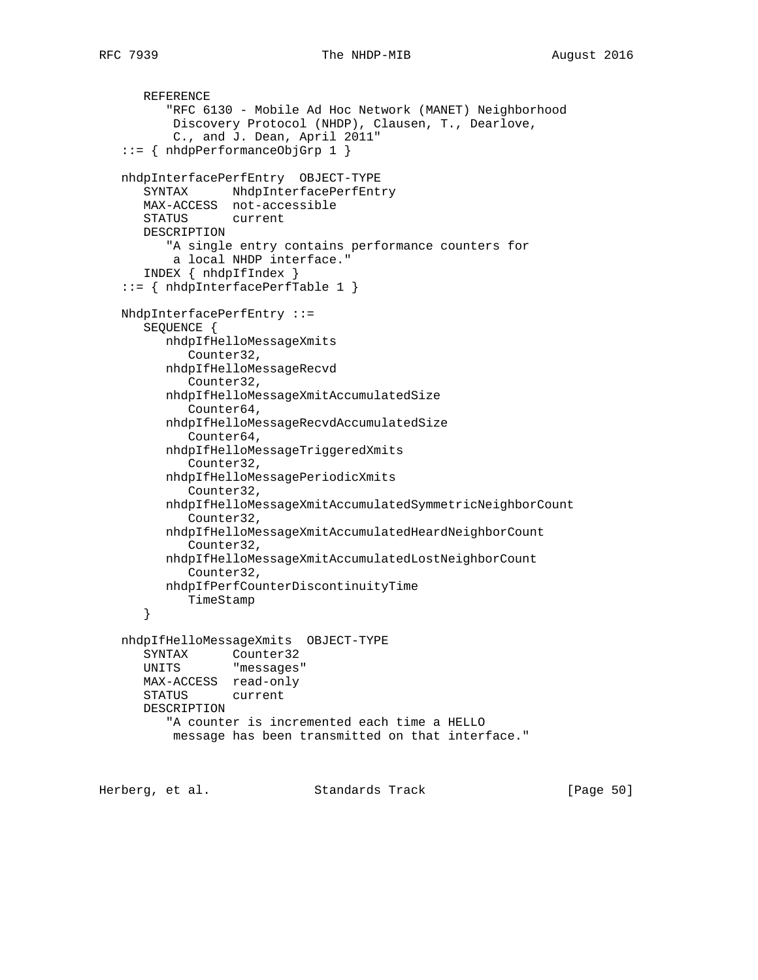```
 REFERENCE
       "RFC 6130 - Mobile Ad Hoc Network (MANET) Neighborhood
        Discovery Protocol (NHDP), Clausen, T., Dearlove,
        C., and J. Dean, April 2011"
 ::= { nhdpPerformanceObjGrp 1 }
 nhdpInterfacePerfEntry OBJECT-TYPE
    SYNTAX NhdpInterfacePerfEntry
    MAX-ACCESS not-accessible
    STATUS current
    DESCRIPTION
       "A single entry contains performance counters for
       a local NHDP interface."
    INDEX { nhdpIfIndex }
 ::= { nhdpInterfacePerfTable 1 }
 NhdpInterfacePerfEntry ::=
    SEQUENCE {
       nhdpIfHelloMessageXmits
          Counter32,
       nhdpIfHelloMessageRecvd
          Counter32,
       nhdpIfHelloMessageXmitAccumulatedSize
          Counter64,
       nhdpIfHelloMessageRecvdAccumulatedSize
          Counter64,
       nhdpIfHelloMessageTriggeredXmits
          Counter32,
       nhdpIfHelloMessagePeriodicXmits
          Counter32,
       nhdpIfHelloMessageXmitAccumulatedSymmetricNeighborCount
          Counter32,
       nhdpIfHelloMessageXmitAccumulatedHeardNeighborCount
          Counter32,
       nhdpIfHelloMessageXmitAccumulatedLostNeighborCount
          Counter32,
       nhdpIfPerfCounterDiscontinuityTime
         TimeStamp
    }
 nhdpIfHelloMessageXmits OBJECT-TYPE
    SYNTAX Counter32
    UNITS "messages"
    MAX-ACCESS read-only
    STATUS current
    DESCRIPTION
       "A counter is incremented each time a HELLO
       message has been transmitted on that interface."
```
Herberg, et al. Standards Track [Page 50]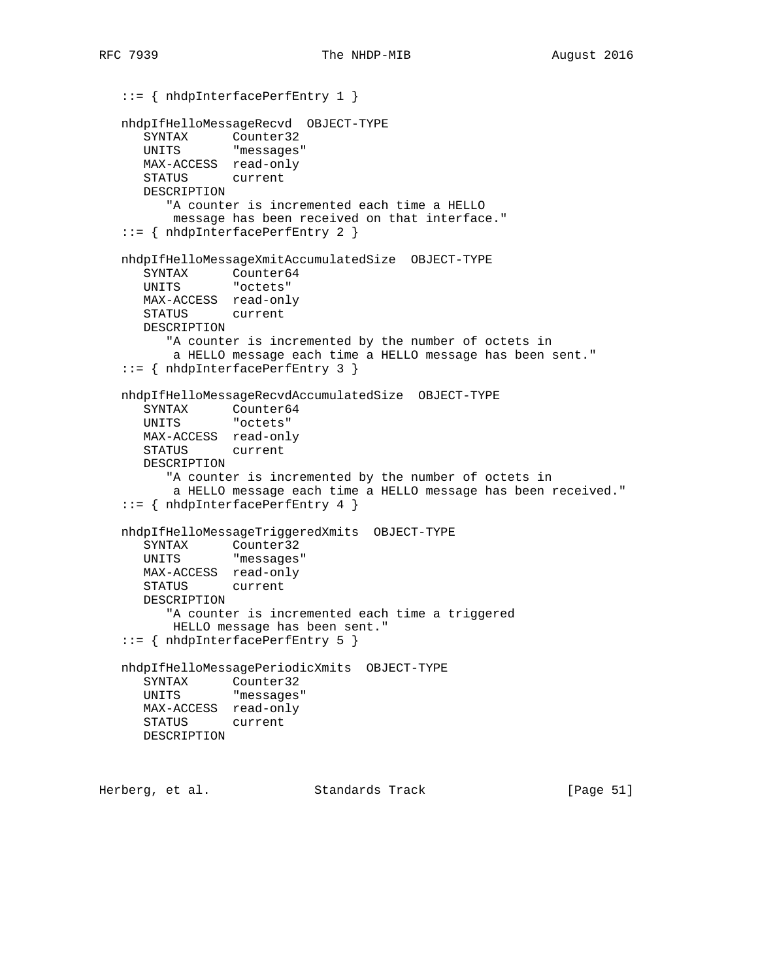```
 ::= { nhdpInterfacePerfEntry 1 }
   nhdpIfHelloMessageRecvd OBJECT-TYPE
     SYNTAX Counter32
      UNITS "messages"
      MAX-ACCESS read-only
      STATUS current
      DESCRIPTION
         "A counter is incremented each time a HELLO
         message has been received on that interface."
   ::= { nhdpInterfacePerfEntry 2 }
   nhdpIfHelloMessageXmitAccumulatedSize OBJECT-TYPE
 SYNTAX Counter64
 UNITS "octets"
      MAX-ACCESS read-only
      STATUS current
      DESCRIPTION
         "A counter is incremented by the number of octets in
          a HELLO message each time a HELLO message has been sent."
   ::= { nhdpInterfacePerfEntry 3 }
   nhdpIfHelloMessageRecvdAccumulatedSize OBJECT-TYPE
 SYNTAX Counter64
 UNITS "octets"
      MAX-ACCESS read-only
      STATUS current
      DESCRIPTION
         "A counter is incremented by the number of octets in
          a HELLO message each time a HELLO message has been received."
   ::= { nhdpInterfacePerfEntry 4 }
   nhdpIfHelloMessageTriggeredXmits OBJECT-TYPE
      SYNTAX Counter32
      UNITS "messages"
      MAX-ACCESS read-only
      STATUS current
      DESCRIPTION
         "A counter is incremented each time a triggered
          HELLO message has been sent."
   ::= { nhdpInterfacePerfEntry 5 }
   nhdpIfHelloMessagePeriodicXmits OBJECT-TYPE
      SYNTAX Counter32
      UNITS "messages"
      MAX-ACCESS read-only
      STATUS current
      DESCRIPTION
```
Herberg, et al. Standards Track [Page 51]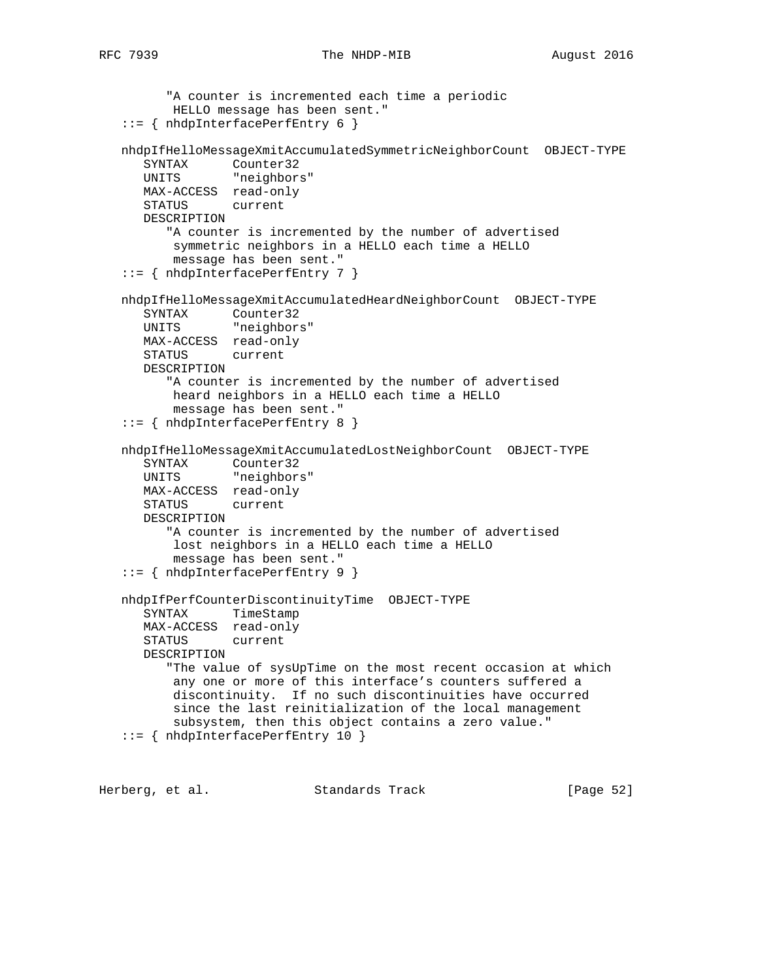## RFC 7939 The NHDP-MIB 2016

```
 "A counter is incremented each time a periodic
          HELLO message has been sent."
   ::= { nhdpInterfacePerfEntry 6 }
   nhdpIfHelloMessageXmitAccumulatedSymmetricNeighborCount OBJECT-TYPE
      SYNTAX Counter32
      UNITS "neighbors"
      MAX-ACCESS read-only
      STATUS current
      DESCRIPTION
         "A counter is incremented by the number of advertised
          symmetric neighbors in a HELLO each time a HELLO
          message has been sent."
   ::= { nhdpInterfacePerfEntry 7 }
   nhdpIfHelloMessageXmitAccumulatedHeardNeighborCount OBJECT-TYPE
      SYNTAX Counter32
      UNITS "neighbors"
      MAX-ACCESS read-only
      STATUS current
      DESCRIPTION
         "A counter is incremented by the number of advertised
          heard neighbors in a HELLO each time a HELLO
          message has been sent."
   ::= { nhdpInterfacePerfEntry 8 }
   nhdpIfHelloMessageXmitAccumulatedLostNeighborCount OBJECT-TYPE
 SYNTAX Counter32
 UNITS "neighbors"
      MAX-ACCESS read-only
      STATUS current
      DESCRIPTION
         "A counter is incremented by the number of advertised
          lost neighbors in a HELLO each time a HELLO
          message has been sent."
   ::= { nhdpInterfacePerfEntry 9 }
   nhdpIfPerfCounterDiscontinuityTime OBJECT-TYPE
      SYNTAX TimeStamp
     MAX-ACCESS read-only<br>STATUS current
     STATUS
      DESCRIPTION
         "The value of sysUpTime on the most recent occasion at which
          any one or more of this interface's counters suffered a
          discontinuity. If no such discontinuities have occurred
          since the last reinitialization of the local management
          subsystem, then this object contains a zero value."
   ::= { nhdpInterfacePerfEntry 10 }
```
Herberg, et al. Standards Track [Page 52]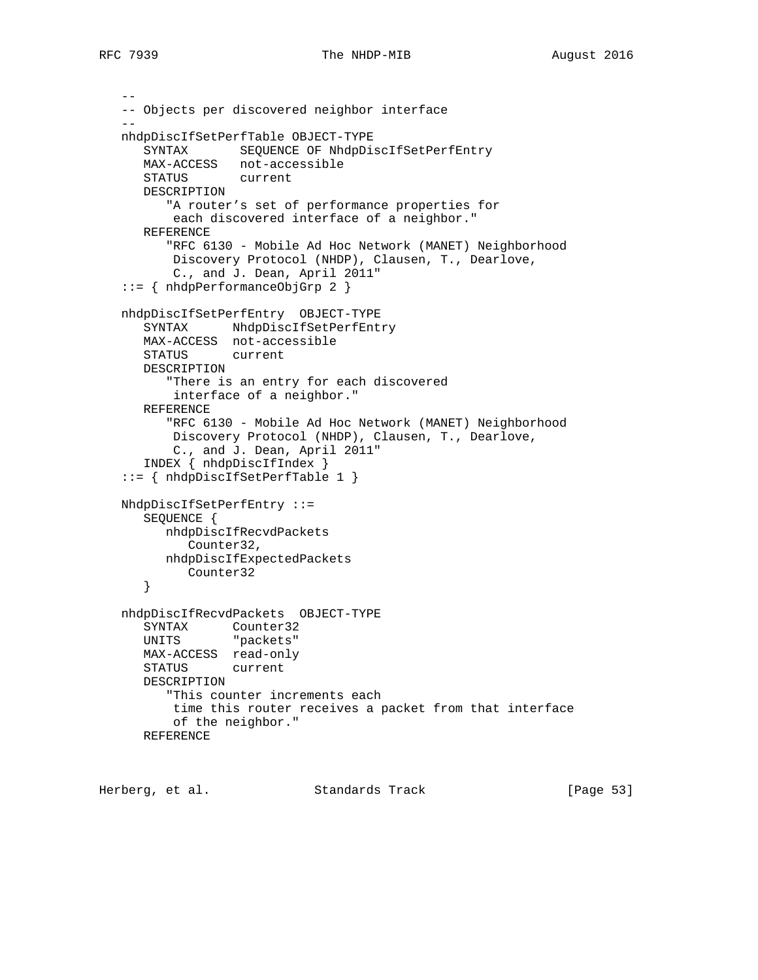```
 --
   -- Objects per discovered neighbor interface
- nhdpDiscIfSetPerfTable OBJECT-TYPE
      SYNTAX SEQUENCE OF NhdpDiscIfSetPerfEntry
      MAX-ACCESS not-accessible
      STATUS current
      DESCRIPTION
         "A router's set of performance properties for
          each discovered interface of a neighbor."
      REFERENCE
         "RFC 6130 - Mobile Ad Hoc Network (MANET) Neighborhood
          Discovery Protocol (NHDP), Clausen, T., Dearlove,
          C., and J. Dean, April 2011"
   ::= { nhdpPerformanceObjGrp 2 }
   nhdpDiscIfSetPerfEntry OBJECT-TYPE
      SYNTAX NhdpDiscIfSetPerfEntry
      MAX-ACCESS not-accessible
      STATUS current
      DESCRIPTION
         "There is an entry for each discovered
          interface of a neighbor."
      REFERENCE
         "RFC 6130 - Mobile Ad Hoc Network (MANET) Neighborhood
          Discovery Protocol (NHDP), Clausen, T., Dearlove,
          C., and J. Dean, April 2011"
      INDEX { nhdpDiscIfIndex }
   ::= { nhdpDiscIfSetPerfTable 1 }
   NhdpDiscIfSetPerfEntry ::=
      SEQUENCE {
        nhdpDiscIfRecvdPackets
           Counter32,
         nhdpDiscIfExpectedPackets
          Counter32
      }
   nhdpDiscIfRecvdPackets OBJECT-TYPE
 SYNTAX Counter32
 UNITS "packets"
      MAX-ACCESS read-only
      STATUS current
      DESCRIPTION
         "This counter increments each
          time this router receives a packet from that interface
          of the neighbor."
      REFERENCE
```
Herberg, et al. Standards Track [Page 53]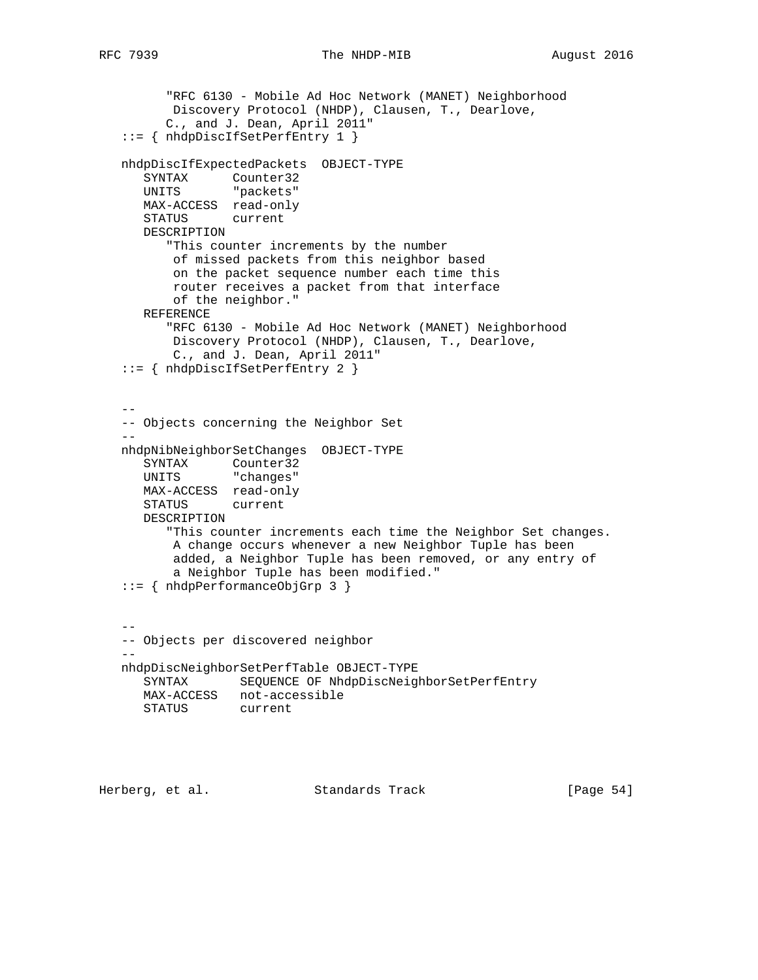```
 "RFC 6130 - Mobile Ad Hoc Network (MANET) Neighborhood
          Discovery Protocol (NHDP), Clausen, T., Dearlove,
         C., and J. Dean, April 2011"
   ::= { nhdpDiscIfSetPerfEntry 1 }
   nhdpDiscIfExpectedPackets OBJECT-TYPE
 SYNTAX Counter32
 UNITS "packets"
      MAX-ACCESS read-only
      STATUS current
      DESCRIPTION
         "This counter increments by the number
          of missed packets from this neighbor based
          on the packet sequence number each time this
          router receives a packet from that interface
          of the neighbor."
      REFERENCE
         "RFC 6130 - Mobile Ad Hoc Network (MANET) Neighborhood
          Discovery Protocol (NHDP), Clausen, T., Dearlove,
          C., and J. Dean, April 2011"
   ::= { nhdpDiscIfSetPerfEntry 2 }
- -- Objects concerning the Neighbor Set
 --
   nhdpNibNeighborSetChanges OBJECT-TYPE
 SYNTAX Counter32
 UNITS "changes"
      MAX-ACCESS read-only
      STATUS current
      DESCRIPTION
         "This counter increments each time the Neighbor Set changes.
          A change occurs whenever a new Neighbor Tuple has been
          added, a Neighbor Tuple has been removed, or any entry of
          a Neighbor Tuple has been modified."
   ::= { nhdpPerformanceObjGrp 3 }
 --
   -- Objects per discovered neighbor
- nhdpDiscNeighborSetPerfTable OBJECT-TYPE
      SYNTAX SEQUENCE OF NhdpDiscNeighborSetPerfEntry
      MAX-ACCESS not-accessible
      STATUS current
```
Herberg, et al. Standards Track [Page 54]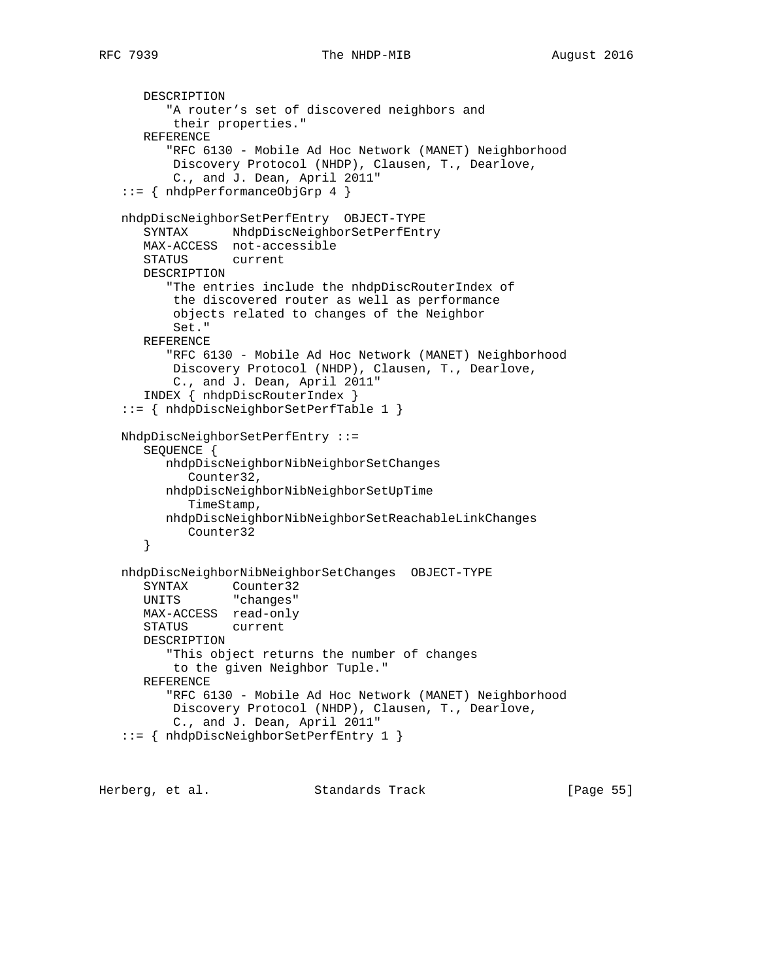```
 DESCRIPTION
          "A router's set of discovered neighbors and
          their properties."
      REFERENCE
          "RFC 6130 - Mobile Ad Hoc Network (MANET) Neighborhood
          Discovery Protocol (NHDP), Clausen, T., Dearlove,
          C., and J. Dean, April 2011"
   ::= { nhdpPerformanceObjGrp 4 }
   nhdpDiscNeighborSetPerfEntry OBJECT-TYPE
     SYNTAX NhdpDiscNeighborSetPerfEntry
      MAX-ACCESS not-accessible
      STATUS current
      DESCRIPTION
          "The entries include the nhdpDiscRouterIndex of
          the discovered router as well as performance
          objects related to changes of the Neighbor
          Set."
      REFERENCE
          "RFC 6130 - Mobile Ad Hoc Network (MANET) Neighborhood
          Discovery Protocol (NHDP), Clausen, T., Dearlove,
          C., and J. Dean, April 2011"
      INDEX { nhdpDiscRouterIndex }
   ::= { nhdpDiscNeighborSetPerfTable 1 }
   NhdpDiscNeighborSetPerfEntry ::=
      SEQUENCE {
         nhdpDiscNeighborNibNeighborSetChanges
            Counter32,
         nhdpDiscNeighborNibNeighborSetUpTime
            TimeStamp,
         nhdpDiscNeighborNibNeighborSetReachableLinkChanges
            Counter32
       }
   nhdpDiscNeighborNibNeighborSetChanges OBJECT-TYPE
 SYNTAX Counter32
 UNITS "changes"
      MAX-ACCESS read-only
      STATUS current
      DESCRIPTION
          "This object returns the number of changes
          to the given Neighbor Tuple."
      REFERENCE
          "RFC 6130 - Mobile Ad Hoc Network (MANET) Neighborhood
          Discovery Protocol (NHDP), Clausen, T., Dearlove,
          C., and J. Dean, April 2011"
   ::= { nhdpDiscNeighborSetPerfEntry 1 }
```
Herberg, et al. Standards Track [Page 55]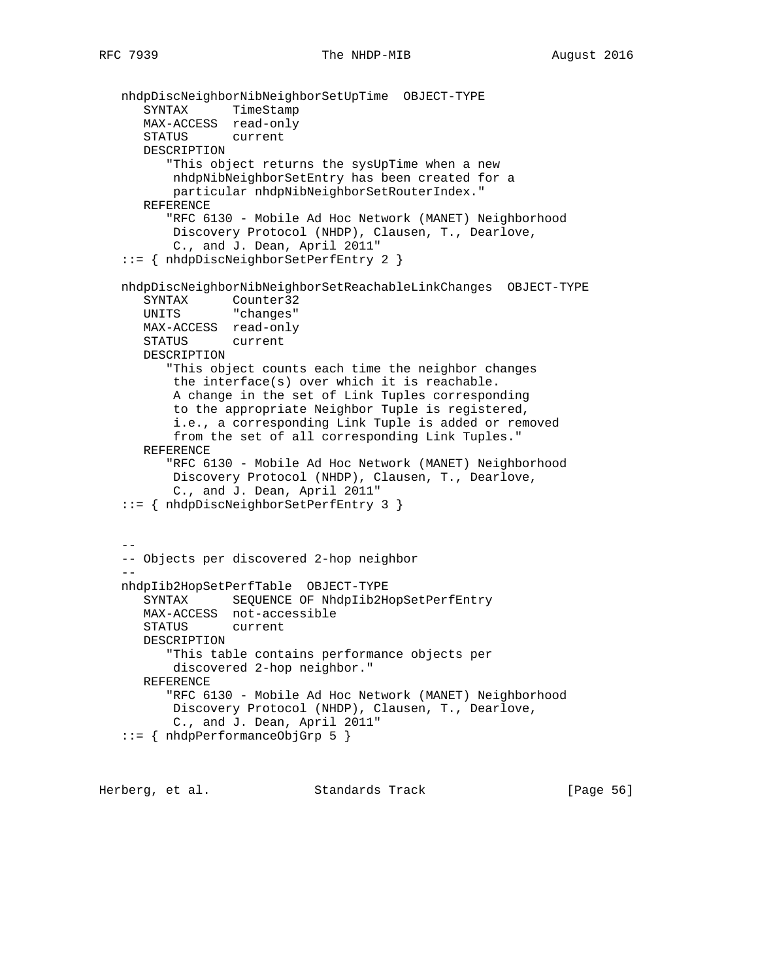```
 nhdpDiscNeighborNibNeighborSetUpTime OBJECT-TYPE
 SYNTAX TimeStamp
 MAX-ACCESS read-only
      STATUS current
      DESCRIPTION
          "This object returns the sysUpTime when a new
          nhdpNibNeighborSetEntry has been created for a
          particular nhdpNibNeighborSetRouterIndex."
      REFERENCE
          "RFC 6130 - Mobile Ad Hoc Network (MANET) Neighborhood
          Discovery Protocol (NHDP), Clausen, T., Dearlove,
          C., and J. Dean, April 2011"
   ::= { nhdpDiscNeighborSetPerfEntry 2 }
   nhdpDiscNeighborNibNeighborSetReachableLinkChanges OBJECT-TYPE
      SYNTAX Counter32
      UNITS "changes"
     MAX-ACCESS read-only<br>STATUS current
     STATUS
      DESCRIPTION
          "This object counts each time the neighbor changes
          the interface(s) over which it is reachable.
          A change in the set of Link Tuples corresponding
          to the appropriate Neighbor Tuple is registered,
          i.e., a corresponding Link Tuple is added or removed
          from the set of all corresponding Link Tuples."
      REFERENCE
          "RFC 6130 - Mobile Ad Hoc Network (MANET) Neighborhood
          Discovery Protocol (NHDP), Clausen, T., Dearlove,
          C., and J. Dean, April 2011"
   ::= { nhdpDiscNeighborSetPerfEntry 3 }
 --
   -- Objects per discovered 2-hop neighbor
- nhdpIib2HopSetPerfTable OBJECT-TYPE
      SYNTAX SEQUENCE OF NhdpIib2HopSetPerfEntry
      MAX-ACCESS not-accessible
      STATUS current
      DESCRIPTION
          "This table contains performance objects per
          discovered 2-hop neighbor."
      REFERENCE
          "RFC 6130 - Mobile Ad Hoc Network (MANET) Neighborhood
          Discovery Protocol (NHDP), Clausen, T., Dearlove,
          C., and J. Dean, April 2011"
   ::= { nhdpPerformanceObjGrp 5 }
```
Herberg, et al. Standards Track [Page 56]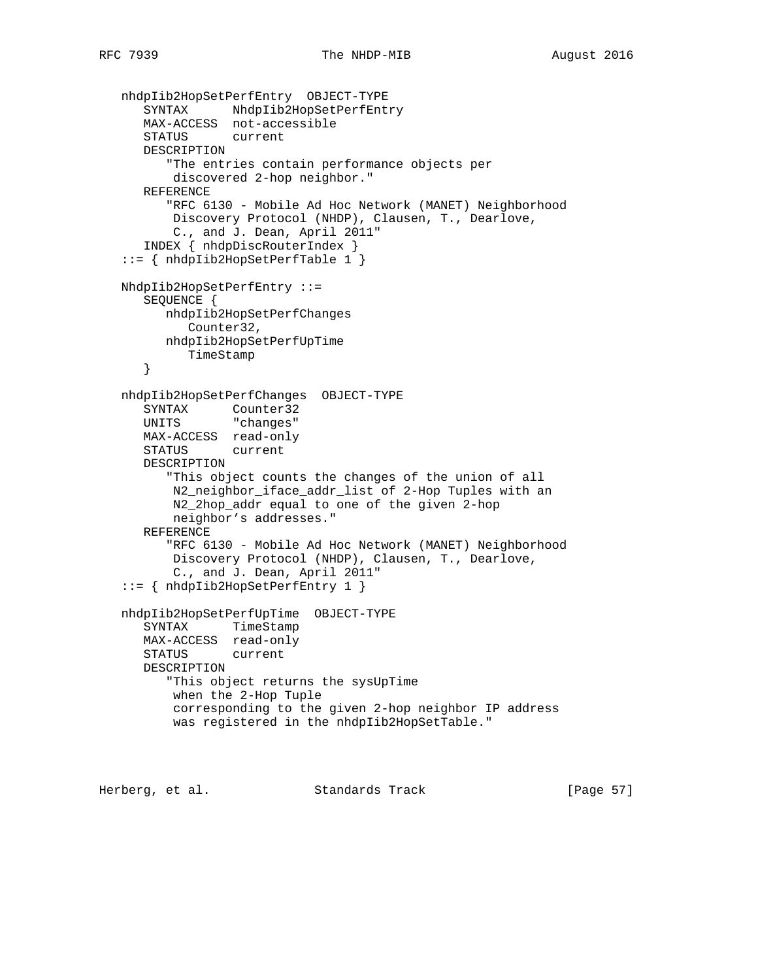```
 nhdpIib2HopSetPerfEntry OBJECT-TYPE
 SYNTAX NhdpIib2HopSetPerfEntry
 MAX-ACCESS not-accessible
      STATUS current
      DESCRIPTION
         "The entries contain performance objects per
          discovered 2-hop neighbor."
      REFERENCE
         "RFC 6130 - Mobile Ad Hoc Network (MANET) Neighborhood
          Discovery Protocol (NHDP), Clausen, T., Dearlove,
          C., and J. Dean, April 2011"
      INDEX { nhdpDiscRouterIndex }
   ::= { nhdpIib2HopSetPerfTable 1 }
   NhdpIib2HopSetPerfEntry ::=
      SEQUENCE {
         nhdpIib2HopSetPerfChanges
           Counter32,
         nhdpIib2HopSetPerfUpTime
           TimeStamp
      }
   nhdpIib2HopSetPerfChanges OBJECT-TYPE
 SYNTAX Counter32
 UNITS "changes"
      MAX-ACCESS read-only
      STATUS current
      DESCRIPTION
         "This object counts the changes of the union of all
          N2_neighbor_iface_addr_list of 2-Hop Tuples with an
          N2_2hop_addr equal to one of the given 2-hop
          neighbor's addresses."
      REFERENCE
         "RFC 6130 - Mobile Ad Hoc Network (MANET) Neighborhood
          Discovery Protocol (NHDP), Clausen, T., Dearlove,
          C., and J. Dean, April 2011"
   ::= { nhdpIib2HopSetPerfEntry 1 }
   nhdpIib2HopSetPerfUpTime OBJECT-TYPE
      SYNTAX TimeStamp
      MAX-ACCESS read-only
      STATUS current
      DESCRIPTION
         "This object returns the sysUpTime
          when the 2-Hop Tuple
          corresponding to the given 2-hop neighbor IP address
          was registered in the nhdpIib2HopSetTable."
```
Herberg, et al. Standards Track [Page 57]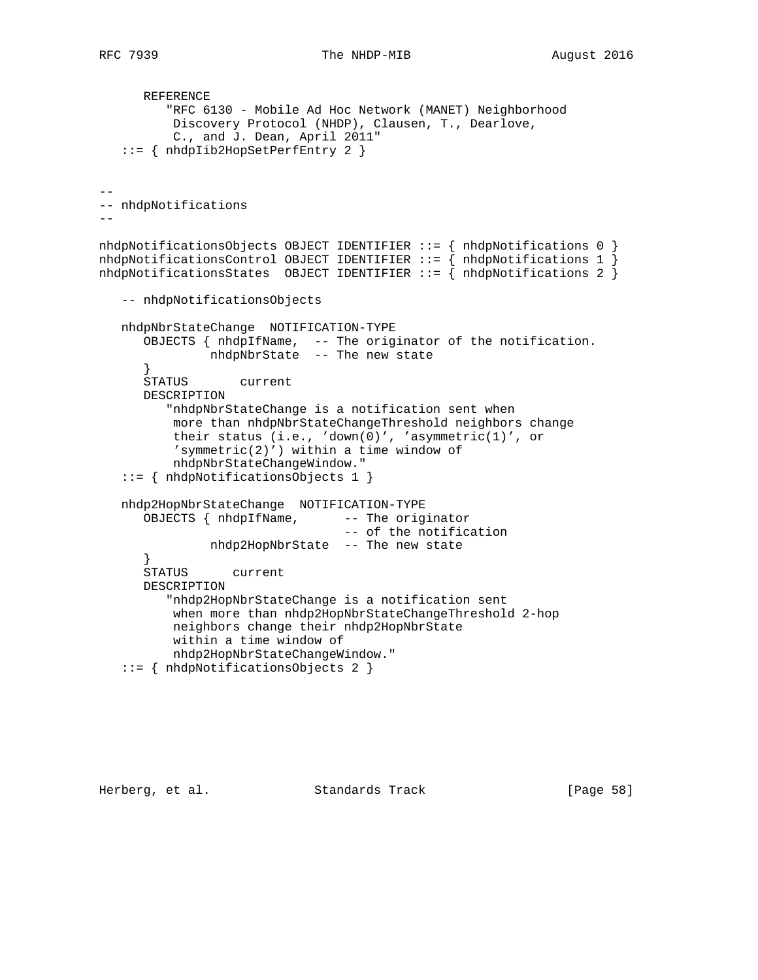```
 REFERENCE
          "RFC 6130 - Mobile Ad Hoc Network (MANET) Neighborhood
          Discovery Protocol (NHDP), Clausen, T., Dearlove,
           C., and J. Dean, April 2011"
    ::= { nhdpIib2HopSetPerfEntry 2 }
--
-- nhdpNotifications
--nhdpNotificationsObjects OBJECT IDENTIFIER ::= { nhdpNotifications 0 }
nhdpNotificationsControl OBJECT IDENTIFIER ::= { nhdpNotifications 1 }
nhdpNotificationsStates OBJECT IDENTIFIER ::= { nhdpNotifications 2 }
    -- nhdpNotificationsObjects
   nhdpNbrStateChange NOTIFICATION-TYPE
       OBJECTS { nhdpIfName, -- The originator of the notification.
              nhdpNbrState -- The new state
       }
       STATUS current
       DESCRIPTION
          "nhdpNbrStateChange is a notification sent when
          more than nhdpNbrStateChangeThreshold neighbors change
           their status (i.e., 'down(0)', 'asymmetric(1)', or
           'symmetric(2)') within a time window of
           nhdpNbrStateChangeWindow."
    ::= { nhdpNotificationsObjects 1 }
    nhdp2HopNbrStateChange NOTIFICATION-TYPE
      OBJECTS { nhdpIfName, -- The originator
                                  -- of the notification
               nhdp2HopNbrState -- The new state
       }
      ,<br>STATUS    current
       DESCRIPTION
          "nhdp2HopNbrStateChange is a notification sent
           when more than nhdp2HopNbrStateChangeThreshold 2-hop
           neighbors change their nhdp2HopNbrState
           within a time window of
          nhdp2HopNbrStateChangeWindow."
    ::= { nhdpNotificationsObjects 2 }
```
Herberg, et al. Standards Track [Page 58]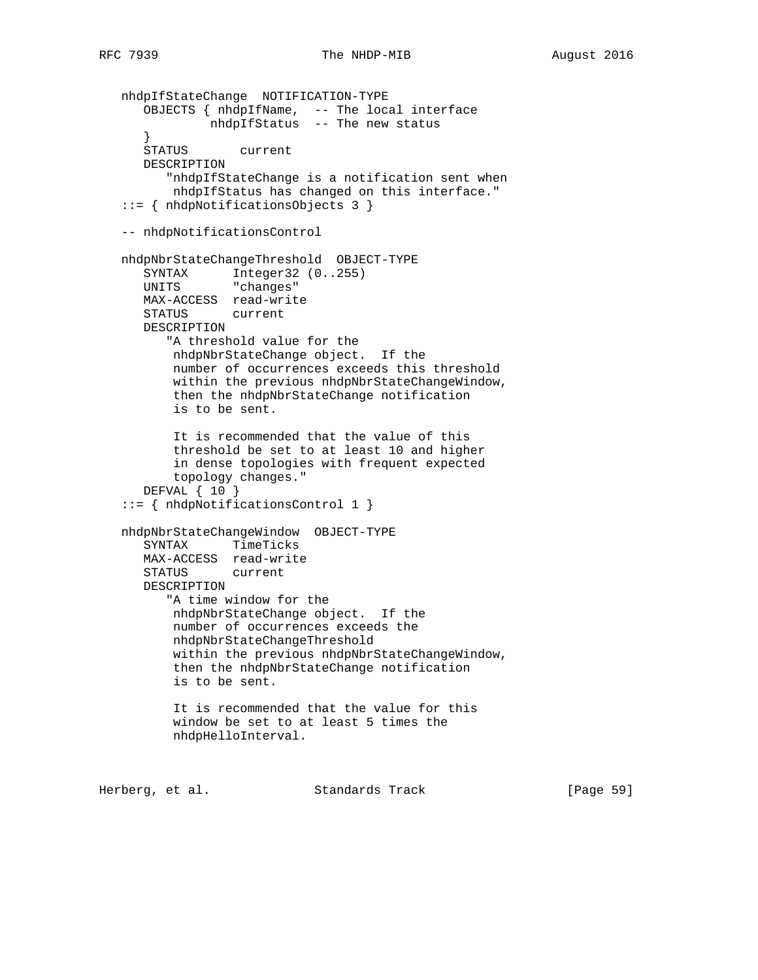```
 nhdpIfStateChange NOTIFICATION-TYPE
 OBJECTS { nhdpIfName, -- The local interface
 nhdpIfStatus -- The new status
     }<br>STATUS
                current
      DESCRIPTION
         "nhdpIfStateChange is a notification sent when
          nhdpIfStatus has changed on this interface."
   ::= { nhdpNotificationsObjects 3 }
   -- nhdpNotificationsControl
   nhdpNbrStateChangeThreshold OBJECT-TYPE
 SYNTAX Integer32 (0..255)
 UNITS "changes"
      MAX-ACCESS read-write
      STATUS current
      DESCRIPTION
         "A threshold value for the
          nhdpNbrStateChange object. If the
          number of occurrences exceeds this threshold
          within the previous nhdpNbrStateChangeWindow,
          then the nhdpNbrStateChange notification
          is to be sent.
          It is recommended that the value of this
          threshold be set to at least 10 and higher
          in dense topologies with frequent expected
          topology changes."
      DEFVAL { 10 }
   ::= { nhdpNotificationsControl 1 }
   nhdpNbrStateChangeWindow OBJECT-TYPE
      SYNTAX TimeTicks
      MAX-ACCESS read-write
      STATUS current
      DESCRIPTION
         "A time window for the
          nhdpNbrStateChange object. If the
          number of occurrences exceeds the
          nhdpNbrStateChangeThreshold
          within the previous nhdpNbrStateChangeWindow,
          then the nhdpNbrStateChange notification
          is to be sent.
          It is recommended that the value for this
          window be set to at least 5 times the
          nhdpHelloInterval.
```
Herberg, et al. Standards Track [Page 59]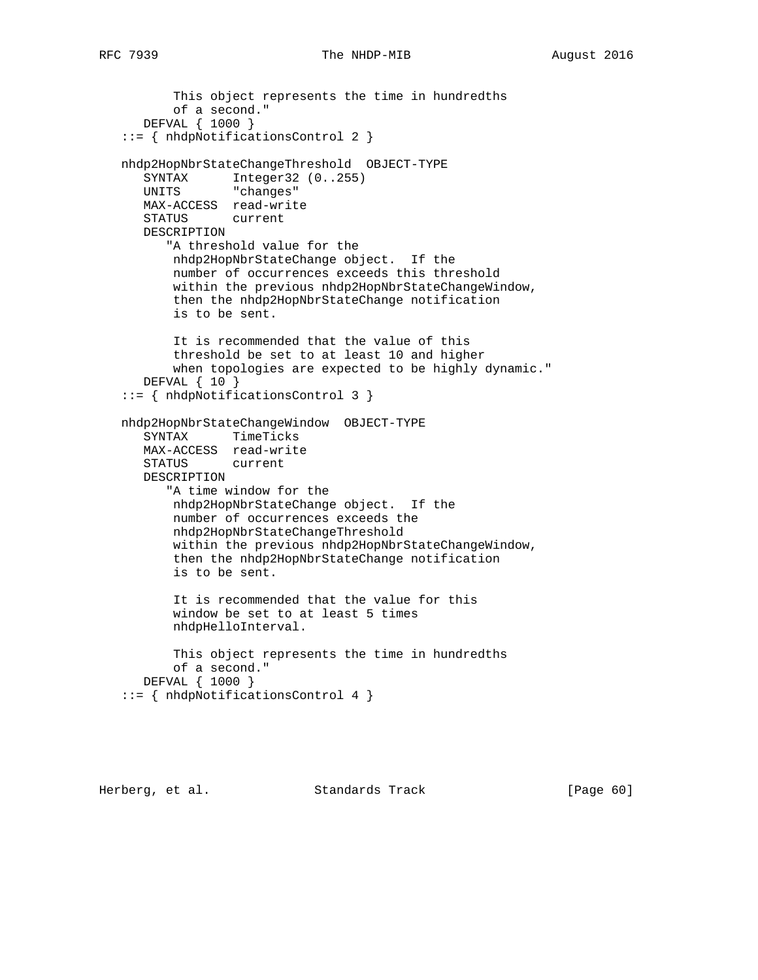```
 This object represents the time in hundredths
          of a second."
      DEFVAL { 1000 }
   ::= { nhdpNotificationsControl 2 }
   nhdp2HopNbrStateChangeThreshold OBJECT-TYPE
 SYNTAX Integer32 (0..255)
 UNITS "changes"
      MAX-ACCESS read-write
      STATUS current
      DESCRIPTION
         "A threshold value for the
          nhdp2HopNbrStateChange object. If the
          number of occurrences exceeds this threshold
          within the previous nhdp2HopNbrStateChangeWindow,
          then the nhdp2HopNbrStateChange notification
          is to be sent.
          It is recommended that the value of this
          threshold be set to at least 10 and higher
          when topologies are expected to be highly dynamic."
      DEFVAL { 10 }
   ::= { nhdpNotificationsControl 3 }
   nhdp2HopNbrStateChangeWindow OBJECT-TYPE
 SYNTAX TimeTicks
 MAX-ACCESS read-write
      STATUS current
      DESCRIPTION
         "A time window for the
          nhdp2HopNbrStateChange object. If the
          number of occurrences exceeds the
          nhdp2HopNbrStateChangeThreshold
          within the previous nhdp2HopNbrStateChangeWindow,
          then the nhdp2HopNbrStateChange notification
          is to be sent.
          It is recommended that the value for this
          window be set to at least 5 times
          nhdpHelloInterval.
          This object represents the time in hundredths
          of a second."
      DEFVAL { 1000 }
   ::= { nhdpNotificationsControl 4 }
```
Herberg, et al. Standards Track [Page 60]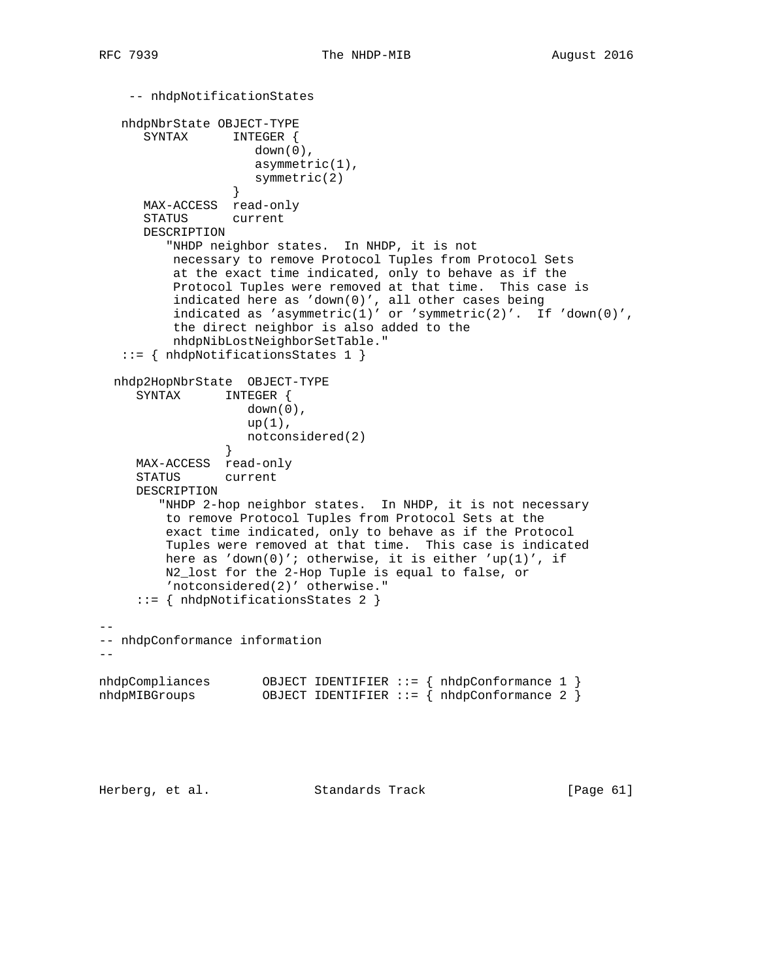```
 -- nhdpNotificationStates
   nhdpNbrState OBJECT-TYPE
      SYNTAX INTEGER {
                    down(0),
                     asymmetric(1),
                    symmetric(2)
 }
      MAX-ACCESS read-only
      STATUS current
      DESCRIPTION
         "NHDP neighbor states. In NHDP, it is not
          necessary to remove Protocol Tuples from Protocol Sets
          at the exact time indicated, only to behave as if the
          Protocol Tuples were removed at that time. This case is
          indicated here as 'down(0)', all other cases being
          indicated as 'asymmetric(1)' or 'symmetric(2)'. If 'down(0)',
          the direct neighbor is also added to the
          nhdpNibLostNeighborSetTable."
    ::= { nhdpNotificationsStates 1 }
  nhdp2HopNbrState OBJECT-TYPE
     SYNTAX INTEGER {
                   down(0),
                    up(1),
                notconsidered(2)<br>}
 }
     MAX-ACCESS read-only
     STATUS current
     DESCRIPTION
        "NHDP 2-hop neighbor states. In NHDP, it is not necessary
         to remove Protocol Tuples from Protocol Sets at the
         exact time indicated, only to behave as if the Protocol
         Tuples were removed at that time. This case is indicated
         here as 'down(0)'; otherwise, it is either 'up(1)', if
         N2_lost for the 2-Hop Tuple is equal to false, or
         'notconsidered(2)' otherwise."
     ::= { nhdpNotificationsStates 2 }
--
-- nhdpConformance information
- -nhdpCompliances OBJECT IDENTIFIER ::= { nhdpConformance 1 }
nhdpMIBGroups OBJECT IDENTIFIER ::= { nhdpConformance 2 }
```
Herberg, et al. Standards Track [Page 61]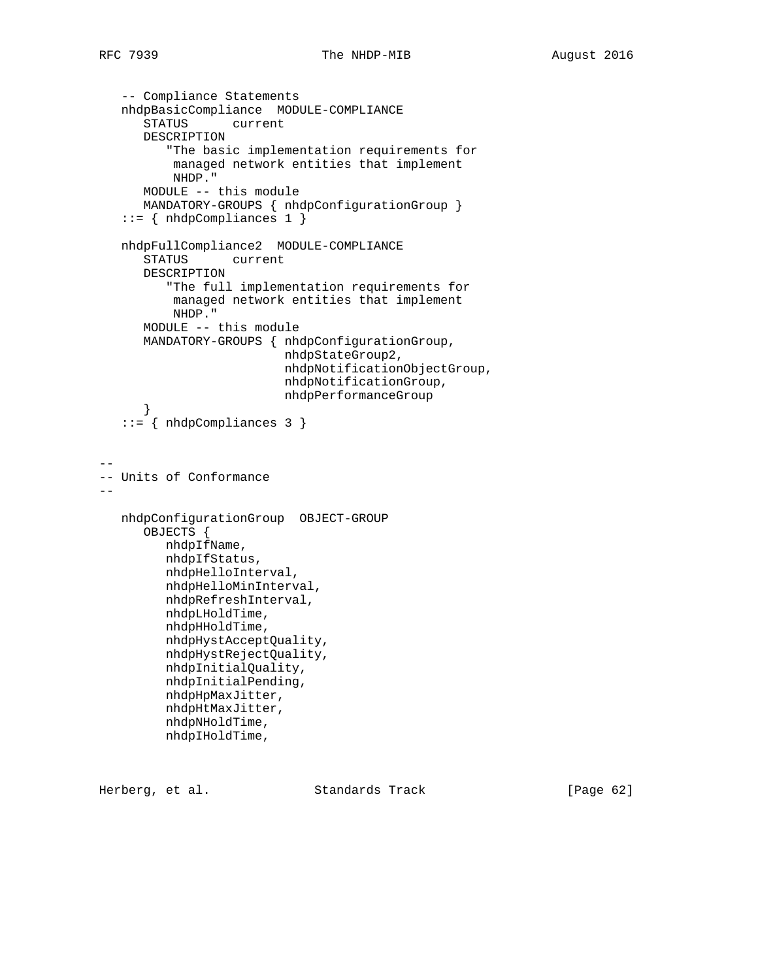```
 -- Compliance Statements
    nhdpBasicCompliance MODULE-COMPLIANCE
       STATUS current
       DESCRIPTION
          "The basic implementation requirements for
           managed network entities that implement
           NHDP."
       MODULE -- this module
       MANDATORY-GROUPS { nhdpConfigurationGroup }
    ::= { nhdpCompliances 1 }
    nhdpFullCompliance2 MODULE-COMPLIANCE
       STATUS current
       DESCRIPTION
          "The full implementation requirements for
           managed network entities that implement
           NHDP."
       MODULE -- this module
       MANDATORY-GROUPS { nhdpConfigurationGroup,
                           nhdpStateGroup2,
                           nhdpNotificationObjectGroup,
                           nhdpNotificationGroup,
                           nhdpPerformanceGroup
       }
    ::= { nhdpCompliances 3 }
--
-- Units of Conformance
--
   nhdpConfigurationGroup OBJECT-GROUP
       OBJECTS {
          nhdpIfName,
          nhdpIfStatus,
          nhdpHelloInterval,
          nhdpHelloMinInterval,
          nhdpRefreshInterval,
          nhdpLHoldTime,
          nhdpHHoldTime,
          nhdpHystAcceptQuality,
          nhdpHystRejectQuality,
          nhdpInitialQuality,
          nhdpInitialPending,
          nhdpHpMaxJitter,
          nhdpHtMaxJitter,
          nhdpNHoldTime,
          nhdpIHoldTime,
```
Herberg, et al. Standards Track [Page 62]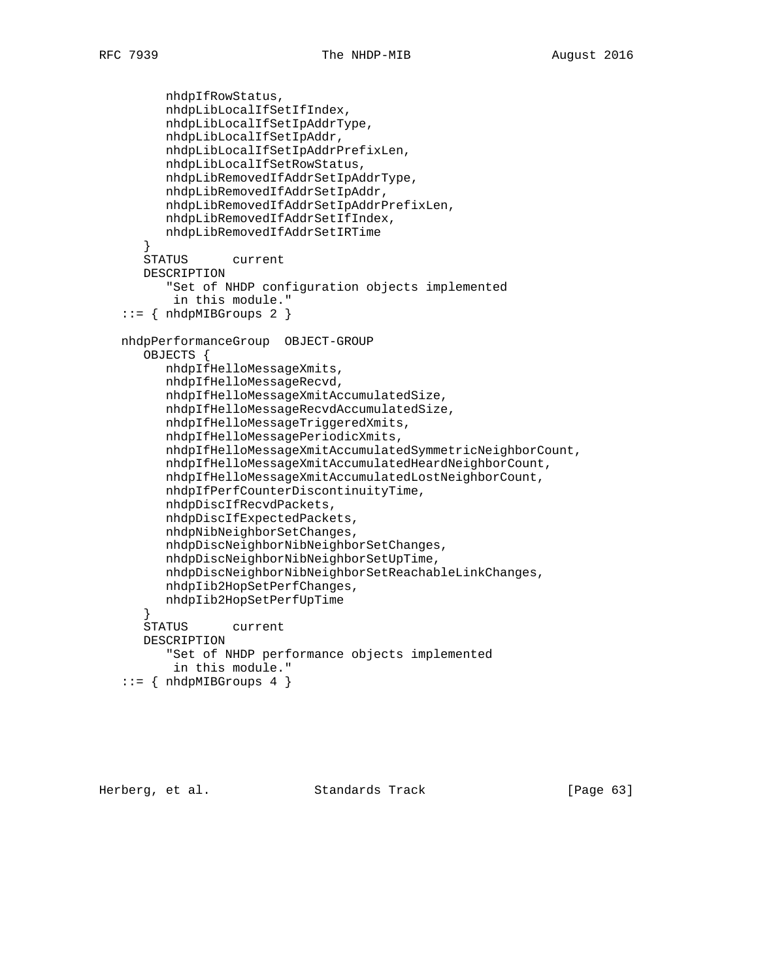```
 nhdpIfRowStatus,
       nhdpLibLocalIfSetIfIndex,
       nhdpLibLocalIfSetIpAddrType,
       nhdpLibLocalIfSetIpAddr,
       nhdpLibLocalIfSetIpAddrPrefixLen,
       nhdpLibLocalIfSetRowStatus,
       nhdpLibRemovedIfAddrSetIpAddrType,
       nhdpLibRemovedIfAddrSetIpAddr,
       nhdpLibRemovedIfAddrSetIpAddrPrefixLen,
       nhdpLibRemovedIfAddrSetIfIndex,
       nhdpLibRemovedIfAddrSetIRTime
    }
    STATUS current
    DESCRIPTION
       "Set of NHDP configuration objects implemented
        in this module."
 ::= { nhdpMIBGroups 2 }
 nhdpPerformanceGroup OBJECT-GROUP
    OBJECTS {
       nhdpIfHelloMessageXmits,
       nhdpIfHelloMessageRecvd,
       nhdpIfHelloMessageXmitAccumulatedSize,
       nhdpIfHelloMessageRecvdAccumulatedSize,
       nhdpIfHelloMessageTriggeredXmits,
       nhdpIfHelloMessagePeriodicXmits,
       nhdpIfHelloMessageXmitAccumulatedSymmetricNeighborCount,
       nhdpIfHelloMessageXmitAccumulatedHeardNeighborCount,
       nhdpIfHelloMessageXmitAccumulatedLostNeighborCount,
       nhdpIfPerfCounterDiscontinuityTime,
       nhdpDiscIfRecvdPackets,
       nhdpDiscIfExpectedPackets,
       nhdpNibNeighborSetChanges,
       nhdpDiscNeighborNibNeighborSetChanges,
       nhdpDiscNeighborNibNeighborSetUpTime,
       nhdpDiscNeighborNibNeighborSetReachableLinkChanges,
       nhdpIib2HopSetPerfChanges,
       nhdpIib2HopSetPerfUpTime
    }
    STATUS current
    DESCRIPTION
       "Set of NHDP performance objects implemented
        in this module."
 ::= \{ nhdpMIBGroups 4 \}
```
Herberg, et al. Standards Track [Page 63]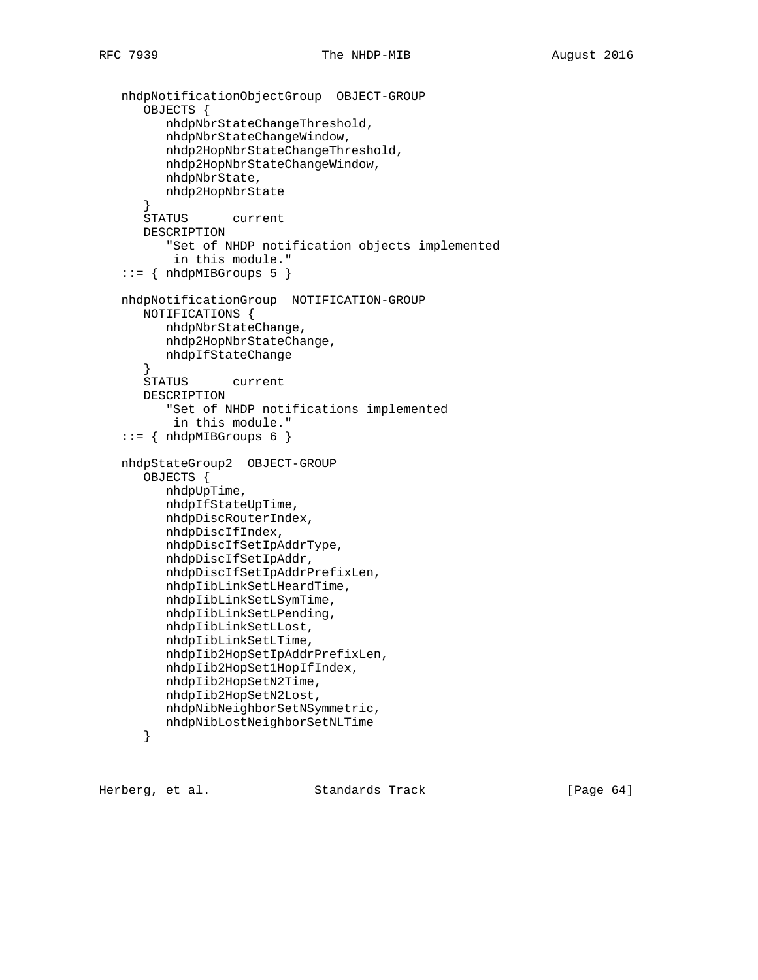```
 nhdpNotificationObjectGroup OBJECT-GROUP
    OBJECTS {
       nhdpNbrStateChangeThreshold,
       nhdpNbrStateChangeWindow,
       nhdp2HopNbrStateChangeThreshold,
       nhdp2HopNbrStateChangeWindow,
       nhdpNbrState,
       nhdp2HopNbrState
    }
    STATUS current
    DESCRIPTION
       "Set of NHDP notification objects implemented
        in this module."
::= { nhdpMIBGroups 5 }
 nhdpNotificationGroup NOTIFICATION-GROUP
   NOTIFICATIONS {
      nhdpNbrStateChange,
       nhdp2HopNbrStateChange,
      nhdpIfStateChange
    }
    STATUS current
    DESCRIPTION
       "Set of NHDP notifications implemented
        in this module."
::= { nhdpMIBGroups 6 }
 nhdpStateGroup2 OBJECT-GROUP
    OBJECTS {
       nhdpUpTime,
       nhdpIfStateUpTime,
       nhdpDiscRouterIndex,
       nhdpDiscIfIndex,
       nhdpDiscIfSetIpAddrType,
       nhdpDiscIfSetIpAddr,
       nhdpDiscIfSetIpAddrPrefixLen,
       nhdpIibLinkSetLHeardTime,
       nhdpIibLinkSetLSymTime,
       nhdpIibLinkSetLPending,
       nhdpIibLinkSetLLost,
       nhdpIibLinkSetLTime,
       nhdpIib2HopSetIpAddrPrefixLen,
       nhdpIib2HopSet1HopIfIndex,
       nhdpIib2HopSetN2Time,
       nhdpIib2HopSetN2Lost,
       nhdpNibNeighborSetNSymmetric,
       nhdpNibLostNeighborSetNLTime
    }
```
Herberg, et al. Standards Track [Page 64]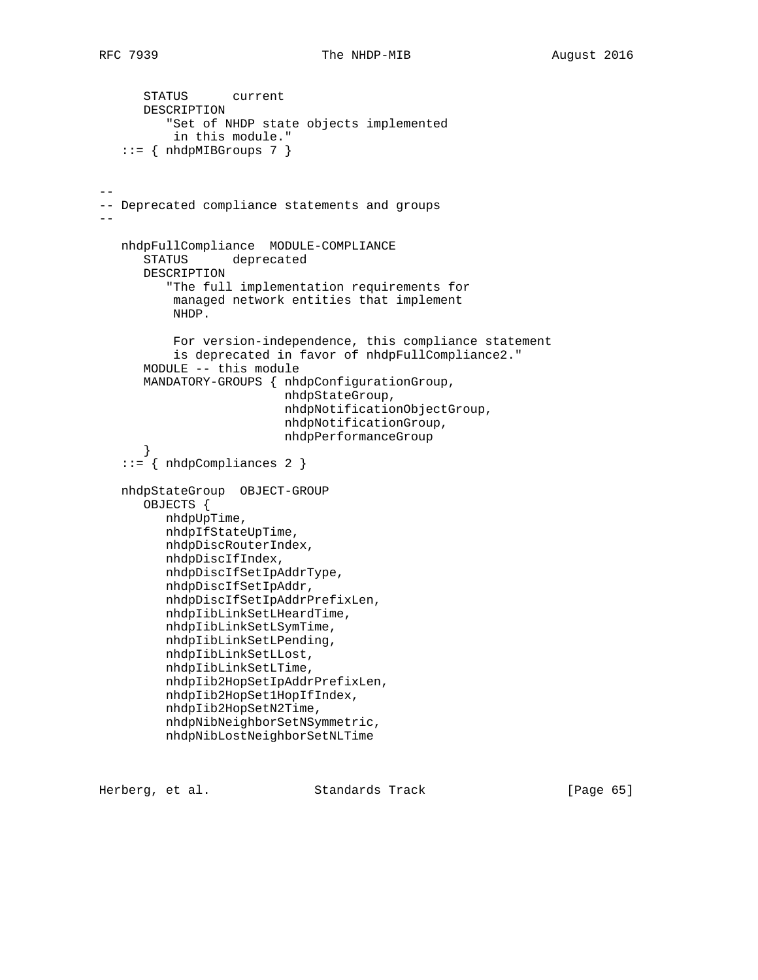```
 STATUS current
       DESCRIPTION
          "Set of NHDP state objects implemented
           in this module."
   ::= { nhdpMIBGroups 7 }
--
-- Deprecated compliance statements and groups
--
   nhdpFullCompliance MODULE-COMPLIANCE
       STATUS deprecated
       DESCRIPTION
          "The full implementation requirements for
           managed network entities that implement
           NHDP.
           For version-independence, this compliance statement
           is deprecated in favor of nhdpFullCompliance2."
       MODULE -- this module
       MANDATORY-GROUPS { nhdpConfigurationGroup,
                           nhdpStateGroup,
                           nhdpNotificationObjectGroup,
                           nhdpNotificationGroup,
                           nhdpPerformanceGroup
       }
    ::= { nhdpCompliances 2 }
    nhdpStateGroup OBJECT-GROUP
       OBJECTS {
          nhdpUpTime,
          nhdpIfStateUpTime,
          nhdpDiscRouterIndex,
          nhdpDiscIfIndex,
          nhdpDiscIfSetIpAddrType,
          nhdpDiscIfSetIpAddr,
          nhdpDiscIfSetIpAddrPrefixLen,
          nhdpIibLinkSetLHeardTime,
          nhdpIibLinkSetLSymTime,
          nhdpIibLinkSetLPending,
          nhdpIibLinkSetLLost,
          nhdpIibLinkSetLTime,
          nhdpIib2HopSetIpAddrPrefixLen,
          nhdpIib2HopSet1HopIfIndex,
          nhdpIib2HopSetN2Time,
          nhdpNibNeighborSetNSymmetric,
          nhdpNibLostNeighborSetNLTime
```
Herberg, et al. Standards Track [Page 65]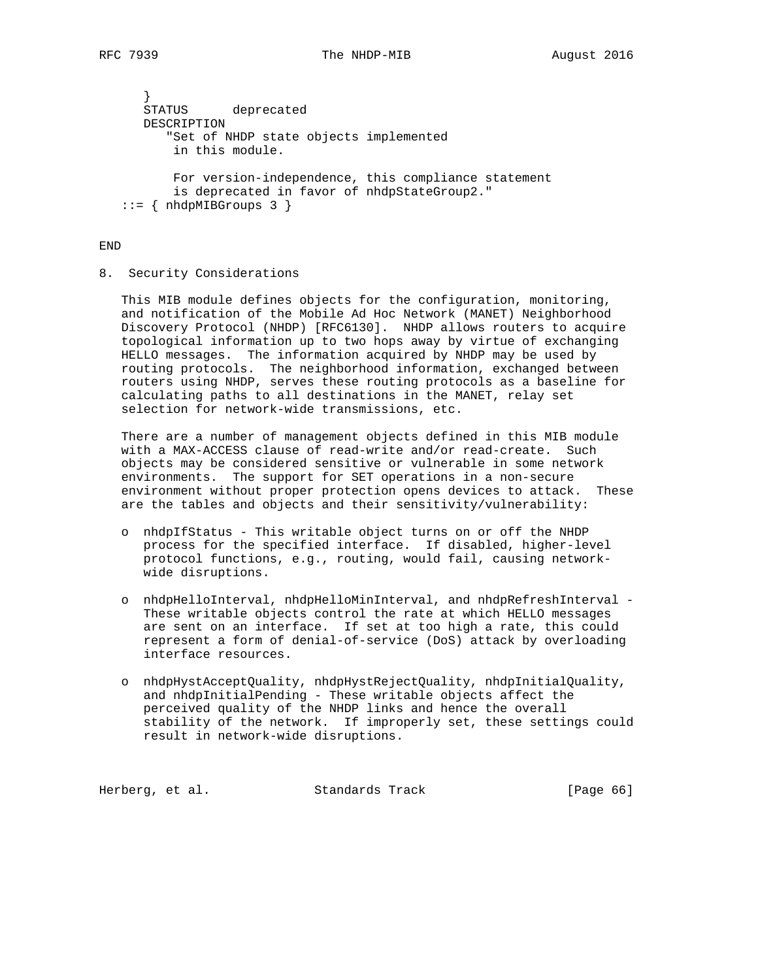```
 }
      STATUS deprecated
      DESCRIPTION
         "Set of NHDP state objects implemented
          in this module.
          For version-independence, this compliance statement
          is deprecated in favor of nhdpStateGroup2."
  ::= { nhdpMIBGroups 3 }
```
## END

8. Security Considerations

 This MIB module defines objects for the configuration, monitoring, and notification of the Mobile Ad Hoc Network (MANET) Neighborhood Discovery Protocol (NHDP) [RFC6130]. NHDP allows routers to acquire topological information up to two hops away by virtue of exchanging HELLO messages. The information acquired by NHDP may be used by routing protocols. The neighborhood information, exchanged between routers using NHDP, serves these routing protocols as a baseline for calculating paths to all destinations in the MANET, relay set selection for network-wide transmissions, etc.

 There are a number of management objects defined in this MIB module with a MAX-ACCESS clause of read-write and/or read-create. Such objects may be considered sensitive or vulnerable in some network environments. The support for SET operations in a non-secure environment without proper protection opens devices to attack. These are the tables and objects and their sensitivity/vulnerability:

- o nhdpIfStatus This writable object turns on or off the NHDP process for the specified interface. If disabled, higher-level protocol functions, e.g., routing, would fail, causing network wide disruptions.
- o nhdpHelloInterval, nhdpHelloMinInterval, and nhdpRefreshInterval These writable objects control the rate at which HELLO messages are sent on an interface. If set at too high a rate, this could represent a form of denial-of-service (DoS) attack by overloading interface resources.
- o nhdpHystAcceptQuality, nhdpHystRejectQuality, nhdpInitialQuality, and nhdpInitialPending - These writable objects affect the perceived quality of the NHDP links and hence the overall stability of the network. If improperly set, these settings could result in network-wide disruptions.

Herberg, et al. Standards Track [Page 66]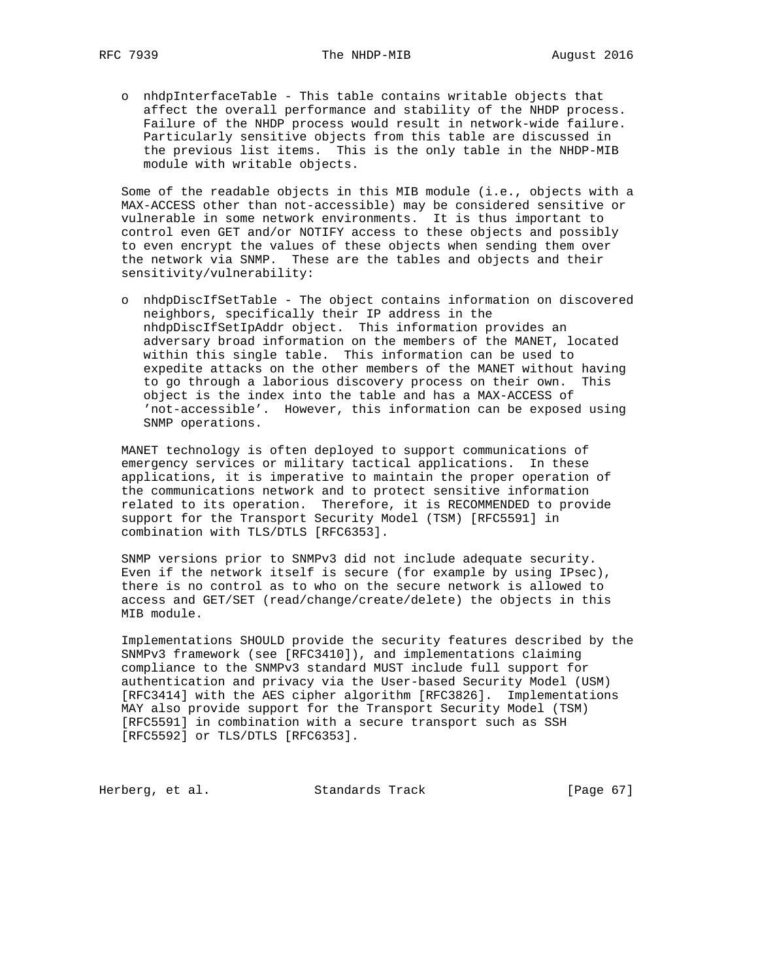o nhdpInterfaceTable - This table contains writable objects that affect the overall performance and stability of the NHDP process. Failure of the NHDP process would result in network-wide failure. Particularly sensitive objects from this table are discussed in the previous list items. This is the only table in the NHDP-MIB module with writable objects.

 Some of the readable objects in this MIB module (i.e., objects with a MAX-ACCESS other than not-accessible) may be considered sensitive or vulnerable in some network environments. It is thus important to control even GET and/or NOTIFY access to these objects and possibly to even encrypt the values of these objects when sending them over the network via SNMP. These are the tables and objects and their sensitivity/vulnerability:

 o nhdpDiscIfSetTable - The object contains information on discovered neighbors, specifically their IP address in the nhdpDiscIfSetIpAddr object. This information provides an adversary broad information on the members of the MANET, located within this single table. This information can be used to expedite attacks on the other members of the MANET without having to go through a laborious discovery process on their own. This object is the index into the table and has a MAX-ACCESS of 'not-accessible'. However, this information can be exposed using SNMP operations.

 MANET technology is often deployed to support communications of emergency services or military tactical applications. In these applications, it is imperative to maintain the proper operation of the communications network and to protect sensitive information related to its operation. Therefore, it is RECOMMENDED to provide support for the Transport Security Model (TSM) [RFC5591] in combination with TLS/DTLS [RFC6353].

 SNMP versions prior to SNMPv3 did not include adequate security. Even if the network itself is secure (for example by using IPsec), there is no control as to who on the secure network is allowed to access and GET/SET (read/change/create/delete) the objects in this MIB module.

 Implementations SHOULD provide the security features described by the SNMPv3 framework (see [RFC3410]), and implementations claiming compliance to the SNMPv3 standard MUST include full support for authentication and privacy via the User-based Security Model (USM) [RFC3414] with the AES cipher algorithm [RFC3826]. Implementations MAY also provide support for the Transport Security Model (TSM) [RFC5591] in combination with a secure transport such as SSH [RFC5592] or TLS/DTLS [RFC6353].

Herberg, et al. Standards Track [Page 67]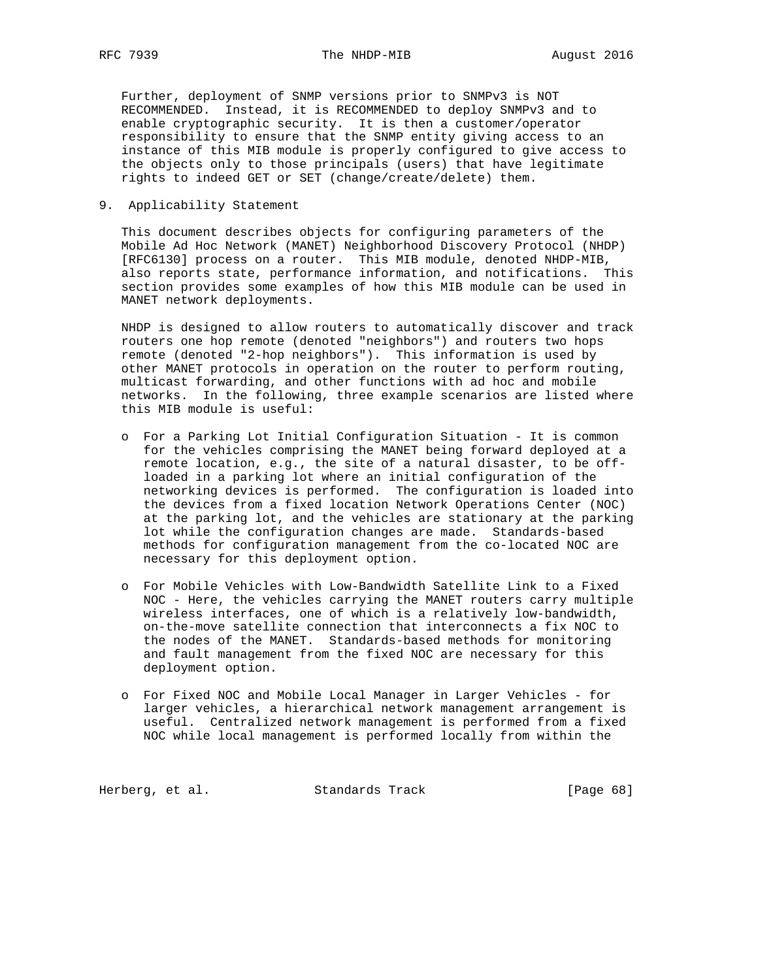Further, deployment of SNMP versions prior to SNMPv3 is NOT RECOMMENDED. Instead, it is RECOMMENDED to deploy SNMPv3 and to enable cryptographic security. It is then a customer/operator responsibility to ensure that the SNMP entity giving access to an instance of this MIB module is properly configured to give access to the objects only to those principals (users) that have legitimate rights to indeed GET or SET (change/create/delete) them.

9. Applicability Statement

 This document describes objects for configuring parameters of the Mobile Ad Hoc Network (MANET) Neighborhood Discovery Protocol (NHDP) [RFC6130] process on a router. This MIB module, denoted NHDP-MIB, also reports state, performance information, and notifications. This section provides some examples of how this MIB module can be used in MANET network deployments.

 NHDP is designed to allow routers to automatically discover and track routers one hop remote (denoted "neighbors") and routers two hops remote (denoted "2-hop neighbors"). This information is used by other MANET protocols in operation on the router to perform routing, multicast forwarding, and other functions with ad hoc and mobile networks. In the following, three example scenarios are listed where this MIB module is useful:

- o For a Parking Lot Initial Configuration Situation It is common for the vehicles comprising the MANET being forward deployed at a remote location, e.g., the site of a natural disaster, to be off loaded in a parking lot where an initial configuration of the networking devices is performed. The configuration is loaded into the devices from a fixed location Network Operations Center (NOC) at the parking lot, and the vehicles are stationary at the parking lot while the configuration changes are made. Standards-based methods for configuration management from the co-located NOC are necessary for this deployment option.
- o For Mobile Vehicles with Low-Bandwidth Satellite Link to a Fixed NOC - Here, the vehicles carrying the MANET routers carry multiple wireless interfaces, one of which is a relatively low-bandwidth, on-the-move satellite connection that interconnects a fix NOC to the nodes of the MANET. Standards-based methods for monitoring and fault management from the fixed NOC are necessary for this deployment option.
- o For Fixed NOC and Mobile Local Manager in Larger Vehicles for larger vehicles, a hierarchical network management arrangement is useful. Centralized network management is performed from a fixed NOC while local management is performed locally from within the

Herberg, et al. Standards Track [Page 68]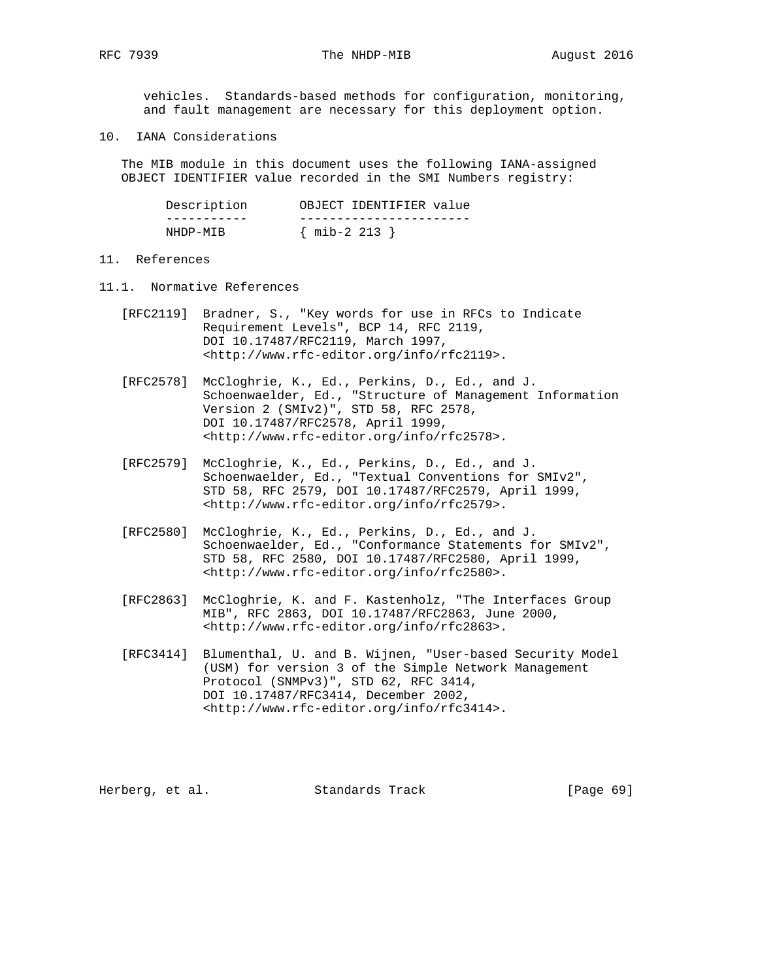RFC 7939 The NHDP-MIB 2016

 vehicles. Standards-based methods for configuration, monitoring, and fault management are necessary for this deployment option.

10. IANA Considerations

 The MIB module in this document uses the following IANA-assigned OBJECT IDENTIFIER value recorded in the SMI Numbers registry:

| Description | OBJECT IDENTIFIER value |
|-------------|-------------------------|
|             |                         |
| NHDP-MTR    | $\{$ mib-2 213 $\}$     |

## 11. References

- 11.1. Normative References
	- [RFC2119] Bradner, S., "Key words for use in RFCs to Indicate Requirement Levels", BCP 14, RFC 2119, DOI 10.17487/RFC2119, March 1997, <http://www.rfc-editor.org/info/rfc2119>.
	- [RFC2578] McCloghrie, K., Ed., Perkins, D., Ed., and J. Schoenwaelder, Ed., "Structure of Management Information Version 2 (SMIv2)", STD 58, RFC 2578, DOI 10.17487/RFC2578, April 1999, <http://www.rfc-editor.org/info/rfc2578>.
	- [RFC2579] McCloghrie, K., Ed., Perkins, D., Ed., and J. Schoenwaelder, Ed., "Textual Conventions for SMIv2", STD 58, RFC 2579, DOI 10.17487/RFC2579, April 1999, <http://www.rfc-editor.org/info/rfc2579>.
	- [RFC2580] McCloghrie, K., Ed., Perkins, D., Ed., and J. Schoenwaelder, Ed., "Conformance Statements for SMIv2", STD 58, RFC 2580, DOI 10.17487/RFC2580, April 1999, <http://www.rfc-editor.org/info/rfc2580>.
	- [RFC2863] McCloghrie, K. and F. Kastenholz, "The Interfaces Group MIB", RFC 2863, DOI 10.17487/RFC2863, June 2000, <http://www.rfc-editor.org/info/rfc2863>.
	- [RFC3414] Blumenthal, U. and B. Wijnen, "User-based Security Model (USM) for version 3 of the Simple Network Management Protocol (SNMPv3)", STD 62, RFC 3414, DOI 10.17487/RFC3414, December 2002, <http://www.rfc-editor.org/info/rfc3414>.

Herberg, et al. Standards Track [Page 69]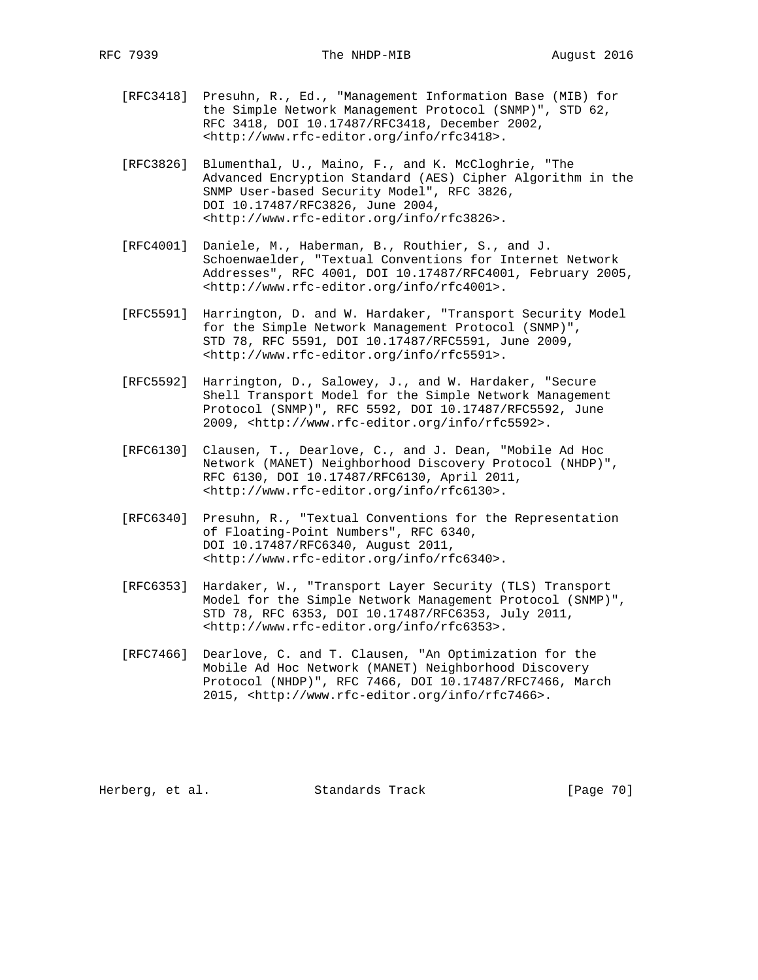- [RFC3418] Presuhn, R., Ed., "Management Information Base (MIB) for the Simple Network Management Protocol (SNMP)", STD 62, RFC 3418, DOI 10.17487/RFC3418, December 2002, <http://www.rfc-editor.org/info/rfc3418>.
- [RFC3826] Blumenthal, U., Maino, F., and K. McCloghrie, "The Advanced Encryption Standard (AES) Cipher Algorithm in the SNMP User-based Security Model", RFC 3826, DOI 10.17487/RFC3826, June 2004, <http://www.rfc-editor.org/info/rfc3826>.
- [RFC4001] Daniele, M., Haberman, B., Routhier, S., and J. Schoenwaelder, "Textual Conventions for Internet Network Addresses", RFC 4001, DOI 10.17487/RFC4001, February 2005, <http://www.rfc-editor.org/info/rfc4001>.
- [RFC5591] Harrington, D. and W. Hardaker, "Transport Security Model for the Simple Network Management Protocol (SNMP)", STD 78, RFC 5591, DOI 10.17487/RFC5591, June 2009, <http://www.rfc-editor.org/info/rfc5591>.
- [RFC5592] Harrington, D., Salowey, J., and W. Hardaker, "Secure Shell Transport Model for the Simple Network Management Protocol (SNMP)", RFC 5592, DOI 10.17487/RFC5592, June 2009, <http://www.rfc-editor.org/info/rfc5592>.
- [RFC6130] Clausen, T., Dearlove, C., and J. Dean, "Mobile Ad Hoc Network (MANET) Neighborhood Discovery Protocol (NHDP)", RFC 6130, DOI 10.17487/RFC6130, April 2011, <http://www.rfc-editor.org/info/rfc6130>.
- [RFC6340] Presuhn, R., "Textual Conventions for the Representation of Floating-Point Numbers", RFC 6340, DOI 10.17487/RFC6340, August 2011, <http://www.rfc-editor.org/info/rfc6340>.
- [RFC6353] Hardaker, W., "Transport Layer Security (TLS) Transport Model for the Simple Network Management Protocol (SNMP)", STD 78, RFC 6353, DOI 10.17487/RFC6353, July 2011, <http://www.rfc-editor.org/info/rfc6353>.
- [RFC7466] Dearlove, C. and T. Clausen, "An Optimization for the Mobile Ad Hoc Network (MANET) Neighborhood Discovery Protocol (NHDP)", RFC 7466, DOI 10.17487/RFC7466, March 2015, <http://www.rfc-editor.org/info/rfc7466>.

Herberg, et al. Standards Track [Page 70]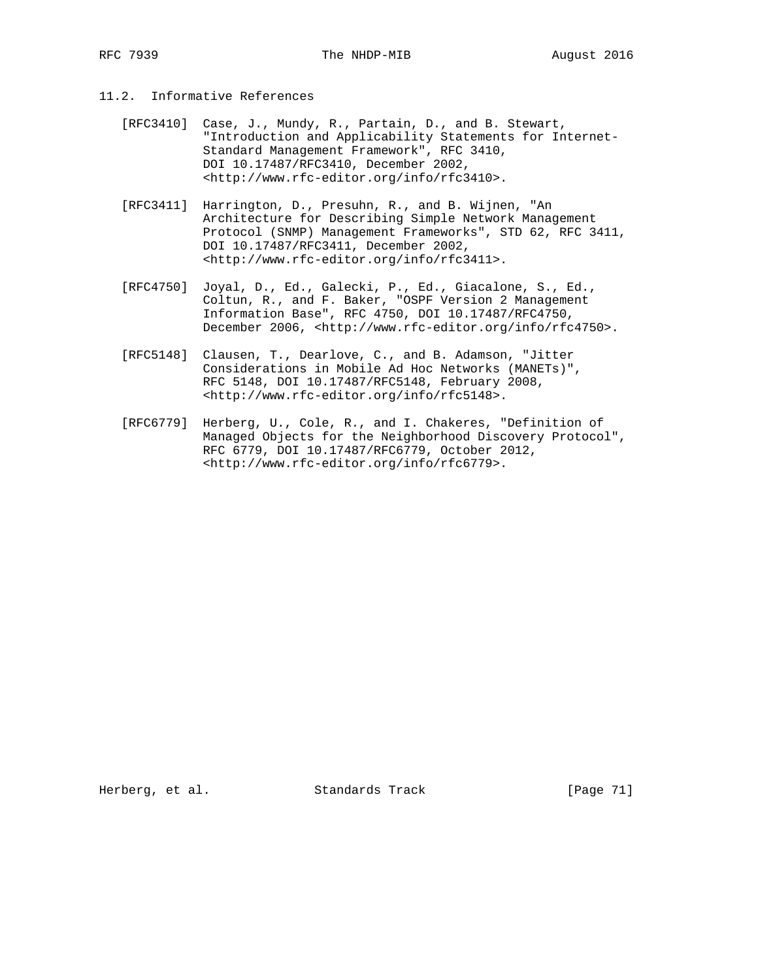- 11.2. Informative References
	- [RFC3410] Case, J., Mundy, R., Partain, D., and B. Stewart, "Introduction and Applicability Statements for Internet- Standard Management Framework", RFC 3410, DOI 10.17487/RFC3410, December 2002, <http://www.rfc-editor.org/info/rfc3410>.
	- [RFC3411] Harrington, D., Presuhn, R., and B. Wijnen, "An Architecture for Describing Simple Network Management Protocol (SNMP) Management Frameworks", STD 62, RFC 3411, DOI 10.17487/RFC3411, December 2002, <http://www.rfc-editor.org/info/rfc3411>.
	- [RFC4750] Joyal, D., Ed., Galecki, P., Ed., Giacalone, S., Ed., Coltun, R., and F. Baker, "OSPF Version 2 Management Information Base", RFC 4750, DOI 10.17487/RFC4750, December 2006, <http://www.rfc-editor.org/info/rfc4750>.
	- [RFC5148] Clausen, T., Dearlove, C., and B. Adamson, "Jitter Considerations in Mobile Ad Hoc Networks (MANETs)", RFC 5148, DOI 10.17487/RFC5148, February 2008, <http://www.rfc-editor.org/info/rfc5148>.
	- [RFC6779] Herberg, U., Cole, R., and I. Chakeres, "Definition of Managed Objects for the Neighborhood Discovery Protocol", RFC 6779, DOI 10.17487/RFC6779, October 2012, <http://www.rfc-editor.org/info/rfc6779>.

Herberg, et al. Standards Track [Page 71]